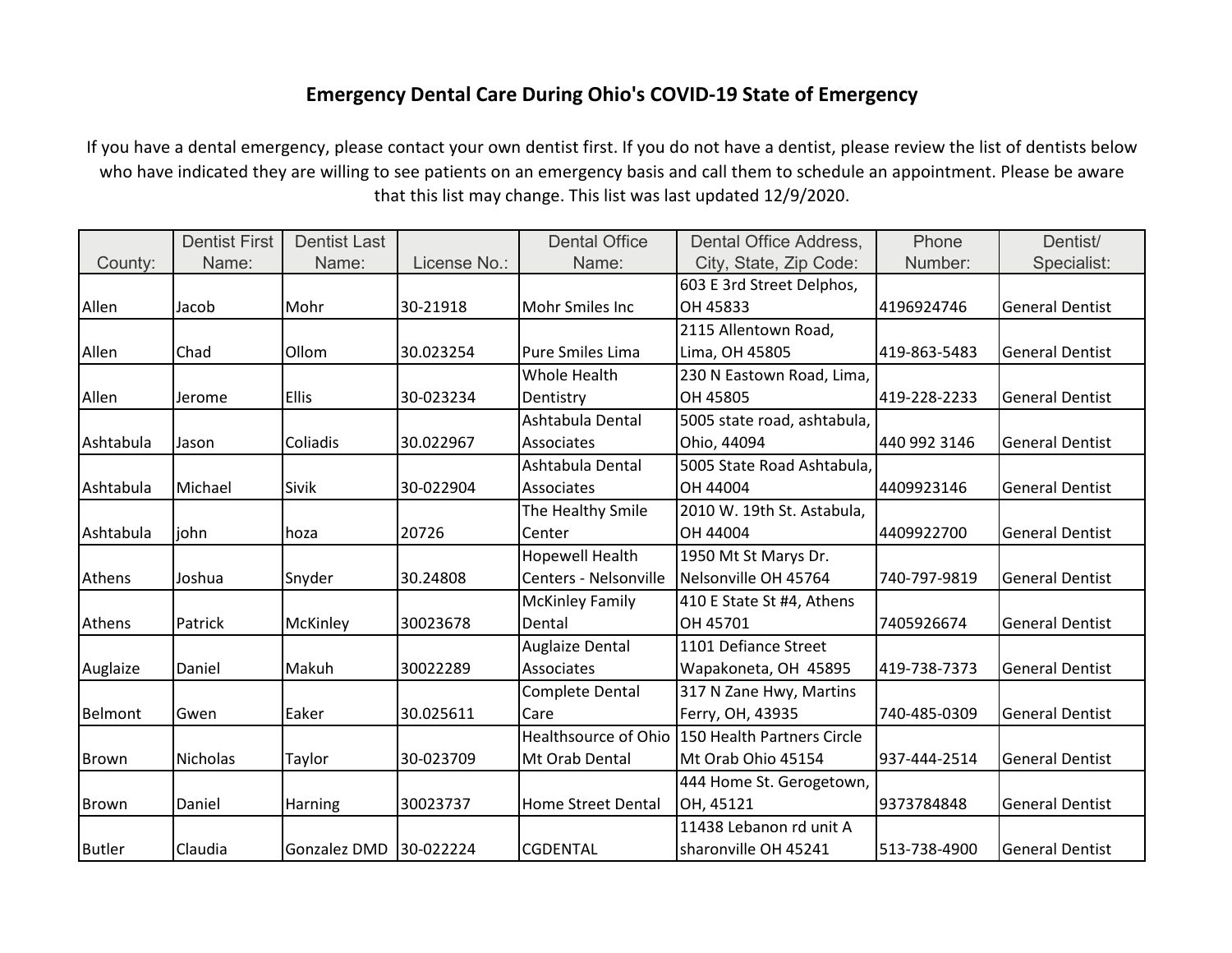## **Emergency Dental Care During Ohio's COVID-19 State of Emergency**

If you have a dental emergency, please contact your own dentist first. If you do not have a dentist, please review the list of dentists below who have indicated they are willing to see patients on an emergency basis and call them to schedule an appointment. Please be aware that this list may change. This list was last updated 12/9/2020.

|               | <b>Dentist First</b> | <b>Dentist Last</b>    |              | <b>Dental Office</b>        | Dental Office Address,      | Phone        | Dentist/               |
|---------------|----------------------|------------------------|--------------|-----------------------------|-----------------------------|--------------|------------------------|
| County:       | Name:                | Name:                  | License No.: | Name:                       | City, State, Zip Code:      | Number:      | Specialist:            |
|               |                      |                        |              |                             | 603 E 3rd Street Delphos,   |              |                        |
| Allen         | Jacob                | Mohr                   | 30-21918     | Mohr Smiles Inc             | OH 45833                    | 4196924746   | <b>General Dentist</b> |
|               |                      |                        |              |                             | 2115 Allentown Road,        |              |                        |
| Allen         | Chad                 | Ollom                  | 30.023254    | <b>Pure Smiles Lima</b>     | Lima, OH 45805              | 419-863-5483 | <b>General Dentist</b> |
|               |                      |                        |              | Whole Health                | 230 N Eastown Road, Lima,   |              |                        |
| Allen         | Jerome               | <b>Ellis</b>           | 30-023234    | Dentistry                   | OH 45805                    | 419-228-2233 | <b>General Dentist</b> |
|               |                      |                        |              | Ashtabula Dental            | 5005 state road, ashtabula, |              |                        |
| Ashtabula     | Jason                | Coliadis               | 30.022967    | Associates                  | Ohio, 44094                 | 440 992 3146 | <b>General Dentist</b> |
|               |                      |                        |              | Ashtabula Dental            | 5005 State Road Ashtabula,  |              |                        |
| Ashtabula     | Michael              | Sivik                  | 30-022904    | Associates                  | OH 44004                    | 4409923146   | <b>General Dentist</b> |
|               |                      |                        |              | The Healthy Smile           | 2010 W. 19th St. Astabula,  |              |                        |
| Ashtabula     | iohn                 | hoza                   | 20726        | Center                      | OH 44004                    | 4409922700   | <b>General Dentist</b> |
|               |                      |                        |              | Hopewell Health             | 1950 Mt St Marys Dr.        |              |                        |
| Athens        | Joshua               | Snyder                 | 30.24808     | Centers - Nelsonville       | Nelsonville OH 45764        | 740-797-9819 | <b>General Dentist</b> |
|               |                      |                        |              | <b>McKinley Family</b>      | 410 E State St #4, Athens   |              |                        |
| Athens        | Patrick              | McKinley               | 30023678     | Dental                      | OH 45701                    | 7405926674   | <b>General Dentist</b> |
|               |                      |                        |              | Auglaize Dental             | 1101 Defiance Street        |              |                        |
| Auglaize      | Daniel               | Makuh                  | 30022289     | Associates                  | Wapakoneta, OH 45895        | 419-738-7373 | <b>General Dentist</b> |
|               |                      |                        |              | <b>Complete Dental</b>      | 317 N Zane Hwy, Martins     |              |                        |
| Belmont       | Gwen                 | Eaker                  | 30.025611    | Care                        | Ferry, OH, 43935            | 740-485-0309 | <b>General Dentist</b> |
|               |                      |                        |              | <b>Healthsource of Ohio</b> | 150 Health Partners Circle  |              |                        |
| <b>Brown</b>  | <b>Nicholas</b>      | Taylor                 | 30-023709    | Mt Orab Dental              | Mt Orab Ohio 45154          | 937-444-2514 | <b>General Dentist</b> |
|               |                      |                        |              |                             | 444 Home St. Gerogetown,    |              |                        |
| Brown         | Daniel               | Harning                | 30023737     | <b>Home Street Dental</b>   | OH, 45121                   | 9373784848   | <b>General Dentist</b> |
|               |                      |                        |              |                             | 11438 Lebanon rd unit A     |              |                        |
| <b>Butler</b> | Claudia              | Gonzalez DMD 30-022224 |              | <b>CGDENTAL</b>             | sharonville OH 45241        | 513-738-4900 | <b>General Dentist</b> |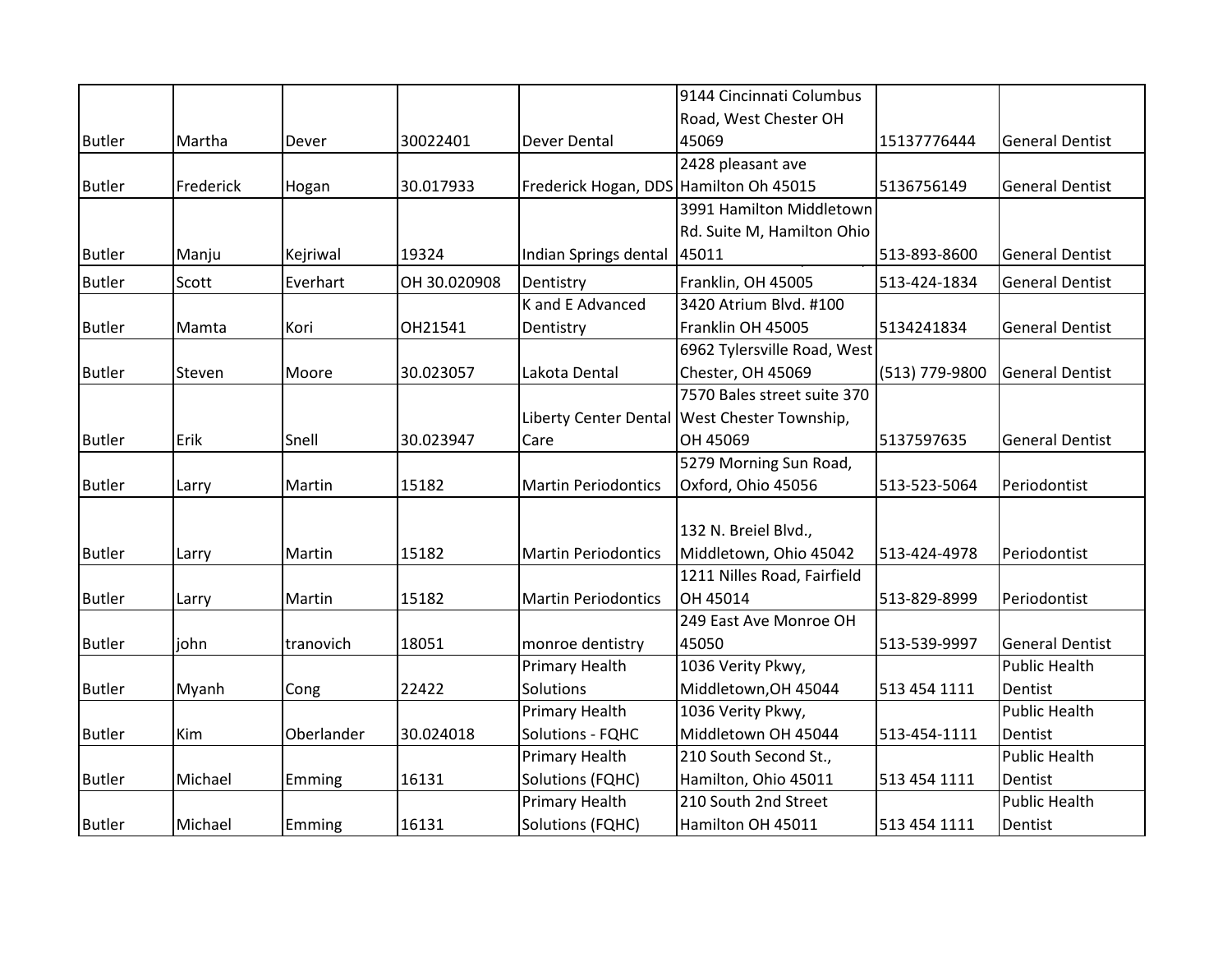|               |           |            |              |                                        | 9144 Cincinnati Columbus                       |                |                        |
|---------------|-----------|------------|--------------|----------------------------------------|------------------------------------------------|----------------|------------------------|
|               |           |            |              |                                        | Road, West Chester OH                          |                |                        |
| <b>Butler</b> | Martha    | Dever      | 30022401     | Dever Dental                           | 45069                                          | 15137776444    | <b>General Dentist</b> |
|               |           |            |              |                                        | 2428 pleasant ave                              |                |                        |
| <b>Butler</b> | Frederick | Hogan      | 30.017933    | Frederick Hogan, DDS Hamilton Oh 45015 |                                                | 5136756149     | <b>General Dentist</b> |
|               |           |            |              |                                        | 3991 Hamilton Middletown                       |                |                        |
|               |           |            |              |                                        | Rd. Suite M, Hamilton Ohio                     |                |                        |
| <b>Butler</b> | Manju     | Kejriwal   | 19324        | Indian Springs dental                  | 45011                                          | 513-893-8600   | <b>General Dentist</b> |
| <b>Butler</b> | Scott     | Everhart   | OH 30.020908 | Dentistry                              | Franklin, OH 45005                             | 513-424-1834   | <b>General Dentist</b> |
|               |           |            |              | K and E Advanced                       | 3420 Atrium Blvd. #100                         |                |                        |
| <b>Butler</b> | Mamta     | Kori       | OH21541      | Dentistry                              | Franklin OH 45005                              | 5134241834     | <b>General Dentist</b> |
|               |           |            |              |                                        | 6962 Tylersville Road, West                    |                |                        |
| <b>Butler</b> | Steven    | Moore      | 30.023057    | Lakota Dental                          | Chester, OH 45069                              | (513) 779-9800 | <b>General Dentist</b> |
|               |           |            |              |                                        | 7570 Bales street suite 370                    |                |                        |
|               |           |            |              |                                        | Liberty Center Dental   West Chester Township, |                |                        |
| <b>Butler</b> | Erik      | Snell      | 30.023947    | Care                                   | OH 45069                                       | 5137597635     | <b>General Dentist</b> |
|               |           |            |              |                                        | 5279 Morning Sun Road,                         |                |                        |
| <b>Butler</b> | Larry     | Martin     | 15182        | <b>Martin Periodontics</b>             | Oxford, Ohio 45056                             | 513-523-5064   | Periodontist           |
|               |           |            |              |                                        |                                                |                |                        |
|               |           |            |              |                                        | 132 N. Breiel Blvd.,                           |                |                        |
| <b>Butler</b> | Larry     | Martin     | 15182        | <b>Martin Periodontics</b>             | Middletown, Ohio 45042                         | 513-424-4978   | Periodontist           |
|               |           |            |              |                                        | 1211 Nilles Road, Fairfield                    |                |                        |
| <b>Butler</b> | Larry     | Martin     | 15182        | <b>Martin Periodontics</b>             | OH 45014                                       | 513-829-8999   | Periodontist           |
|               |           |            |              |                                        | 249 East Ave Monroe OH                         |                |                        |
| <b>Butler</b> | john      | tranovich  | 18051        | monroe dentistry                       | 45050                                          | 513-539-9997   | <b>General Dentist</b> |
|               |           |            |              | Primary Health                         | 1036 Verity Pkwy,                              |                | <b>Public Health</b>   |
| <b>Butler</b> | Myanh     | Cong       | 22422        | Solutions                              | Middletown, OH 45044                           | 513 454 1111   | Dentist                |
|               |           |            |              | Primary Health                         | 1036 Verity Pkwy,                              |                | <b>Public Health</b>   |
| <b>Butler</b> | Kim       | Oberlander | 30.024018    | Solutions - FQHC                       | Middletown OH 45044                            | 513-454-1111   | Dentist                |
|               |           |            |              | <b>Primary Health</b>                  | 210 South Second St.,                          |                | <b>Public Health</b>   |
| <b>Butler</b> | Michael   | Emming     | 16131        | Solutions (FQHC)                       | Hamilton, Ohio 45011                           | 513 454 1111   | Dentist                |
|               |           |            |              | Primary Health                         | 210 South 2nd Street                           |                | <b>Public Health</b>   |
| <b>Butler</b> | Michael   | Emming     | 16131        | Solutions (FQHC)                       | Hamilton OH 45011                              | 513 454 1111   | Dentist                |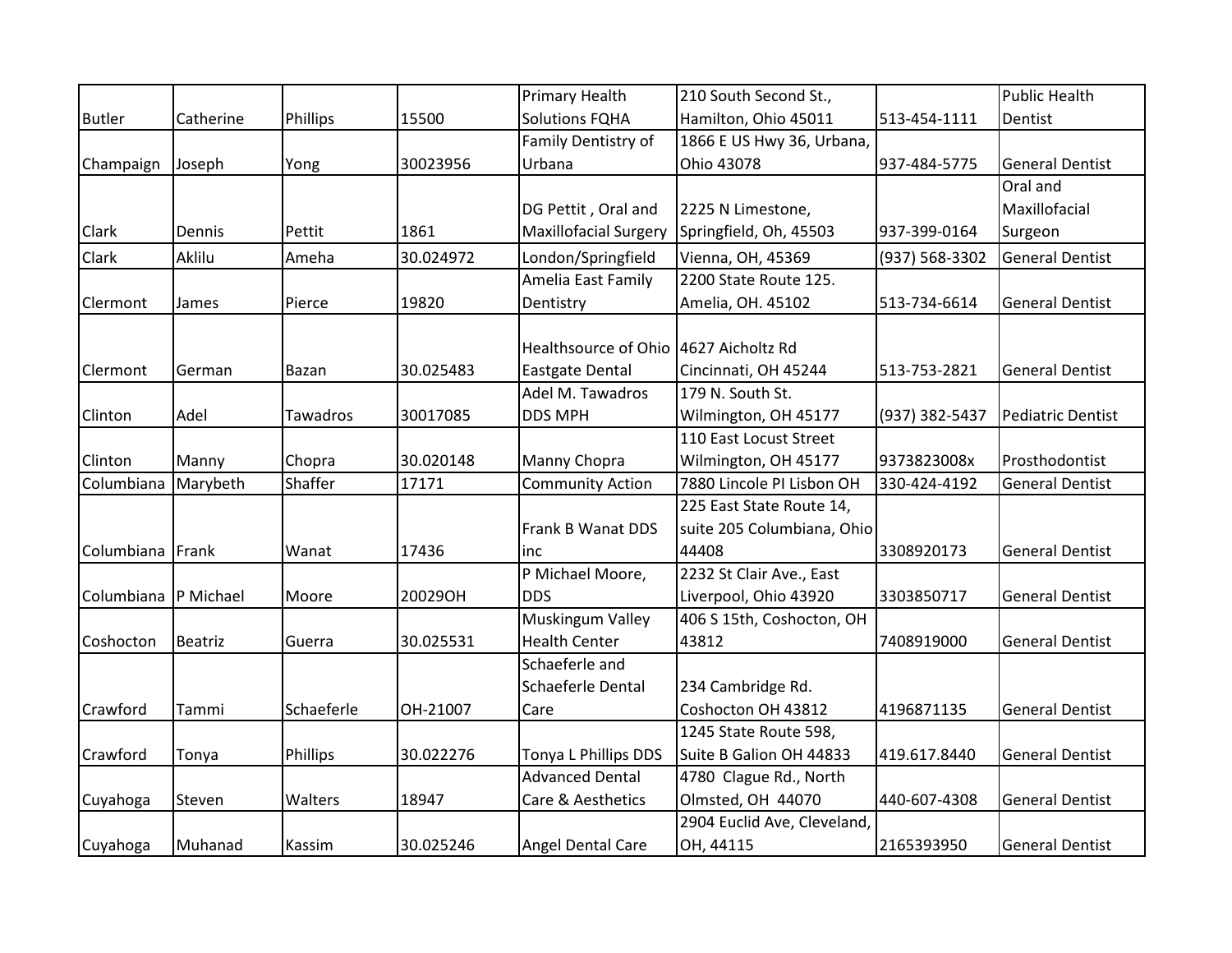|               |                |                 |           | Primary Health                        | 210 South Second St.,       |                | <b>Public Health</b>     |
|---------------|----------------|-----------------|-----------|---------------------------------------|-----------------------------|----------------|--------------------------|
| <b>Butler</b> | Catherine      | Phillips        | 15500     | <b>Solutions FQHA</b>                 | Hamilton, Ohio 45011        | 513-454-1111   | Dentist                  |
|               |                |                 |           | Family Dentistry of                   | 1866 E US Hwy 36, Urbana,   |                |                          |
| Champaign     | Joseph         | Yong            | 30023956  | Urbana                                | Ohio 43078                  | 937-484-5775   | <b>General Dentist</b>   |
|               |                |                 |           |                                       |                             |                | Oral and                 |
|               |                |                 |           | DG Pettit, Oral and                   | 2225 N Limestone,           |                | Maxillofacial            |
| Clark         | Dennis         | Pettit          | 1861      | Maxillofacial Surgery                 | Springfield, Oh, 45503      | 937-399-0164   | Surgeon                  |
| Clark         | Aklilu         | Ameha           | 30.024972 | London/Springfield                    | Vienna, OH, 45369           | (937) 568-3302 | <b>General Dentist</b>   |
|               |                |                 |           | Amelia East Family                    | 2200 State Route 125.       |                |                          |
| Clermont      | James          | Pierce          | 19820     | Dentistry                             | Amelia, OH. 45102           | 513-734-6614   | <b>General Dentist</b>   |
|               |                |                 |           |                                       |                             |                |                          |
|               |                |                 |           | Healthsource of Ohio 4627 Aicholtz Rd |                             |                |                          |
| Clermont      | German         | Bazan           | 30.025483 | <b>Eastgate Dental</b>                | Cincinnati, OH 45244        | 513-753-2821   | <b>General Dentist</b>   |
|               |                |                 |           | Adel M. Tawadros                      | 179 N. South St.            |                |                          |
| Clinton       | Adel           | <b>Tawadros</b> | 30017085  | <b>DDS MPH</b>                        | Wilmington, OH 45177        | (937) 382-5437 | <b>Pediatric Dentist</b> |
|               |                |                 |           |                                       | 110 East Locust Street      |                |                          |
| Clinton       | Manny          | Chopra          | 30.020148 | Manny Chopra                          | Wilmington, OH 45177        | 9373823008x    | Prosthodontist           |
| Columbiana    | Marybeth       | Shaffer         | 17171     | <b>Community Action</b>               | 7880 Lincole PI Lisbon OH   | 330-424-4192   | <b>General Dentist</b>   |
|               |                |                 |           |                                       | 225 East State Route 14,    |                |                          |
|               |                |                 |           | Frank B Wanat DDS                     | suite 205 Columbiana, Ohio  |                |                          |
| Columbiana    | Frank          | Wanat           | 17436     | inc                                   | 44408                       | 3308920173     | <b>General Dentist</b>   |
|               |                |                 |           | P Michael Moore,                      | 2232 St Clair Ave., East    |                |                          |
| Columbiana    | P Michael      | Moore           | 20029OH   | <b>DDS</b>                            | Liverpool, Ohio 43920       | 3303850717     | <b>General Dentist</b>   |
|               |                |                 |           | Muskingum Valley                      | 406 S 15th, Coshocton, OH   |                |                          |
| Coshocton     | <b>Beatriz</b> | Guerra          | 30.025531 | <b>Health Center</b>                  | 43812                       | 7408919000     | <b>General Dentist</b>   |
|               |                |                 |           | Schaeferle and                        |                             |                |                          |
|               |                |                 |           | Schaeferle Dental                     | 234 Cambridge Rd.           |                |                          |
| Crawford      | Tammi          | Schaeferle      | OH-21007  | Care                                  | Coshocton OH 43812          | 4196871135     | <b>General Dentist</b>   |
|               |                |                 |           |                                       | 1245 State Route 598,       |                |                          |
| Crawford      | Tonya          | Phillips        | 30.022276 | Tonya L Phillips DDS                  | Suite B Galion OH 44833     | 419.617.8440   | <b>General Dentist</b>   |
|               |                |                 |           | <b>Advanced Dental</b>                | 4780 Clague Rd., North      |                |                          |
| Cuyahoga      | Steven         | Walters         | 18947     | Care & Aesthetics                     | Olmsted, OH 44070           | 440-607-4308   | <b>General Dentist</b>   |
|               |                |                 |           |                                       | 2904 Euclid Ave, Cleveland, |                |                          |
| Cuyahoga      | Muhanad        | Kassim          | 30.025246 | Angel Dental Care                     | OH, 44115                   | 2165393950     | <b>General Dentist</b>   |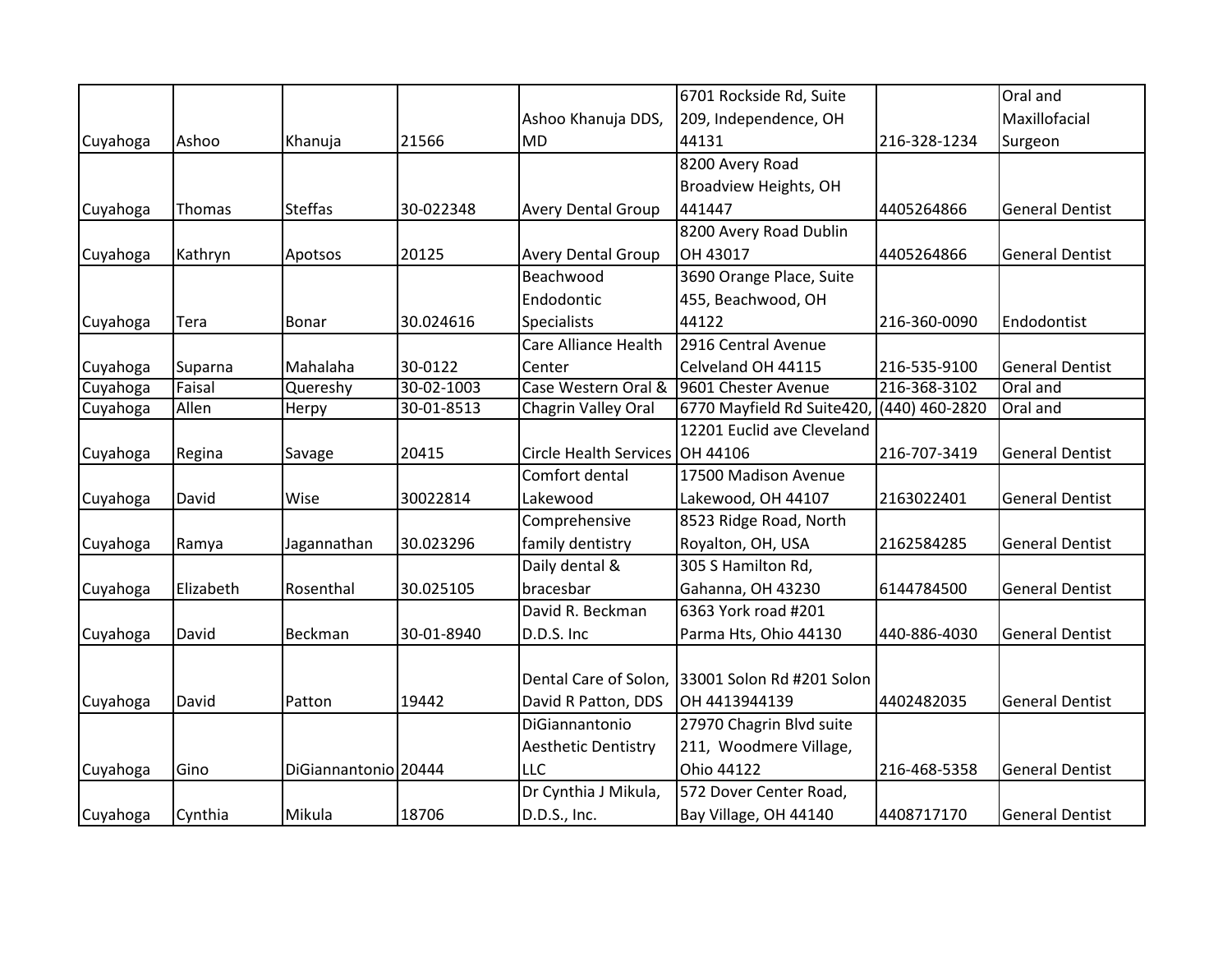|          |           |                      |            |                                 | 6701 Rockside Rd, Suite                   |              | Oral and               |
|----------|-----------|----------------------|------------|---------------------------------|-------------------------------------------|--------------|------------------------|
|          |           |                      |            | Ashoo Khanuja DDS,              | 209, Independence, OH                     |              | Maxillofacial          |
| Cuyahoga | Ashoo     | Khanuja              | 21566      | <b>MD</b>                       | 44131                                     | 216-328-1234 | Surgeon                |
|          |           |                      |            |                                 | 8200 Avery Road                           |              |                        |
|          |           |                      |            |                                 | Broadview Heights, OH                     |              |                        |
| Cuyahoga | Thomas    | <b>Steffas</b>       | 30-022348  | <b>Avery Dental Group</b>       | 441447                                    | 4405264866   | <b>General Dentist</b> |
|          |           |                      |            |                                 | 8200 Avery Road Dublin                    |              |                        |
| Cuyahoga | Kathryn   | Apotsos              | 20125      | <b>Avery Dental Group</b>       | OH 43017                                  | 4405264866   | <b>General Dentist</b> |
|          |           |                      |            | Beachwood                       | 3690 Orange Place, Suite                  |              |                        |
|          |           |                      |            | Endodontic                      | 455, Beachwood, OH                        |              |                        |
| Cuyahoga | Tera      | Bonar                | 30.024616  | Specialists                     | 44122                                     | 216-360-0090 | Endodontist            |
|          |           |                      |            | Care Alliance Health            | 2916 Central Avenue                       |              |                        |
| Cuyahoga | Suparna   | Mahalaha             | 30-0122    | Center                          | Celveland OH 44115                        | 216-535-9100 | <b>General Dentist</b> |
| Cuyahoga | Faisal    | Quereshy             | 30-02-1003 | Case Western Oral &             | 9601 Chester Avenue                       | 216-368-3102 | Oral and               |
| Cuyahoga | Allen     | Herpy                | 30-01-8513 | Chagrin Valley Oral             | 6770 Mayfield Rd Suite420, (440) 460-2820 |              | Oral and               |
|          |           |                      |            |                                 | 12201 Euclid ave Cleveland                |              |                        |
| Cuyahoga | Regina    | Savage               | 20415      | Circle Health Services OH 44106 |                                           | 216-707-3419 | <b>General Dentist</b> |
|          |           |                      |            | Comfort dental                  | 17500 Madison Avenue                      |              |                        |
| Cuyahoga | David     | Wise                 | 30022814   | Lakewood                        | Lakewood, OH 44107                        | 2163022401   | <b>General Dentist</b> |
|          |           |                      |            | Comprehensive                   | 8523 Ridge Road, North                    |              |                        |
| Cuyahoga | Ramya     | Jagannathan          | 30.023296  | family dentistry                | Royalton, OH, USA                         | 2162584285   | <b>General Dentist</b> |
|          |           |                      |            | Daily dental &                  | 305 S Hamilton Rd,                        |              |                        |
| Cuyahoga | Elizabeth | Rosenthal            | 30.025105  | bracesbar                       | Gahanna, OH 43230                         | 6144784500   | <b>General Dentist</b> |
|          |           |                      |            | David R. Beckman                | 6363 York road #201                       |              |                        |
| Cuyahoga | David     | Beckman              | 30-01-8940 | D.D.S. Inc                      | Parma Hts, Ohio 44130                     | 440-886-4030 | <b>General Dentist</b> |
|          |           |                      |            |                                 |                                           |              |                        |
|          |           |                      |            | Dental Care of Solon,           | 33001 Solon Rd #201 Solon                 |              |                        |
| Cuyahoga | David     | Patton               | 19442      | David R Patton, DDS             | OH 4413944139                             | 4402482035   | <b>General Dentist</b> |
|          |           |                      |            | DiGiannantonio                  | 27970 Chagrin Blvd suite                  |              |                        |
|          |           |                      |            | <b>Aesthetic Dentistry</b>      | 211, Woodmere Village,                    |              |                        |
| Cuyahoga | Gino      | DiGiannantonio 20444 |            | <b>LLC</b>                      | Ohio 44122                                | 216-468-5358 | <b>General Dentist</b> |
|          |           |                      |            | Dr Cynthia J Mikula,            | 572 Dover Center Road,                    |              |                        |
| Cuyahoga | Cynthia   | Mikula               | 18706      | D.D.S., Inc.                    | Bay Village, OH 44140                     | 4408717170   | <b>General Dentist</b> |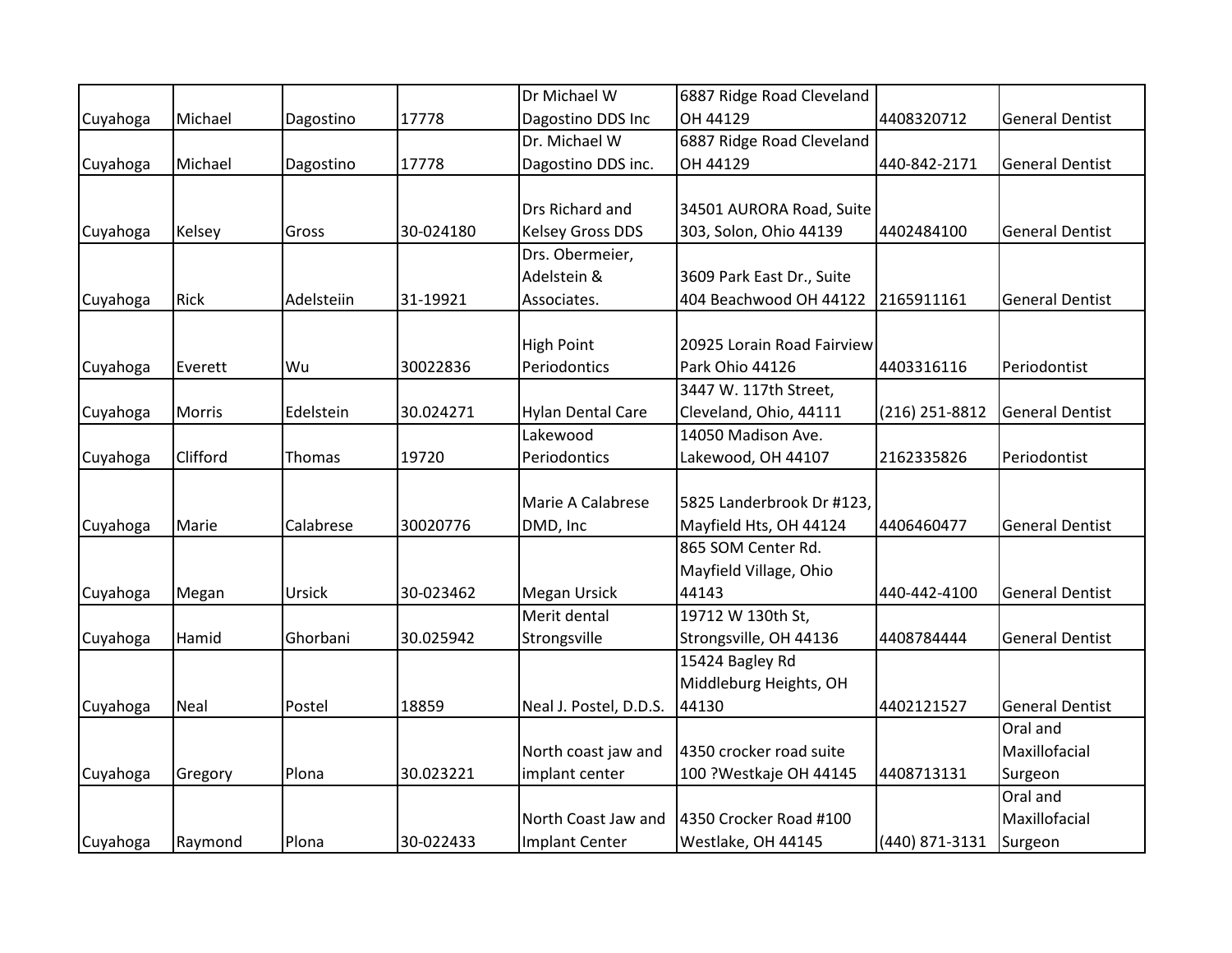|          |             |            |           | Dr Michael W             | 6887 Ridge Road Cleveland  |                |                        |
|----------|-------------|------------|-----------|--------------------------|----------------------------|----------------|------------------------|
| Cuyahoga | Michael     | Dagostino  | 17778     | Dagostino DDS Inc        | OH 44129                   | 4408320712     | <b>General Dentist</b> |
|          |             |            |           | Dr. Michael W            | 6887 Ridge Road Cleveland  |                |                        |
| Cuyahoga | Michael     | Dagostino  | 17778     | Dagostino DDS inc.       | OH 44129                   | 440-842-2171   | <b>General Dentist</b> |
|          |             |            |           |                          |                            |                |                        |
|          |             |            |           | Drs Richard and          | 34501 AURORA Road, Suite   |                |                        |
| Cuyahoga | Kelsey      | Gross      | 30-024180 | <b>Kelsey Gross DDS</b>  | 303, Solon, Ohio 44139     | 4402484100     | <b>General Dentist</b> |
|          |             |            |           | Drs. Obermeier,          |                            |                |                        |
|          |             |            |           | Adelstein &              | 3609 Park East Dr., Suite  |                |                        |
| Cuyahoga | <b>Rick</b> | Adelsteiin | 31-19921  | Associates.              | 404 Beachwood OH 44122     | 2165911161     | <b>General Dentist</b> |
|          |             |            |           |                          |                            |                |                        |
|          |             |            |           | <b>High Point</b>        | 20925 Lorain Road Fairview |                |                        |
| Cuyahoga | Everett     | Wu         | 30022836  | Periodontics             | Park Ohio 44126            | 4403316116     | Periodontist           |
|          |             |            |           |                          | 3447 W. 117th Street,      |                |                        |
| Cuyahoga | Morris      | Edelstein  | 30.024271 | <b>Hylan Dental Care</b> | Cleveland, Ohio, 44111     | (216) 251-8812 | <b>General Dentist</b> |
|          |             |            |           | Lakewood                 | 14050 Madison Ave.         |                |                        |
| Cuyahoga | Clifford    | Thomas     | 19720     | Periodontics             | Lakewood, OH 44107         | 2162335826     | Periodontist           |
|          |             |            |           |                          |                            |                |                        |
|          |             |            |           | Marie A Calabrese        | 5825 Landerbrook Dr #123,  |                |                        |
| Cuyahoga | Marie       | Calabrese  | 30020776  | DMD, Inc                 | Mayfield Hts, OH 44124     | 4406460477     | <b>General Dentist</b> |
|          |             |            |           |                          | 865 SOM Center Rd.         |                |                        |
|          |             |            |           |                          | Mayfield Village, Ohio     |                |                        |
| Cuyahoga | Megan       | Ursick     | 30-023462 | Megan Ursick             | 44143                      | 440-442-4100   | <b>General Dentist</b> |
|          |             |            |           | Merit dental             | 19712 W 130th St,          |                |                        |
| Cuyahoga | Hamid       | Ghorbani   | 30.025942 | Strongsville             | Strongsville, OH 44136     | 4408784444     | <b>General Dentist</b> |
|          |             |            |           |                          | 15424 Bagley Rd            |                |                        |
|          |             |            |           |                          | Middleburg Heights, OH     |                |                        |
| Cuyahoga | Neal        | Postel     | 18859     | Neal J. Postel, D.D.S.   | 44130                      | 4402121527     | <b>General Dentist</b> |
|          |             |            |           |                          |                            |                | Oral and               |
|          |             |            |           | North coast jaw and      | 4350 crocker road suite    |                | Maxillofacial          |
| Cuyahoga | Gregory     | Plona      | 30.023221 | implant center           | 100 ?Westkaje OH 44145     | 4408713131     | Surgeon                |
|          |             |            |           |                          |                            |                | Oral and               |
|          |             |            |           | North Coast Jaw and      | 4350 Crocker Road #100     |                | Maxillofacial          |
| Cuyahoga | Raymond     | Plona      | 30-022433 | Implant Center           | Westlake, OH 44145         | (440) 871-3131 | Surgeon                |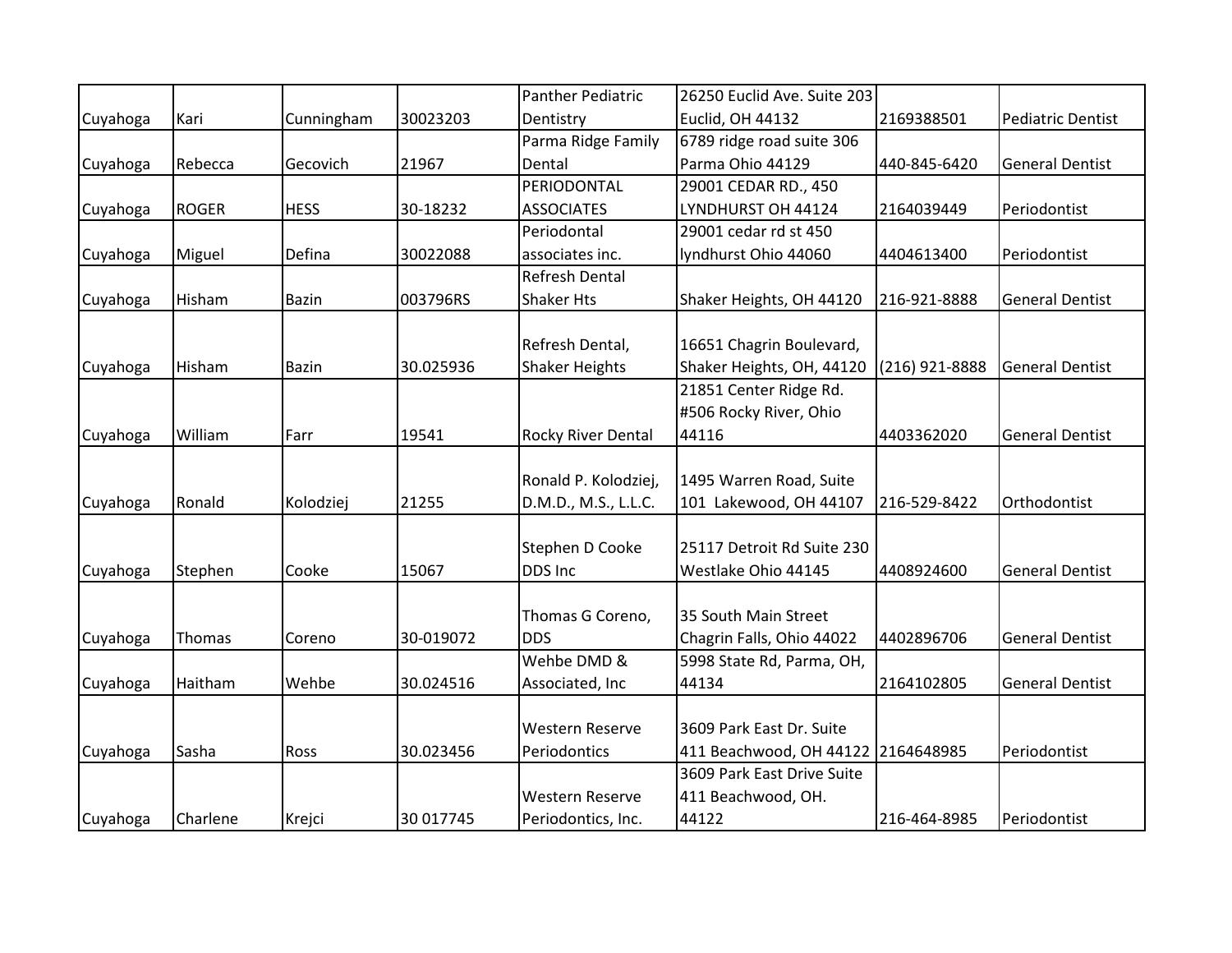|          |              |             |           | <b>Panther Pediatric</b> | 26250 Euclid Ave. Suite 203        |                |                          |
|----------|--------------|-------------|-----------|--------------------------|------------------------------------|----------------|--------------------------|
| Cuyahoga | Kari         | Cunningham  | 30023203  | Dentistry                | Euclid, OH 44132                   | 2169388501     | <b>Pediatric Dentist</b> |
|          |              |             |           | Parma Ridge Family       | 6789 ridge road suite 306          |                |                          |
| Cuyahoga | Rebecca      | Gecovich    | 21967     | Dental                   | Parma Ohio 44129                   | 440-845-6420   | <b>General Dentist</b>   |
|          |              |             |           | PERIODONTAL              | 29001 CEDAR RD., 450               |                |                          |
| Cuyahoga | <b>ROGER</b> | <b>HESS</b> | 30-18232  | <b>ASSOCIATES</b>        | LYNDHURST OH 44124                 | 2164039449     | Periodontist             |
|          |              |             |           | Periodontal              | 29001 cedar rd st 450              |                |                          |
| Cuyahoga | Miguel       | Defina      | 30022088  | associates inc.          | lyndhurst Ohio 44060               | 4404613400     | Periodontist             |
|          |              |             |           | Refresh Dental           |                                    |                |                          |
| Cuyahoga | Hisham       | Bazin       | 003796RS  | <b>Shaker Hts</b>        | Shaker Heights, OH 44120           | 216-921-8888   | <b>General Dentist</b>   |
|          |              |             |           |                          |                                    |                |                          |
|          |              |             |           | Refresh Dental,          | 16651 Chagrin Boulevard,           |                |                          |
| Cuyahoga | Hisham       | Bazin       | 30.025936 | <b>Shaker Heights</b>    | Shaker Heights, OH, 44120          | (216) 921-8888 | <b>General Dentist</b>   |
|          |              |             |           |                          | 21851 Center Ridge Rd.             |                |                          |
|          |              |             |           |                          | #506 Rocky River, Ohio             |                |                          |
| Cuyahoga | William      | Farr        | 19541     | Rocky River Dental       | 44116                              | 4403362020     | <b>General Dentist</b>   |
|          |              |             |           |                          |                                    |                |                          |
|          |              |             |           | Ronald P. Kolodziej,     | 1495 Warren Road, Suite            |                |                          |
| Cuyahoga | Ronald       | Kolodziej   | 21255     | D.M.D., M.S., L.L.C.     | 101 Lakewood, OH 44107             | 216-529-8422   | Orthodontist             |
|          |              |             |           |                          |                                    |                |                          |
|          |              |             |           | Stephen D Cooke          | 25117 Detroit Rd Suite 230         |                |                          |
| Cuyahoga | Stephen      | Cooke       | 15067     | DDS Inc                  | Westlake Ohio 44145                | 4408924600     | <b>General Dentist</b>   |
|          |              |             |           |                          |                                    |                |                          |
|          |              |             |           | Thomas G Coreno,         | 35 South Main Street               |                |                          |
| Cuyahoga | Thomas       | Coreno      | 30-019072 | <b>DDS</b>               | Chagrin Falls, Ohio 44022          | 4402896706     | <b>General Dentist</b>   |
|          |              |             |           | Wehbe DMD &              | 5998 State Rd, Parma, OH,          |                |                          |
| Cuyahoga | Haitham      | Wehbe       | 30.024516 | Associated, Inc          | 44134                              | 2164102805     | <b>General Dentist</b>   |
|          |              |             |           |                          |                                    |                |                          |
|          |              |             |           | Western Reserve          | 3609 Park East Dr. Suite           |                |                          |
| Cuyahoga | Sasha        | Ross        | 30.023456 | Periodontics             | 411 Beachwood, OH 44122 2164648985 |                | Periodontist             |
|          |              |             |           |                          | 3609 Park East Drive Suite         |                |                          |
|          |              |             |           | <b>Western Reserve</b>   | 411 Beachwood, OH.                 |                |                          |
| Cuyahoga | Charlene     | Krejci      | 30 017745 | Periodontics, Inc.       | 44122                              | 216-464-8985   | Periodontist             |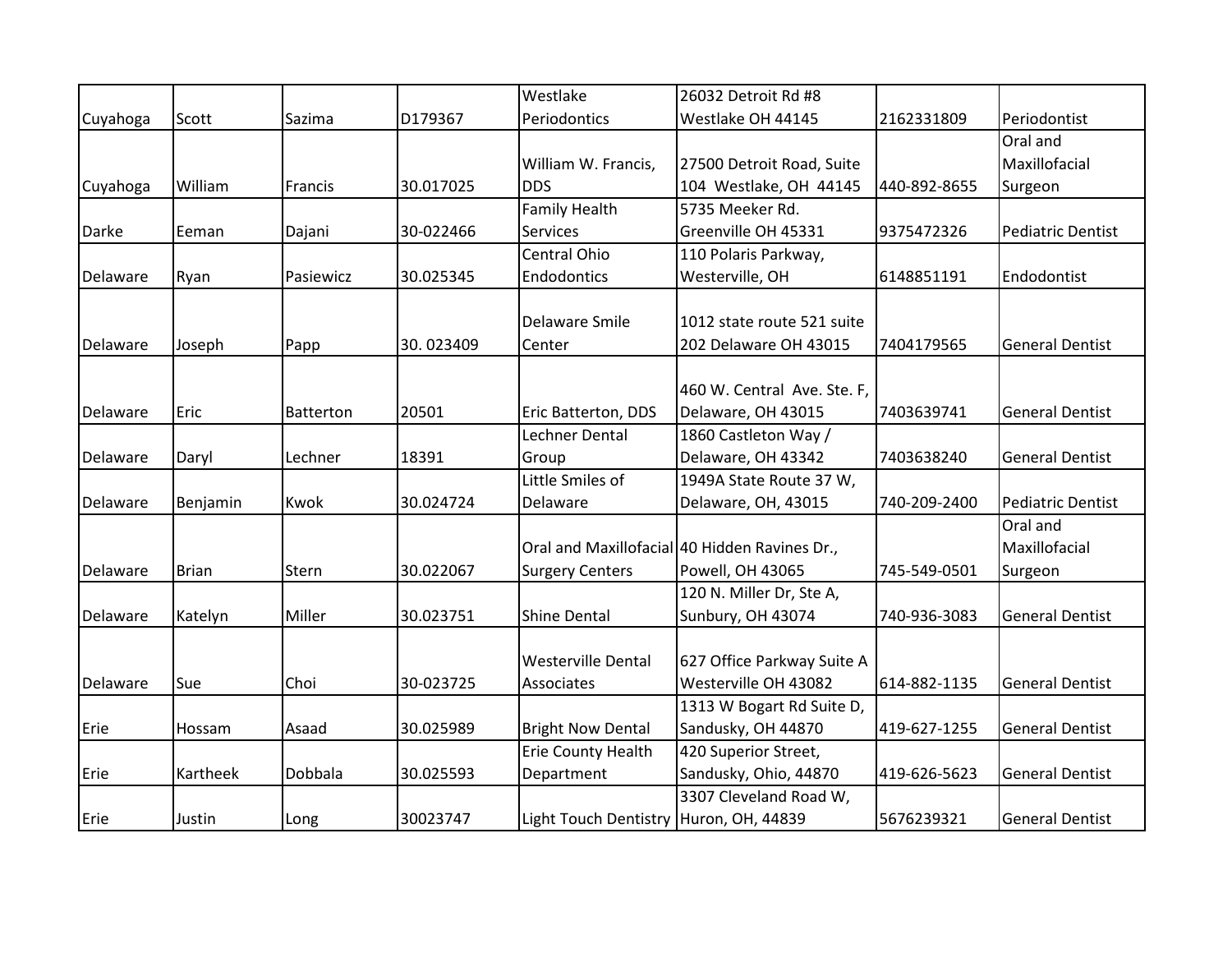|          |              |                  |           | Westlake                               | 26032 Detroit Rd #8                           |              |                          |
|----------|--------------|------------------|-----------|----------------------------------------|-----------------------------------------------|--------------|--------------------------|
| Cuyahoga | Scott        | Sazima           | D179367   | Periodontics                           | Westlake OH 44145                             | 2162331809   | Periodontist             |
|          |              |                  |           |                                        |                                               |              | Oral and                 |
|          |              |                  |           | William W. Francis,                    | 27500 Detroit Road, Suite                     |              | Maxillofacial            |
| Cuyahoga | William      | Francis          | 30.017025 | <b>DDS</b>                             | 104 Westlake, OH 44145                        | 440-892-8655 | Surgeon                  |
|          |              |                  |           | <b>Family Health</b>                   | 5735 Meeker Rd.                               |              |                          |
| Darke    | Eeman        | Dajani           | 30-022466 | Services                               | Greenville OH 45331                           | 9375472326   | <b>Pediatric Dentist</b> |
|          |              |                  |           | Central Ohio                           | 110 Polaris Parkway,                          |              |                          |
| Delaware | Ryan         | Pasiewicz        | 30.025345 | Endodontics                            | Westerville, OH                               | 6148851191   | Endodontist              |
|          |              |                  |           |                                        |                                               |              |                          |
|          |              |                  |           | Delaware Smile                         | 1012 state route 521 suite                    |              |                          |
| Delaware | Joseph       | Papp             | 30.023409 | Center                                 | 202 Delaware OH 43015                         | 7404179565   | <b>General Dentist</b>   |
|          |              |                  |           |                                        |                                               |              |                          |
|          |              |                  |           |                                        | 460 W. Central Ave. Ste. F,                   |              |                          |
| Delaware | Eric         | <b>Batterton</b> | 20501     | Eric Batterton, DDS                    | Delaware, OH 43015                            | 7403639741   | <b>General Dentist</b>   |
|          |              |                  |           | Lechner Dental                         | 1860 Castleton Way /                          |              |                          |
| Delaware | Daryl        | Lechner          | 18391     | Group                                  | Delaware, OH 43342                            | 7403638240   | <b>General Dentist</b>   |
|          |              |                  |           | Little Smiles of                       | 1949A State Route 37 W,                       |              |                          |
| Delaware | Benjamin     | Kwok             | 30.024724 | Delaware                               | Delaware, OH, 43015                           | 740-209-2400 | <b>Pediatric Dentist</b> |
|          |              |                  |           |                                        |                                               |              | Oral and                 |
|          |              |                  |           |                                        | Oral and Maxillofacial 40 Hidden Ravines Dr., |              | Maxillofacial            |
| Delaware | <b>Brian</b> | Stern            | 30.022067 | <b>Surgery Centers</b>                 | Powell, OH 43065                              | 745-549-0501 | Surgeon                  |
|          |              |                  |           |                                        | 120 N. Miller Dr, Ste A,                      |              |                          |
| Delaware | Katelyn      | Miller           | 30.023751 | <b>Shine Dental</b>                    | Sunbury, OH 43074                             | 740-936-3083 | <b>General Dentist</b>   |
|          |              |                  |           |                                        |                                               |              |                          |
|          |              |                  |           | <b>Westerville Dental</b>              | 627 Office Parkway Suite A                    |              |                          |
| Delaware | Sue          | Choi             | 30-023725 | Associates                             | Westerville OH 43082                          | 614-882-1135 | <b>General Dentist</b>   |
|          |              |                  |           |                                        | 1313 W Bogart Rd Suite D,                     |              |                          |
| Erie     | Hossam       | Asaad            | 30.025989 | <b>Bright Now Dental</b>               | Sandusky, OH 44870                            | 419-627-1255 | <b>General Dentist</b>   |
|          |              |                  |           | Erie County Health                     | 420 Superior Street,                          |              |                          |
| Erie     | Kartheek     | Dobbala          | 30.025593 | Department                             | Sandusky, Ohio, 44870                         | 419-626-5623 | <b>General Dentist</b>   |
|          |              |                  |           |                                        | 3307 Cleveland Road W,                        |              |                          |
| Erie     | Justin       | Long             | 30023747  | Light Touch Dentistry Huron, OH, 44839 |                                               | 5676239321   | <b>General Dentist</b>   |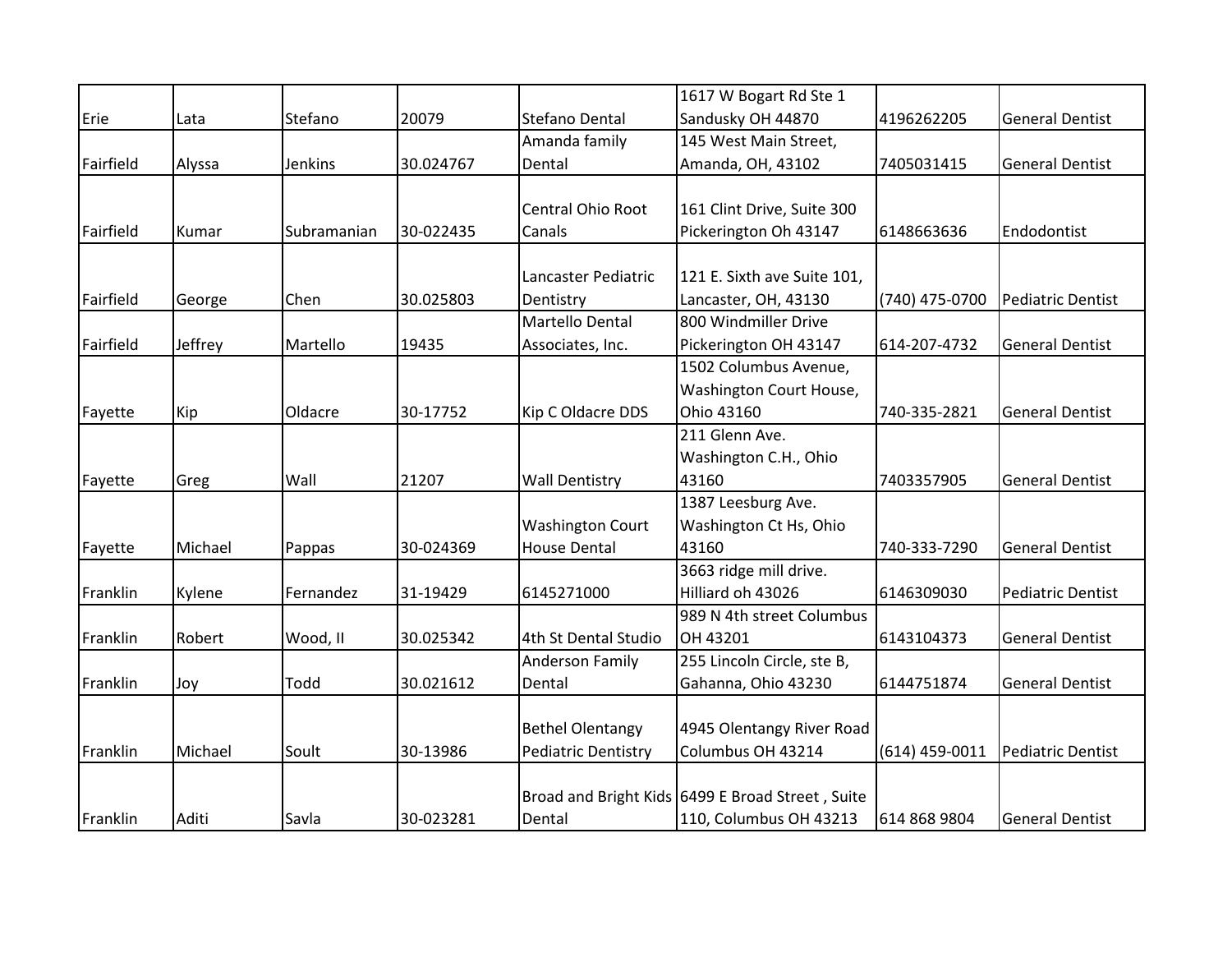|           |         |             |           |                            | 1617 W Bogart Rd Ste 1                           |                  |                          |
|-----------|---------|-------------|-----------|----------------------------|--------------------------------------------------|------------------|--------------------------|
| Erie      | Lata    | Stefano     | 20079     | Stefano Dental             | Sandusky OH 44870                                | 4196262205       | <b>General Dentist</b>   |
|           |         |             |           | Amanda family              | 145 West Main Street,                            |                  |                          |
| Fairfield | Alyssa  | Jenkins     | 30.024767 | Dental                     | Amanda, OH, 43102                                | 7405031415       | <b>General Dentist</b>   |
|           |         |             |           |                            |                                                  |                  |                          |
|           |         |             |           | Central Ohio Root          | 161 Clint Drive, Suite 300                       |                  |                          |
| Fairfield | Kumar   | Subramanian | 30-022435 | Canals                     | Pickerington Oh 43147                            | 6148663636       | Endodontist              |
|           |         |             |           |                            |                                                  |                  |                          |
|           |         |             |           | Lancaster Pediatric        | 121 E. Sixth ave Suite 101,                      |                  |                          |
| Fairfield | George  | Chen        | 30.025803 | Dentistry                  | Lancaster, OH, 43130                             | (740) 475-0700   | <b>Pediatric Dentist</b> |
|           |         |             |           | Martello Dental            | 800 Windmiller Drive                             |                  |                          |
| Fairfield | Jeffrey | Martello    | 19435     | Associates, Inc.           | Pickerington OH 43147                            | 614-207-4732     | <b>General Dentist</b>   |
|           |         |             |           |                            | 1502 Columbus Avenue,                            |                  |                          |
|           |         |             |           |                            | Washington Court House,                          |                  |                          |
| Fayette   | Kip     | Oldacre     | 30-17752  | Kip C Oldacre DDS          | Ohio 43160                                       | 740-335-2821     | <b>General Dentist</b>   |
|           |         |             |           |                            | 211 Glenn Ave.                                   |                  |                          |
|           |         |             |           |                            | Washington C.H., Ohio                            |                  |                          |
| Fayette   | Greg    | Wall        | 21207     | <b>Wall Dentistry</b>      | 43160                                            | 7403357905       | <b>General Dentist</b>   |
|           |         |             |           |                            | 1387 Leesburg Ave.                               |                  |                          |
|           |         |             |           | <b>Washington Court</b>    | Washington Ct Hs, Ohio                           |                  |                          |
| Fayette   | Michael | Pappas      | 30-024369 | <b>House Dental</b>        | 43160                                            | 740-333-7290     | <b>General Dentist</b>   |
|           |         |             |           |                            | 3663 ridge mill drive.                           |                  |                          |
| Franklin  | Kylene  | Fernandez   | 31-19429  | 6145271000                 | Hilliard oh 43026                                | 6146309030       | <b>Pediatric Dentist</b> |
|           |         |             |           |                            | 989 N 4th street Columbus                        |                  |                          |
| Franklin  | Robert  | Wood, II    | 30.025342 | 4th St Dental Studio       | OH 43201                                         | 6143104373       | <b>General Dentist</b>   |
|           |         |             |           | <b>Anderson Family</b>     | 255 Lincoln Circle, ste B,                       |                  |                          |
| Franklin  | Joy     | Todd        | 30.021612 | Dental                     | Gahanna, Ohio 43230                              | 6144751874       | <b>General Dentist</b>   |
|           |         |             |           |                            |                                                  |                  |                          |
|           |         |             |           | <b>Bethel Olentangy</b>    | 4945 Olentangy River Road                        |                  |                          |
| Franklin  | Michael | Soult       | 30-13986  | <b>Pediatric Dentistry</b> | Columbus OH 43214                                | $(614)$ 459-0011 | Pediatric Dentist        |
|           |         |             |           |                            |                                                  |                  |                          |
|           |         |             |           |                            | Broad and Bright Kids 6499 E Broad Street, Suite |                  |                          |
| Franklin  | Aditi   | Savla       | 30-023281 | Dental                     | 110, Columbus OH 43213                           | 614 868 9804     | <b>General Dentist</b>   |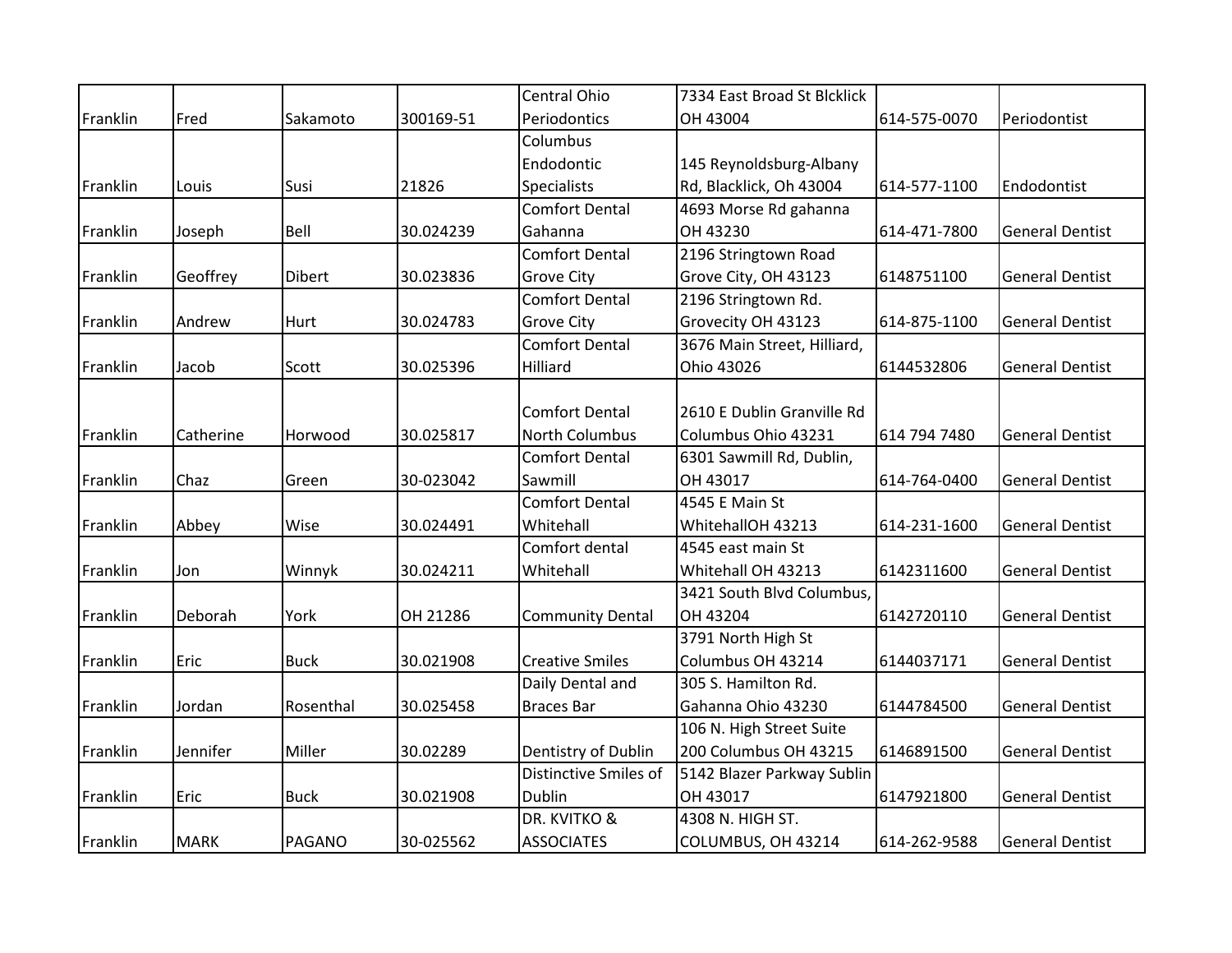|          |             |               |           | Central Ohio            | 7334 East Broad St Blcklick |              |                        |
|----------|-------------|---------------|-----------|-------------------------|-----------------------------|--------------|------------------------|
| Franklin | Fred        | Sakamoto      | 300169-51 | Periodontics            | OH 43004                    | 614-575-0070 | Periodontist           |
|          |             |               |           | Columbus                |                             |              |                        |
|          |             |               |           | Endodontic              | 145 Reynoldsburg-Albany     |              |                        |
| Franklin | Louis       | Susi          | 21826     | Specialists             | Rd, Blacklick, Oh 43004     | 614-577-1100 | Endodontist            |
|          |             |               |           | <b>Comfort Dental</b>   | 4693 Morse Rd gahanna       |              |                        |
| Franklin | Joseph      | Bell          | 30.024239 | Gahanna                 | OH 43230                    | 614-471-7800 | <b>General Dentist</b> |
|          |             |               |           | <b>Comfort Dental</b>   | 2196 Stringtown Road        |              |                        |
| Franklin | Geoffrey    | <b>Dibert</b> | 30.023836 | <b>Grove City</b>       | Grove City, OH 43123        | 6148751100   | <b>General Dentist</b> |
|          |             |               |           | <b>Comfort Dental</b>   | 2196 Stringtown Rd.         |              |                        |
| Franklin | Andrew      | Hurt          | 30.024783 | <b>Grove City</b>       | Grovecity OH 43123          | 614-875-1100 | <b>General Dentist</b> |
|          |             |               |           | <b>Comfort Dental</b>   | 3676 Main Street, Hilliard, |              |                        |
| Franklin | Jacob       | Scott         | 30.025396 | Hilliard                | Ohio 43026                  | 6144532806   | <b>General Dentist</b> |
|          |             |               |           |                         |                             |              |                        |
|          |             |               |           | <b>Comfort Dental</b>   | 2610 E Dublin Granville Rd  |              |                        |
| Franklin | Catherine   | Horwood       | 30.025817 | North Columbus          | Columbus Ohio 43231         | 614 794 7480 | <b>General Dentist</b> |
|          |             |               |           | <b>Comfort Dental</b>   | 6301 Sawmill Rd, Dublin,    |              |                        |
| Franklin | Chaz        | Green         | 30-023042 | Sawmill                 | OH 43017                    | 614-764-0400 | <b>General Dentist</b> |
|          |             |               |           | <b>Comfort Dental</b>   | 4545 E Main St              |              |                        |
| Franklin | Abbey       | Wise          | 30.024491 | Whitehall               | WhitehallOH 43213           | 614-231-1600 | <b>General Dentist</b> |
|          |             |               |           | Comfort dental          | 4545 east main St           |              |                        |
| Franklin | Jon         | Winnyk        | 30.024211 | Whitehall               | Whitehall OH 43213          | 6142311600   | <b>General Dentist</b> |
|          |             |               |           |                         | 3421 South Blvd Columbus,   |              |                        |
| Franklin | Deborah     | York          | OH 21286  | <b>Community Dental</b> | OH 43204                    | 6142720110   | <b>General Dentist</b> |
|          |             |               |           |                         | 3791 North High St          |              |                        |
| Franklin | Eric        | <b>Buck</b>   | 30.021908 | <b>Creative Smiles</b>  | Columbus OH 43214           | 6144037171   | <b>General Dentist</b> |
|          |             |               |           | Daily Dental and        | 305 S. Hamilton Rd.         |              |                        |
| Franklin | Jordan      | Rosenthal     | 30.025458 | <b>Braces Bar</b>       | Gahanna Ohio 43230          | 6144784500   | <b>General Dentist</b> |
|          |             |               |           |                         | 106 N. High Street Suite    |              |                        |
| Franklin | Jennifer    | Miller        | 30.02289  | Dentistry of Dublin     | 200 Columbus OH 43215       | 6146891500   | <b>General Dentist</b> |
|          |             |               |           | Distinctive Smiles of   | 5142 Blazer Parkway Sublin  |              |                        |
| Franklin | Eric        | <b>Buck</b>   | 30.021908 | Dublin                  | OH 43017                    | 6147921800   | <b>General Dentist</b> |
|          |             |               |           | DR. KVITKO &            | 4308 N. HIGH ST.            |              |                        |
| Franklin | <b>MARK</b> | <b>PAGANO</b> | 30-025562 | <b>ASSOCIATES</b>       | COLUMBUS, OH 43214          | 614-262-9588 | <b>General Dentist</b> |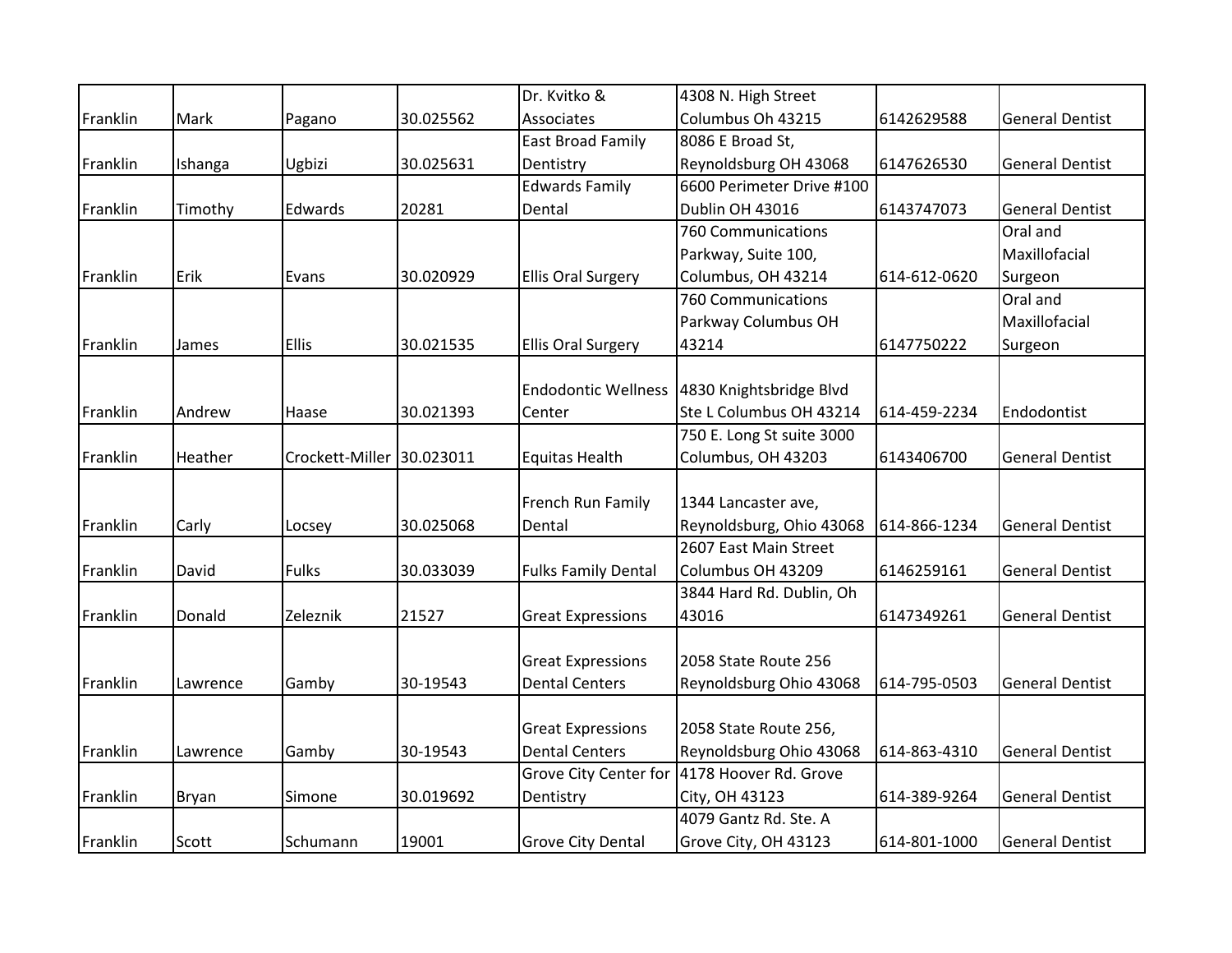|          |              |                           |           | Dr. Kvitko &               | 4308 N. High Street       |              |                        |
|----------|--------------|---------------------------|-----------|----------------------------|---------------------------|--------------|------------------------|
| Franklin | Mark         | Pagano                    | 30.025562 | Associates                 | Columbus Oh 43215         | 6142629588   | <b>General Dentist</b> |
|          |              |                           |           | <b>East Broad Family</b>   | 8086 E Broad St,          |              |                        |
| Franklin | Ishanga      | Ugbizi                    | 30.025631 | Dentistry                  | Reynoldsburg OH 43068     | 6147626530   | <b>General Dentist</b> |
|          |              |                           |           | <b>Edwards Family</b>      | 6600 Perimeter Drive #100 |              |                        |
| Franklin | Timothy      | Edwards                   | 20281     | Dental                     | Dublin OH 43016           | 6143747073   | <b>General Dentist</b> |
|          |              |                           |           |                            | 760 Communications        |              | Oral and               |
|          |              |                           |           |                            | Parkway, Suite 100,       |              | Maxillofacial          |
| Franklin | Erik         | Evans                     | 30.020929 | <b>Ellis Oral Surgery</b>  | Columbus, OH 43214        | 614-612-0620 | Surgeon                |
|          |              |                           |           |                            | 760 Communications        |              | Oral and               |
|          |              |                           |           |                            | Parkway Columbus OH       |              | Maxillofacial          |
| Franklin | James        | <b>Ellis</b>              | 30.021535 | <b>Ellis Oral Surgery</b>  | 43214                     | 6147750222   | Surgeon                |
|          |              |                           |           |                            |                           |              |                        |
|          |              |                           |           | <b>Endodontic Wellness</b> | 4830 Knightsbridge Blvd   |              |                        |
| Franklin | Andrew       | Haase                     | 30.021393 | Center                     | Ste L Columbus OH 43214   | 614-459-2234 | Endodontist            |
|          |              |                           |           |                            | 750 E. Long St suite 3000 |              |                        |
| Franklin | Heather      | Crockett-Miller 30.023011 |           | <b>Equitas Health</b>      | Columbus, OH 43203        | 6143406700   | <b>General Dentist</b> |
|          |              |                           |           |                            |                           |              |                        |
|          |              |                           |           | French Run Family          | 1344 Lancaster ave,       |              |                        |
| Franklin | Carly        | Locsey                    | 30.025068 | Dental                     | Reynoldsburg, Ohio 43068  | 614-866-1234 | <b>General Dentist</b> |
|          |              |                           |           |                            | 2607 East Main Street     |              |                        |
| Franklin | David        | Fulks                     | 30.033039 | <b>Fulks Family Dental</b> | Columbus OH 43209         | 6146259161   | <b>General Dentist</b> |
|          |              |                           |           |                            | 3844 Hard Rd. Dublin, Oh  |              |                        |
| Franklin | Donald       | Zeleznik                  | 21527     | <b>Great Expressions</b>   | 43016                     | 6147349261   | <b>General Dentist</b> |
|          |              |                           |           |                            |                           |              |                        |
|          |              |                           |           | <b>Great Expressions</b>   | 2058 State Route 256      |              |                        |
| Franklin | Lawrence     | Gamby                     | 30-19543  | <b>Dental Centers</b>      | Reynoldsburg Ohio 43068   | 614-795-0503 | <b>General Dentist</b> |
|          |              |                           |           |                            |                           |              |                        |
|          |              |                           |           | <b>Great Expressions</b>   | 2058 State Route 256,     |              |                        |
| Franklin | Lawrence     | Gamby                     | 30-19543  | <b>Dental Centers</b>      | Reynoldsburg Ohio 43068   | 614-863-4310 | <b>General Dentist</b> |
|          |              |                           |           | Grove City Center for      | 4178 Hoover Rd. Grove     |              |                        |
| Franklin | <b>Bryan</b> | Simone                    | 30.019692 | Dentistry                  | City, OH 43123            | 614-389-9264 | <b>General Dentist</b> |
|          |              |                           |           |                            | 4079 Gantz Rd. Ste. A     |              |                        |
| Franklin | Scott        | Schumann                  | 19001     | <b>Grove City Dental</b>   | Grove City, OH 43123      | 614-801-1000 | <b>General Dentist</b> |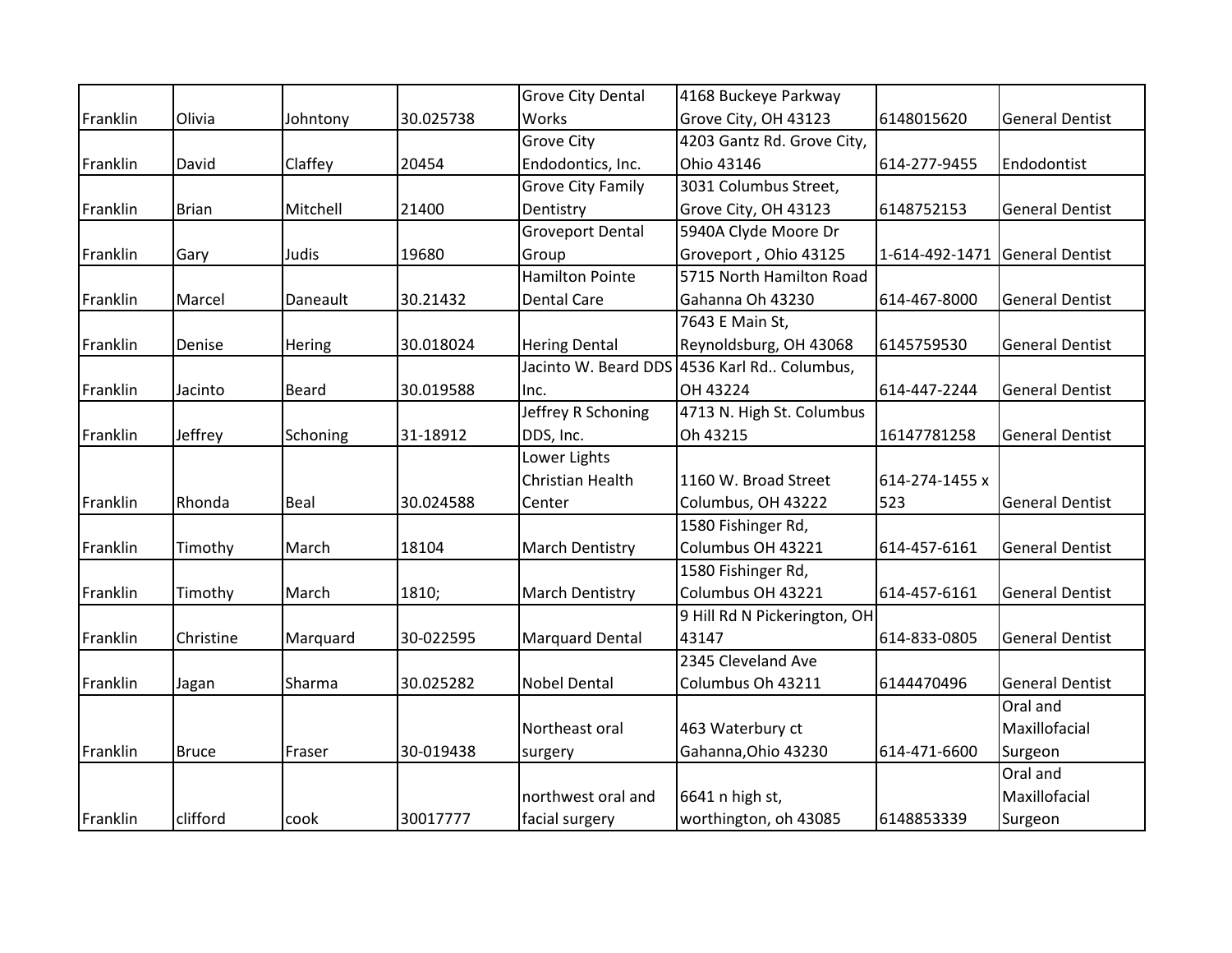|          |              |              |           | Grove City Dental        | 4168 Buckeye Parkway                        |                |                        |
|----------|--------------|--------------|-----------|--------------------------|---------------------------------------------|----------------|------------------------|
| Franklin | Olivia       | Johntony     | 30.025738 | Works                    | Grove City, OH 43123                        | 6148015620     | <b>General Dentist</b> |
|          |              |              |           | <b>Grove City</b>        | 4203 Gantz Rd. Grove City,                  |                |                        |
| Franklin | David        | Claffey      | 20454     | Endodontics, Inc.        | Ohio 43146                                  | 614-277-9455   | Endodontist            |
|          |              |              |           | <b>Grove City Family</b> | 3031 Columbus Street,                       |                |                        |
| Franklin | <b>Brian</b> | Mitchell     | 21400     | Dentistry                | Grove City, OH 43123                        | 6148752153     | <b>General Dentist</b> |
|          |              |              |           | <b>Groveport Dental</b>  | 5940A Clyde Moore Dr                        |                |                        |
| Franklin | Gary         | Judis        | 19680     | Group                    | Groveport, Ohio 43125                       | 1-614-492-1471 | <b>General Dentist</b> |
|          |              |              |           | <b>Hamilton Pointe</b>   | 5715 North Hamilton Road                    |                |                        |
| Franklin | Marcel       | Daneault     | 30.21432  | <b>Dental Care</b>       | Gahanna Oh 43230                            | 614-467-8000   | <b>General Dentist</b> |
|          |              |              |           |                          | 7643 E Main St,                             |                |                        |
| Franklin | Denise       | Hering       | 30.018024 | <b>Hering Dental</b>     | Reynoldsburg, OH 43068                      | 6145759530     | <b>General Dentist</b> |
|          |              |              |           |                          | Jacinto W. Beard DDS 4536 Karl Rd Columbus, |                |                        |
| Franklin | Jacinto      | <b>Beard</b> | 30.019588 | Inc.                     | OH 43224                                    | 614-447-2244   | <b>General Dentist</b> |
|          |              |              |           | Jeffrey R Schoning       | 4713 N. High St. Columbus                   |                |                        |
| Franklin | Jeffrey      | Schoning     | 31-18912  | DDS, Inc.                | Oh 43215                                    | 16147781258    | <b>General Dentist</b> |
|          |              |              |           | Lower Lights             |                                             |                |                        |
|          |              |              |           | <b>Christian Health</b>  | 1160 W. Broad Street                        | 614-274-1455 x |                        |
| Franklin | Rhonda       | Beal         | 30.024588 | Center                   | Columbus, OH 43222                          | 523            | <b>General Dentist</b> |
|          |              |              |           |                          | 1580 Fishinger Rd,                          |                |                        |
| Franklin | Timothy      | March        | 18104     | <b>March Dentistry</b>   | Columbus OH 43221                           | 614-457-6161   | <b>General Dentist</b> |
|          |              |              |           |                          | 1580 Fishinger Rd,                          |                |                        |
| Franklin | Timothy      | March        | 1810;     | <b>March Dentistry</b>   | Columbus OH 43221                           | 614-457-6161   | <b>General Dentist</b> |
|          |              |              |           |                          | 9 Hill Rd N Pickerington, OH                |                |                        |
| Franklin | Christine    | Marquard     | 30-022595 | <b>Marquard Dental</b>   | 43147                                       | 614-833-0805   | <b>General Dentist</b> |
|          |              |              |           |                          | 2345 Cleveland Ave                          |                |                        |
| Franklin | Jagan        | Sharma       | 30.025282 | <b>Nobel Dental</b>      | Columbus Oh 43211                           | 6144470496     | <b>General Dentist</b> |
|          |              |              |           |                          |                                             |                | Oral and               |
|          |              |              |           | Northeast oral           | 463 Waterbury ct                            |                | Maxillofacial          |
| Franklin | <b>Bruce</b> | Fraser       | 30-019438 | surgery                  | Gahanna, Ohio 43230                         | 614-471-6600   | Surgeon                |
|          |              |              |           |                          |                                             |                | Oral and               |
|          |              |              |           | northwest oral and       | 6641 n high st,                             |                | Maxillofacial          |
| Franklin | clifford     | cook         | 30017777  | facial surgery           | worthington, oh 43085                       | 6148853339     | Surgeon                |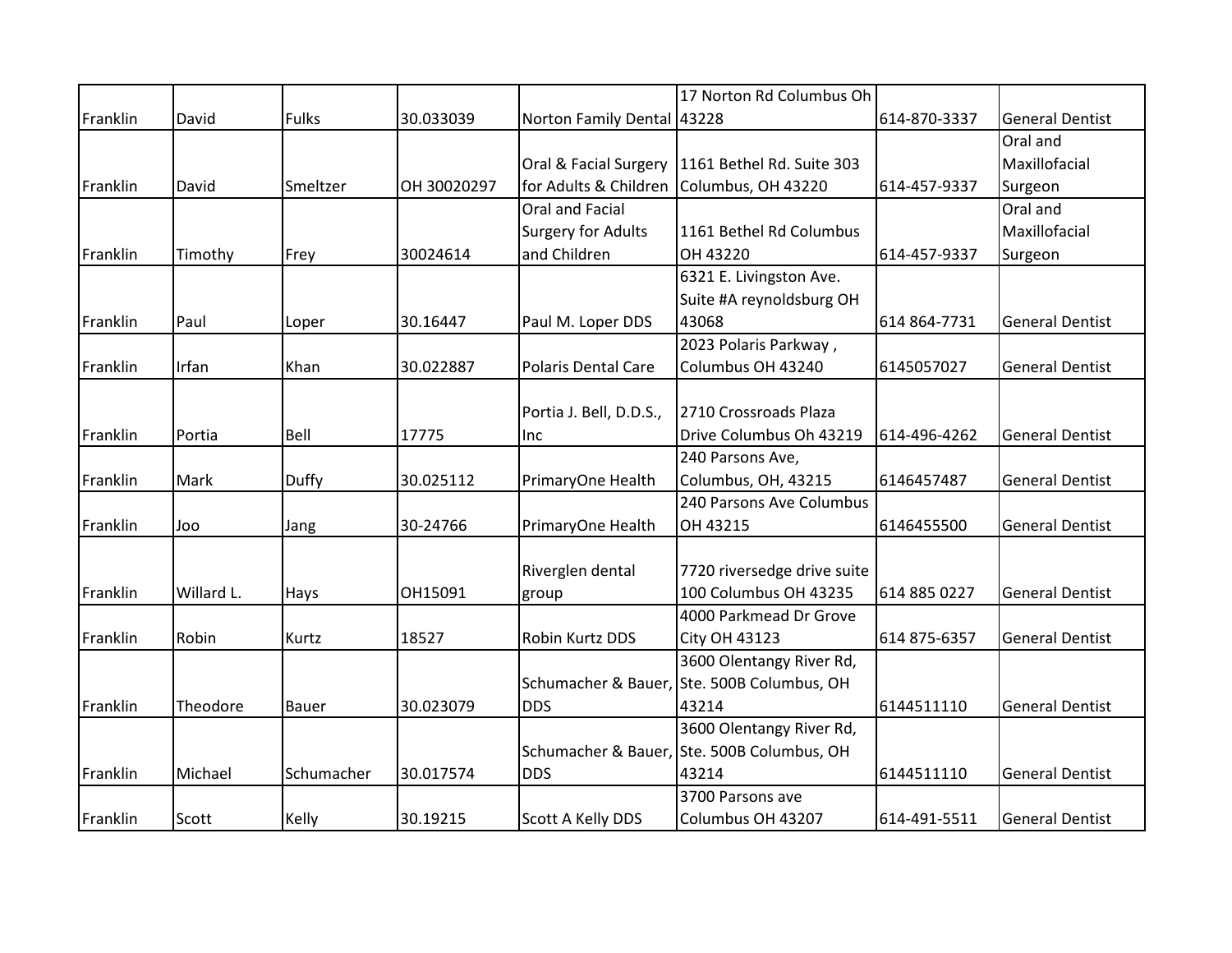|          |            |            |             |                            | 17 Norton Rd Columbus Oh                          |              |                        |
|----------|------------|------------|-------------|----------------------------|---------------------------------------------------|--------------|------------------------|
| Franklin | David      | Fulks      | 30.033039   | Norton Family Dental 43228 |                                                   | 614-870-3337 | <b>General Dentist</b> |
|          |            |            |             |                            |                                                   |              | Oral and               |
|          |            |            |             |                            | Oral & Facial Surgery   1161 Bethel Rd. Suite 303 |              | Maxillofacial          |
| Franklin | David      | Smeltzer   | OH 30020297 |                            | for Adults & Children Columbus, OH 43220          | 614-457-9337 | Surgeon                |
|          |            |            |             | Oral and Facial            |                                                   |              | Oral and               |
|          |            |            |             | <b>Surgery for Adults</b>  | 1161 Bethel Rd Columbus                           |              | Maxillofacial          |
| Franklin | Timothy    | Frey       | 30024614    | and Children               | OH 43220                                          | 614-457-9337 | Surgeon                |
|          |            |            |             |                            | 6321 E. Livingston Ave.                           |              |                        |
|          |            |            |             |                            | Suite #A reynoldsburg OH                          |              |                        |
| Franklin | Paul       | Loper      | 30.16447    | Paul M. Loper DDS          | 43068                                             | 614 864-7731 | <b>General Dentist</b> |
|          |            |            |             |                            | 2023 Polaris Parkway,                             |              |                        |
| Franklin | Irfan      | Khan       | 30.022887   | <b>Polaris Dental Care</b> | Columbus OH 43240                                 | 6145057027   | <b>General Dentist</b> |
|          |            |            |             |                            |                                                   |              |                        |
|          |            |            |             | Portia J. Bell, D.D.S.,    | 2710 Crossroads Plaza                             |              |                        |
| Franklin | Portia     | Bell       | 17775       | Inc                        | Drive Columbus Oh 43219                           | 614-496-4262 | <b>General Dentist</b> |
|          |            |            |             |                            | 240 Parsons Ave,                                  |              |                        |
| Franklin | Mark       | Duffy      | 30.025112   | PrimaryOne Health          | Columbus, OH, 43215                               | 6146457487   | <b>General Dentist</b> |
|          |            |            |             |                            | 240 Parsons Ave Columbus                          |              |                        |
| Franklin | Joo        | Jang       | 30-24766    | PrimaryOne Health          | OH 43215                                          | 6146455500   | <b>General Dentist</b> |
|          |            |            |             |                            |                                                   |              |                        |
|          |            |            |             | Riverglen dental           | 7720 riversedge drive suite                       |              |                        |
| Franklin | Willard L. | Hays       | OH15091     | group                      | 100 Columbus OH 43235                             | 614 885 0227 | <b>General Dentist</b> |
|          |            |            |             |                            | 4000 Parkmead Dr Grove                            |              |                        |
| Franklin | Robin      | Kurtz      | 18527       | Robin Kurtz DDS            | <b>City OH 43123</b>                              | 614 875-6357 | <b>General Dentist</b> |
|          |            |            |             |                            | 3600 Olentangy River Rd,                          |              |                        |
|          |            |            |             |                            | Schumacher & Bauer, Ste. 500B Columbus, OH        |              |                        |
| Franklin | Theodore   | Bauer      | 30.023079   | <b>DDS</b>                 | 43214                                             | 6144511110   | <b>General Dentist</b> |
|          |            |            |             |                            | 3600 Olentangy River Rd,                          |              |                        |
|          |            |            |             |                            | Schumacher & Bauer, Ste. 500B Columbus, OH        |              |                        |
| Franklin | Michael    | Schumacher | 30.017574   | <b>DDS</b>                 | 43214                                             | 6144511110   | <b>General Dentist</b> |
|          |            |            |             |                            | 3700 Parsons ave                                  |              |                        |
| Franklin | Scott      | Kelly      | 30.19215    | Scott A Kelly DDS          | Columbus OH 43207                                 | 614-491-5511 | <b>General Dentist</b> |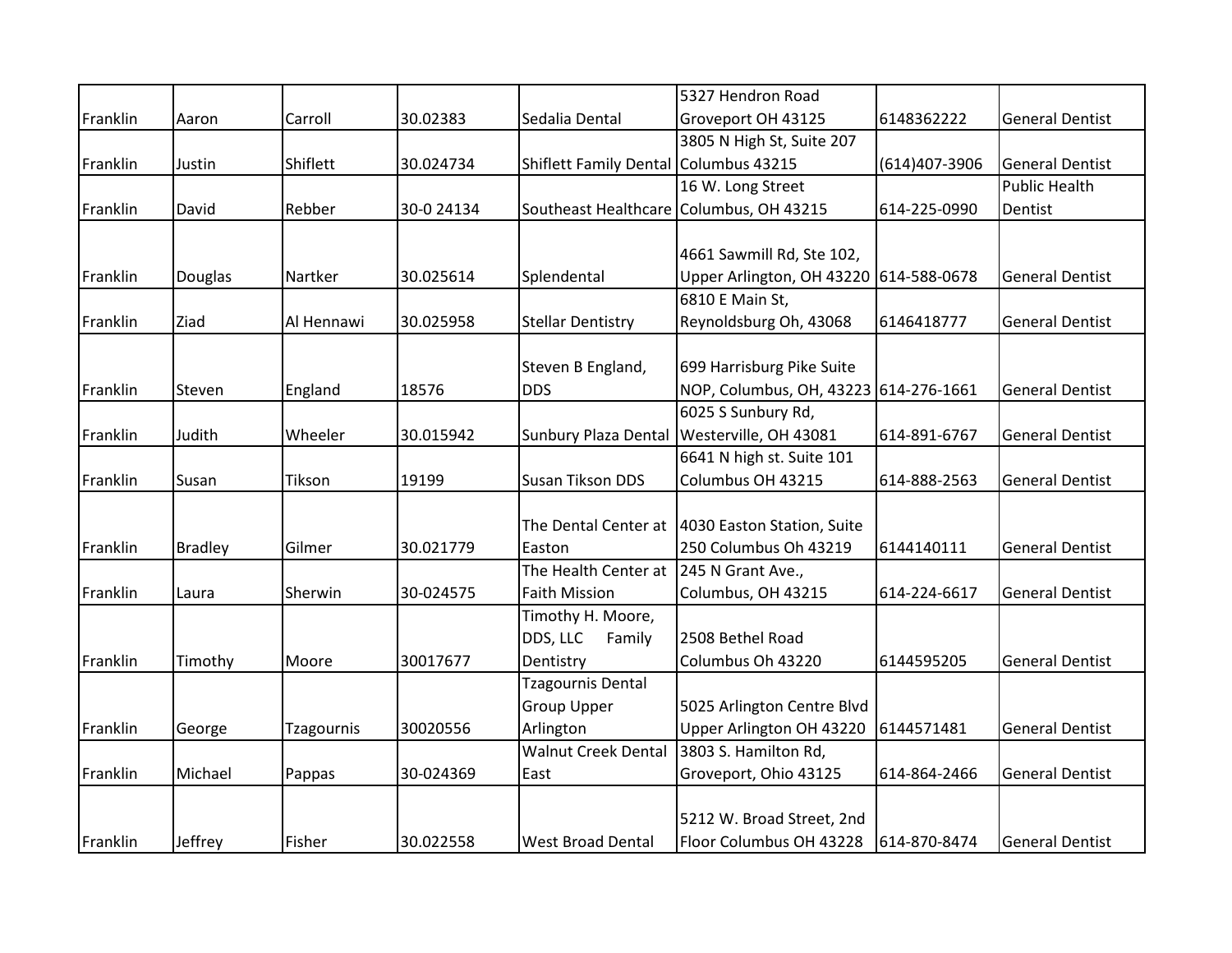|          |                |                   |            |                                       | 5327 Hendron Road                                |               |                        |
|----------|----------------|-------------------|------------|---------------------------------------|--------------------------------------------------|---------------|------------------------|
| Franklin | Aaron          | Carroll           | 30.02383   | Sedalia Dental                        | Groveport OH 43125                               | 6148362222    | <b>General Dentist</b> |
|          |                |                   |            |                                       | 3805 N High St, Suite 207                        |               |                        |
| Franklin | Justin         | Shiflett          | 30.024734  | Shiflett Family Dental Columbus 43215 |                                                  | (614)407-3906 | <b>General Dentist</b> |
|          |                |                   |            |                                       | 16 W. Long Street                                |               | <b>Public Health</b>   |
| Franklin | David          | Rebber            | 30-0 24134 |                                       | Southeast Healthcare Columbus, OH 43215          | 614-225-0990  | Dentist                |
|          |                |                   |            |                                       |                                                  |               |                        |
|          |                |                   |            |                                       | 4661 Sawmill Rd, Ste 102,                        |               |                        |
| Franklin | Douglas        | Nartker           | 30.025614  | Splendental                           | Upper Arlington, OH 43220 614-588-0678           |               | <b>General Dentist</b> |
|          |                |                   |            |                                       | 6810 E Main St,                                  |               |                        |
| Franklin | Ziad           | Al Hennawi        | 30.025958  | <b>Stellar Dentistry</b>              | Reynoldsburg Oh, 43068                           | 6146418777    | <b>General Dentist</b> |
|          |                |                   |            |                                       |                                                  |               |                        |
|          |                |                   |            | Steven B England,                     | 699 Harrisburg Pike Suite                        |               |                        |
| Franklin | Steven         | England           | 18576      | <b>DDS</b>                            | NOP, Columbus, OH, 43223 614-276-1661            |               | <b>General Dentist</b> |
|          |                |                   |            |                                       | 6025 S Sunbury Rd,                               |               |                        |
| Franklin | Judith         | Wheeler           | 30.015942  | Sunbury Plaza Dental                  | Westerville, OH 43081                            | 614-891-6767  | <b>General Dentist</b> |
|          |                |                   |            |                                       | 6641 N high st. Suite 101                        |               |                        |
| Franklin | Susan          | Tikson            | 19199      | Susan Tikson DDS                      | Columbus OH 43215                                | 614-888-2563  | <b>General Dentist</b> |
|          |                |                   |            |                                       |                                                  |               |                        |
|          |                |                   |            |                                       | The Dental Center at  4030 Easton Station, Suite |               |                        |
| Franklin | <b>Bradley</b> | Gilmer            | 30.021779  | Easton                                | 250 Columbus Oh 43219                            | 6144140111    | <b>General Dentist</b> |
|          |                |                   |            | The Health Center at                  | 245 N Grant Ave.,                                |               |                        |
| Franklin | Laura          | Sherwin           | 30-024575  | <b>Faith Mission</b>                  | Columbus, OH 43215                               | 614-224-6617  | <b>General Dentist</b> |
|          |                |                   |            | Timothy H. Moore,                     |                                                  |               |                        |
|          |                |                   |            | DDS, LLC<br>Family                    | 2508 Bethel Road                                 |               |                        |
| Franklin | Timothy        | Moore             | 30017677   | Dentistry                             | Columbus Oh 43220                                | 6144595205    | <b>General Dentist</b> |
|          |                |                   |            | <b>Tzagournis Dental</b>              |                                                  |               |                        |
|          |                |                   |            | <b>Group Upper</b>                    | 5025 Arlington Centre Blvd                       |               |                        |
| Franklin | George         | <b>Tzagournis</b> | 30020556   | Arlington                             | Upper Arlington OH 43220                         | 6144571481    | <b>General Dentist</b> |
|          |                |                   |            | <b>Walnut Creek Dental</b>            | 3803 S. Hamilton Rd,                             |               |                        |
| Franklin | Michael        | Pappas            | 30-024369  | East                                  | Groveport, Ohio 43125                            | 614-864-2466  | <b>General Dentist</b> |
|          |                |                   |            |                                       |                                                  |               |                        |
|          |                |                   |            |                                       | 5212 W. Broad Street, 2nd                        |               |                        |
| Franklin | Jeffrey        | Fisher            | 30.022558  | <b>West Broad Dental</b>              | Floor Columbus OH 43228                          | 614-870-8474  | <b>General Dentist</b> |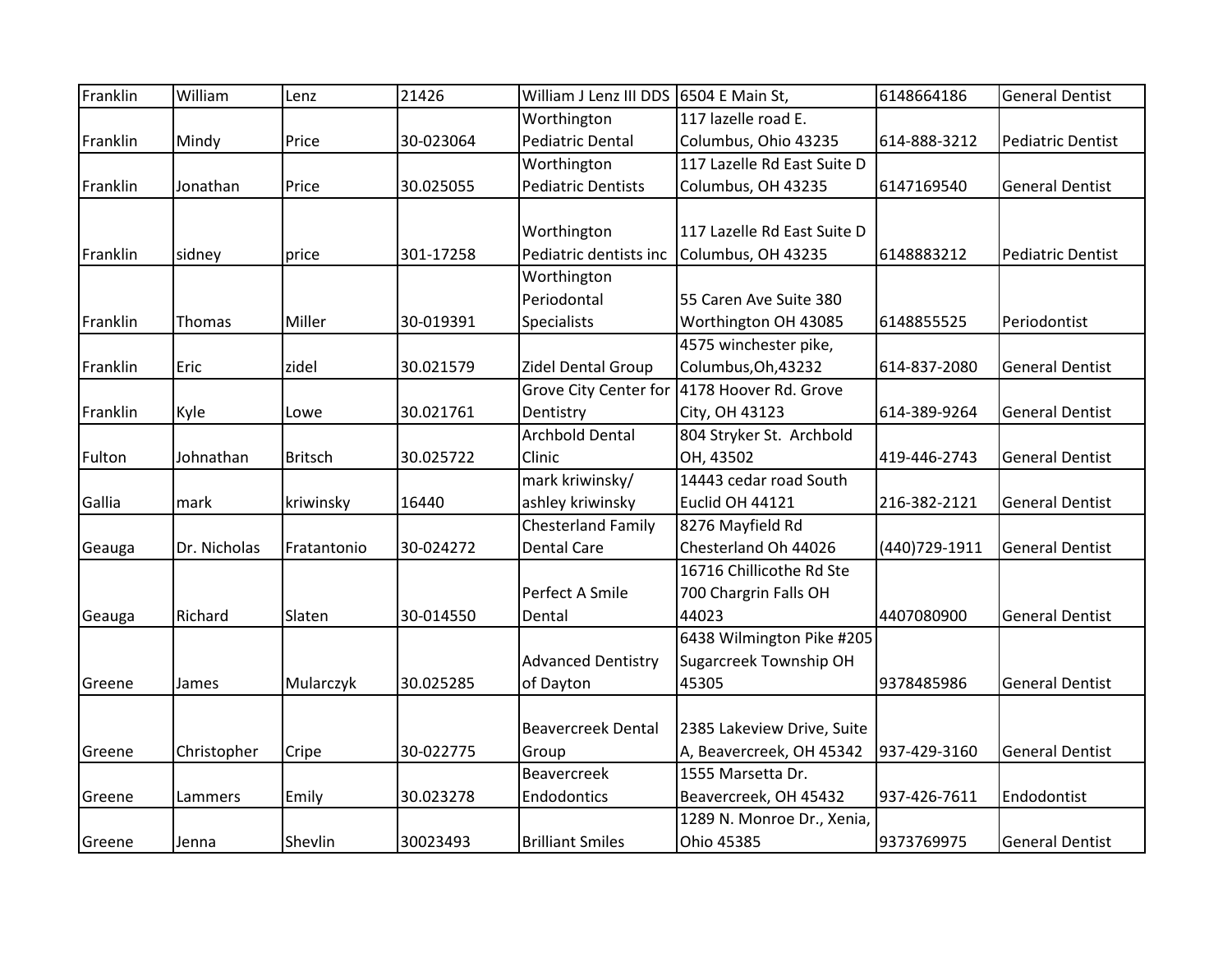| Franklin | William      | Lenz           | 21426     | William J Lenz III DDS 6504 E Main St, |                                             | 6148664186     | <b>General Dentist</b>   |
|----------|--------------|----------------|-----------|----------------------------------------|---------------------------------------------|----------------|--------------------------|
|          |              |                |           | Worthington                            | 117 lazelle road E.                         |                |                          |
| Franklin | Mindy        | Price          | 30-023064 | <b>Pediatric Dental</b>                | Columbus, Ohio 43235                        | 614-888-3212   | <b>Pediatric Dentist</b> |
|          |              |                |           | Worthington                            | 117 Lazelle Rd East Suite D                 |                |                          |
| Franklin | Jonathan     | Price          | 30.025055 | <b>Pediatric Dentists</b>              | Columbus, OH 43235                          | 6147169540     | <b>General Dentist</b>   |
|          |              |                |           |                                        |                                             |                |                          |
|          |              |                |           | Worthington                            | 117 Lazelle Rd East Suite D                 |                |                          |
| Franklin | sidney       | price          | 301-17258 | Pediatric dentists inc                 | Columbus, OH 43235                          | 6148883212     | <b>Pediatric Dentist</b> |
|          |              |                |           | Worthington                            |                                             |                |                          |
|          |              |                |           | Periodontal                            | 55 Caren Ave Suite 380                      |                |                          |
| Franklin | Thomas       | Miller         | 30-019391 | <b>Specialists</b>                     | Worthington OH 43085                        | 6148855525     | Periodontist             |
|          |              |                |           |                                        | 4575 winchester pike,                       |                |                          |
| Franklin | Eric         | zidel          | 30.021579 | Zidel Dental Group                     | Columbus, Oh, 43232                         | 614-837-2080   | <b>General Dentist</b>   |
|          |              |                |           |                                        | Grove City Center for 4178 Hoover Rd. Grove |                |                          |
| Franklin | Kyle         | Lowe           | 30.021761 | Dentistry                              | City, OH 43123                              | 614-389-9264   | <b>General Dentist</b>   |
|          |              |                |           | <b>Archbold Dental</b>                 | 804 Stryker St. Archbold                    |                |                          |
| Fulton   | Johnathan    | <b>Britsch</b> | 30.025722 | Clinic                                 | OH, 43502                                   | 419-446-2743   | <b>General Dentist</b>   |
|          |              |                |           | mark kriwinsky/                        | 14443 cedar road South                      |                |                          |
| Gallia   | mark         | kriwinsky      | 16440     | ashley kriwinsky                       | Euclid OH 44121                             | 216-382-2121   | <b>General Dentist</b>   |
|          |              |                |           | <b>Chesterland Family</b>              | 8276 Mayfield Rd                            |                |                          |
| Geauga   | Dr. Nicholas | Fratantonio    | 30-024272 | <b>Dental Care</b>                     | Chesterland Oh 44026                        | (440) 729-1911 | <b>General Dentist</b>   |
|          |              |                |           |                                        | 16716 Chillicothe Rd Ste                    |                |                          |
|          |              |                |           | Perfect A Smile                        | 700 Chargrin Falls OH                       |                |                          |
| Geauga   | Richard      | Slaten         | 30-014550 | Dental                                 | 44023                                       | 4407080900     | <b>General Dentist</b>   |
|          |              |                |           |                                        | 6438 Wilmington Pike #205                   |                |                          |
|          |              |                |           | <b>Advanced Dentistry</b>              | Sugarcreek Township OH                      |                |                          |
| Greene   | James        | Mularczyk      | 30.025285 | of Dayton                              | 45305                                       | 9378485986     | <b>General Dentist</b>   |
|          |              |                |           |                                        |                                             |                |                          |
|          |              |                |           | <b>Beavercreek Dental</b>              | 2385 Lakeview Drive, Suite                  |                |                          |
| Greene   | Christopher  | Cripe          | 30-022775 | Group                                  | A, Beavercreek, OH 45342                    | 937-429-3160   | <b>General Dentist</b>   |
|          |              |                |           | <b>Beavercreek</b>                     | 1555 Marsetta Dr.                           |                |                          |
| Greene   | Lammers      | Emily          | 30.023278 | Endodontics                            | Beavercreek, OH 45432                       | 937-426-7611   | Endodontist              |
|          |              |                |           |                                        | 1289 N. Monroe Dr., Xenia,                  |                |                          |
| Greene   | Jenna        | Shevlin        | 30023493  | <b>Brilliant Smiles</b>                | Ohio 45385                                  | 9373769975     | <b>General Dentist</b>   |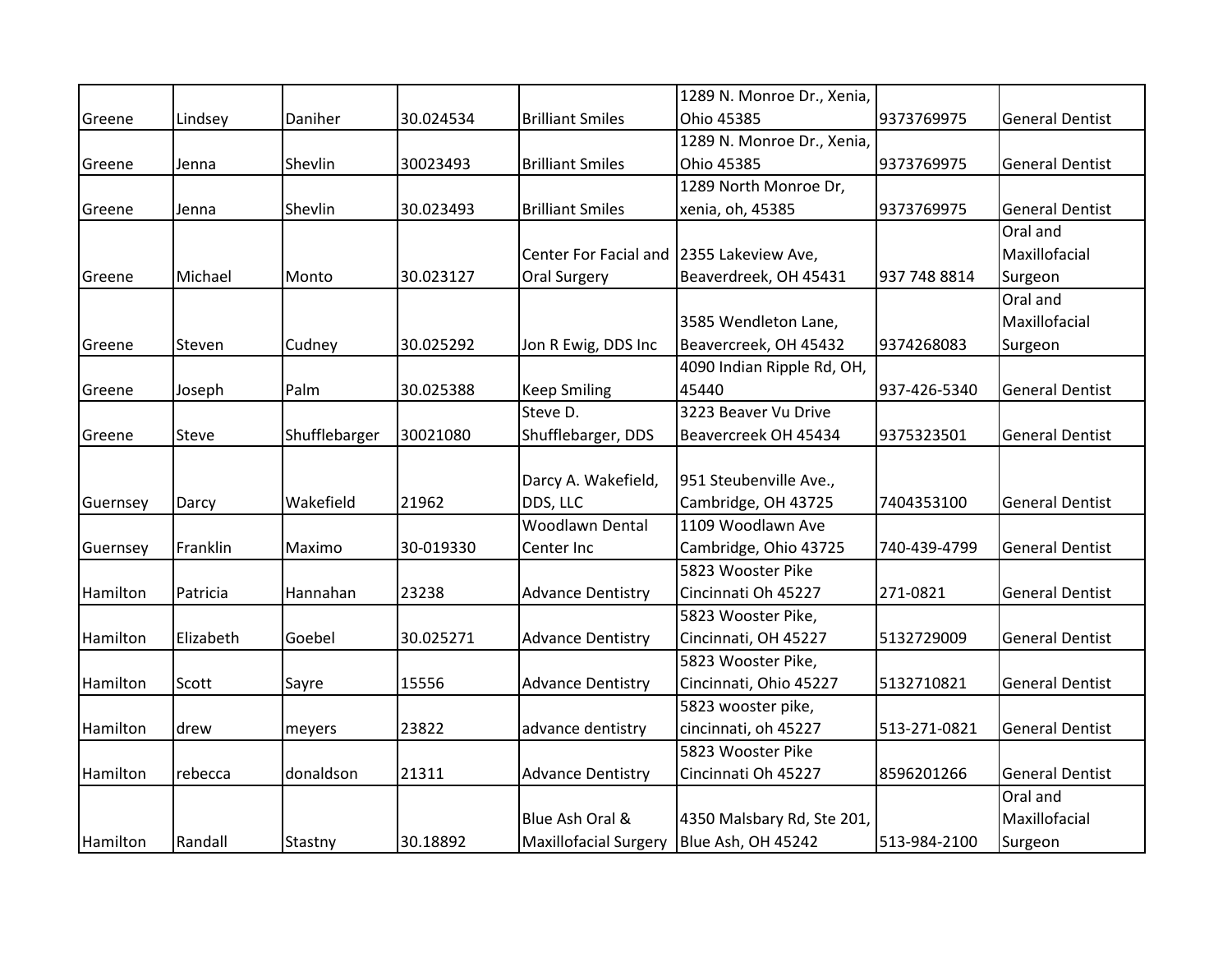|          |           |               |           |                                          | 1289 N. Monroe Dr., Xenia, |              |                        |
|----------|-----------|---------------|-----------|------------------------------------------|----------------------------|--------------|------------------------|
| Greene   | Lindsey   | Daniher       | 30.024534 | <b>Brilliant Smiles</b>                  | Ohio 45385                 | 9373769975   | <b>General Dentist</b> |
|          |           |               |           |                                          | 1289 N. Monroe Dr., Xenia, |              |                        |
| Greene   | Jenna     | Shevlin       | 30023493  | <b>Brilliant Smiles</b>                  | Ohio 45385                 | 9373769975   | <b>General Dentist</b> |
|          |           |               |           |                                          | 1289 North Monroe Dr,      |              |                        |
| Greene   | Jenna     | Shevlin       | 30.023493 | <b>Brilliant Smiles</b>                  | xenia, oh, 45385           | 9373769975   | <b>General Dentist</b> |
|          |           |               |           |                                          |                            |              | Oral and               |
|          |           |               |           | Center For Facial and 2355 Lakeview Ave, |                            |              | Maxillofacial          |
| Greene   | Michael   | Monto         | 30.023127 | <b>Oral Surgery</b>                      | Beaverdreek, OH 45431      | 937 748 8814 | Surgeon                |
|          |           |               |           |                                          |                            |              | Oral and               |
|          |           |               |           |                                          | 3585 Wendleton Lane,       |              | Maxillofacial          |
| Greene   | Steven    | Cudney        | 30.025292 | Jon R Ewig, DDS Inc                      | Beavercreek, OH 45432      | 9374268083   | Surgeon                |
|          |           |               |           |                                          | 4090 Indian Ripple Rd, OH, |              |                        |
| Greene   | Joseph    | Palm          | 30.025388 | <b>Keep Smiling</b>                      | 45440                      | 937-426-5340 | <b>General Dentist</b> |
|          |           |               |           | Steve D.                                 | 3223 Beaver Vu Drive       |              |                        |
| Greene   | Steve     | Shufflebarger | 30021080  | Shufflebarger, DDS                       | Beavercreek OH 45434       | 9375323501   | <b>General Dentist</b> |
|          |           |               |           |                                          |                            |              |                        |
|          |           |               |           | Darcy A. Wakefield,                      | 951 Steubenville Ave.,     |              |                        |
| Guernsey | Darcy     | Wakefield     | 21962     | DDS, LLC                                 | Cambridge, OH 43725        | 7404353100   | <b>General Dentist</b> |
|          |           |               |           | <b>Woodlawn Dental</b>                   | 1109 Woodlawn Ave          |              |                        |
| Guernsey | Franklin  | Maximo        | 30-019330 | Center Inc                               | Cambridge, Ohio 43725      | 740-439-4799 | <b>General Dentist</b> |
|          |           |               |           |                                          | 5823 Wooster Pike          |              |                        |
| Hamilton | Patricia  | Hannahan      | 23238     | <b>Advance Dentistry</b>                 | Cincinnati Oh 45227        | 271-0821     | <b>General Dentist</b> |
|          |           |               |           |                                          | 5823 Wooster Pike,         |              |                        |
| Hamilton | Elizabeth | Goebel        | 30.025271 | <b>Advance Dentistry</b>                 | Cincinnati, OH 45227       | 5132729009   | <b>General Dentist</b> |
|          |           |               |           |                                          | 5823 Wooster Pike,         |              |                        |
| Hamilton | Scott     | Sayre         | 15556     | <b>Advance Dentistry</b>                 | Cincinnati, Ohio 45227     | 5132710821   | <b>General Dentist</b> |
|          |           |               |           |                                          | 5823 wooster pike,         |              |                        |
| Hamilton | drew      | meyers        | 23822     | advance dentistry                        | cincinnati, oh 45227       | 513-271-0821 | <b>General Dentist</b> |
|          |           |               |           |                                          | 5823 Wooster Pike          |              |                        |
| Hamilton | rebecca   | donaldson     | 21311     | <b>Advance Dentistry</b>                 | Cincinnati Oh 45227        | 8596201266   | <b>General Dentist</b> |
|          |           |               |           |                                          |                            |              | Oral and               |
|          |           |               |           | Blue Ash Oral &                          | 4350 Malsbary Rd, Ste 201, |              | Maxillofacial          |
| Hamilton | Randall   | Stastny       | 30.18892  | <b>Maxillofacial Surgery</b>             | Blue Ash, OH 45242         | 513-984-2100 | Surgeon                |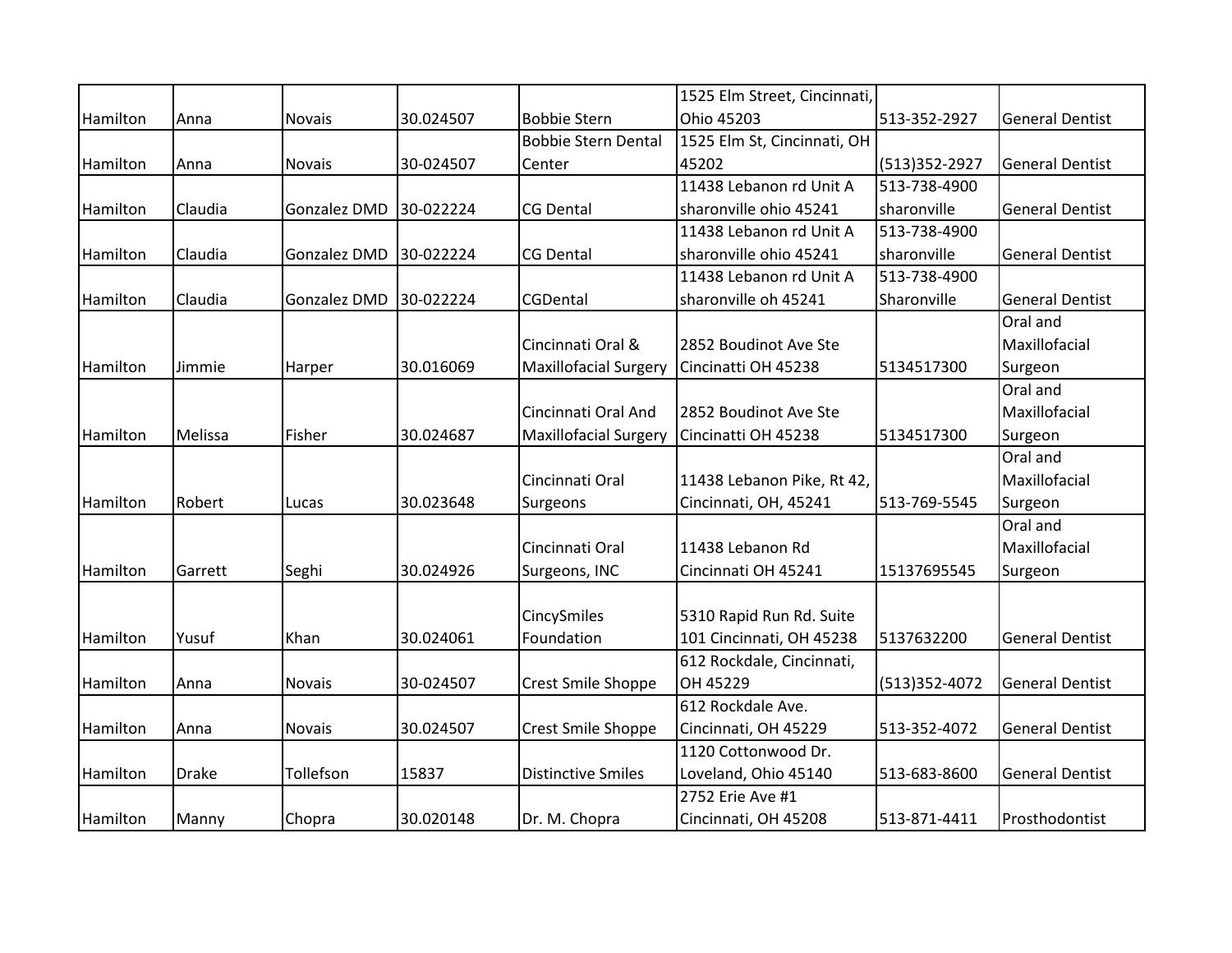|          |              |              |           |                              | 1525 Elm Street, Cincinnati, |                 |                        |
|----------|--------------|--------------|-----------|------------------------------|------------------------------|-----------------|------------------------|
| Hamilton | Anna         | Novais       | 30.024507 | <b>Bobbie Stern</b>          | Ohio 45203                   | 513-352-2927    | <b>General Dentist</b> |
|          |              |              |           | <b>Bobbie Stern Dental</b>   | 1525 Elm St, Cincinnati, OH  |                 |                        |
| Hamilton | Anna         | Novais       | 30-024507 | Center                       | 45202                        | (513)352-2927   | <b>General Dentist</b> |
|          |              |              |           |                              | 11438 Lebanon rd Unit A      | 513-738-4900    |                        |
| Hamilton | Claudia      | Gonzalez DMD | 30-022224 | <b>CG Dental</b>             | sharonville ohio 45241       | sharonville     | <b>General Dentist</b> |
|          |              |              |           |                              | 11438 Lebanon rd Unit A      | 513-738-4900    |                        |
| Hamilton | Claudia      | Gonzalez DMD | 30-022224 | <b>CG Dental</b>             | sharonville ohio 45241       | sharonville     | <b>General Dentist</b> |
|          |              |              |           |                              | 11438 Lebanon rd Unit A      | 513-738-4900    |                        |
| Hamilton | Claudia      | Gonzalez DMD | 30-022224 | CGDental                     | sharonville oh 45241         | Sharonville     | <b>General Dentist</b> |
|          |              |              |           |                              |                              |                 | Oral and               |
|          |              |              |           | Cincinnati Oral &            | 2852 Boudinot Ave Ste        |                 | Maxillofacial          |
| Hamilton | Jimmie       | Harper       | 30.016069 | <b>Maxillofacial Surgery</b> | Cincinatti OH 45238          | 5134517300      | Surgeon                |
|          |              |              |           |                              |                              |                 | Oral and               |
|          |              |              |           | Cincinnati Oral And          | 2852 Boudinot Ave Ste        |                 | Maxillofacial          |
| Hamilton | Melissa      | Fisher       | 30.024687 | <b>Maxillofacial Surgery</b> | Cincinatti OH 45238          | 5134517300      | Surgeon                |
|          |              |              |           |                              |                              |                 | Oral and               |
|          |              |              |           | Cincinnati Oral              | 11438 Lebanon Pike, Rt 42,   |                 | Maxillofacial          |
| Hamilton | Robert       | Lucas        | 30.023648 | Surgeons                     | Cincinnati, OH, 45241        | 513-769-5545    | Surgeon                |
|          |              |              |           |                              |                              |                 | Oral and               |
|          |              |              |           | Cincinnati Oral              | 11438 Lebanon Rd             |                 | Maxillofacial          |
| Hamilton | Garrett      | Seghi        | 30.024926 | Surgeons, INC                | Cincinnati OH 45241          | 15137695545     | Surgeon                |
|          |              |              |           |                              |                              |                 |                        |
|          |              |              |           | CincySmiles                  | 5310 Rapid Run Rd. Suite     |                 |                        |
| Hamilton | Yusuf        | Khan         | 30.024061 | Foundation                   | 101 Cincinnati, OH 45238     | 5137632200      | <b>General Dentist</b> |
|          |              |              |           |                              | 612 Rockdale, Cincinnati,    |                 |                        |
| Hamilton | Anna         | Novais       | 30-024507 | Crest Smile Shoppe           | OH 45229                     | $(513)352-4072$ | <b>General Dentist</b> |
|          |              |              |           |                              | 612 Rockdale Ave.            |                 |                        |
| Hamilton | Anna         | Novais       | 30.024507 | Crest Smile Shoppe           | Cincinnati, OH 45229         | 513-352-4072    | <b>General Dentist</b> |
|          |              |              |           |                              | 1120 Cottonwood Dr.          |                 |                        |
| Hamilton | <b>Drake</b> | Tollefson    | 15837     | <b>Distinctive Smiles</b>    | Loveland, Ohio 45140         | 513-683-8600    | <b>General Dentist</b> |
|          |              |              |           |                              | 2752 Erie Ave #1             |                 |                        |
| Hamilton | Manny        | Chopra       | 30.020148 | Dr. M. Chopra                | Cincinnati, OH 45208         | 513-871-4411    | Prosthodontist         |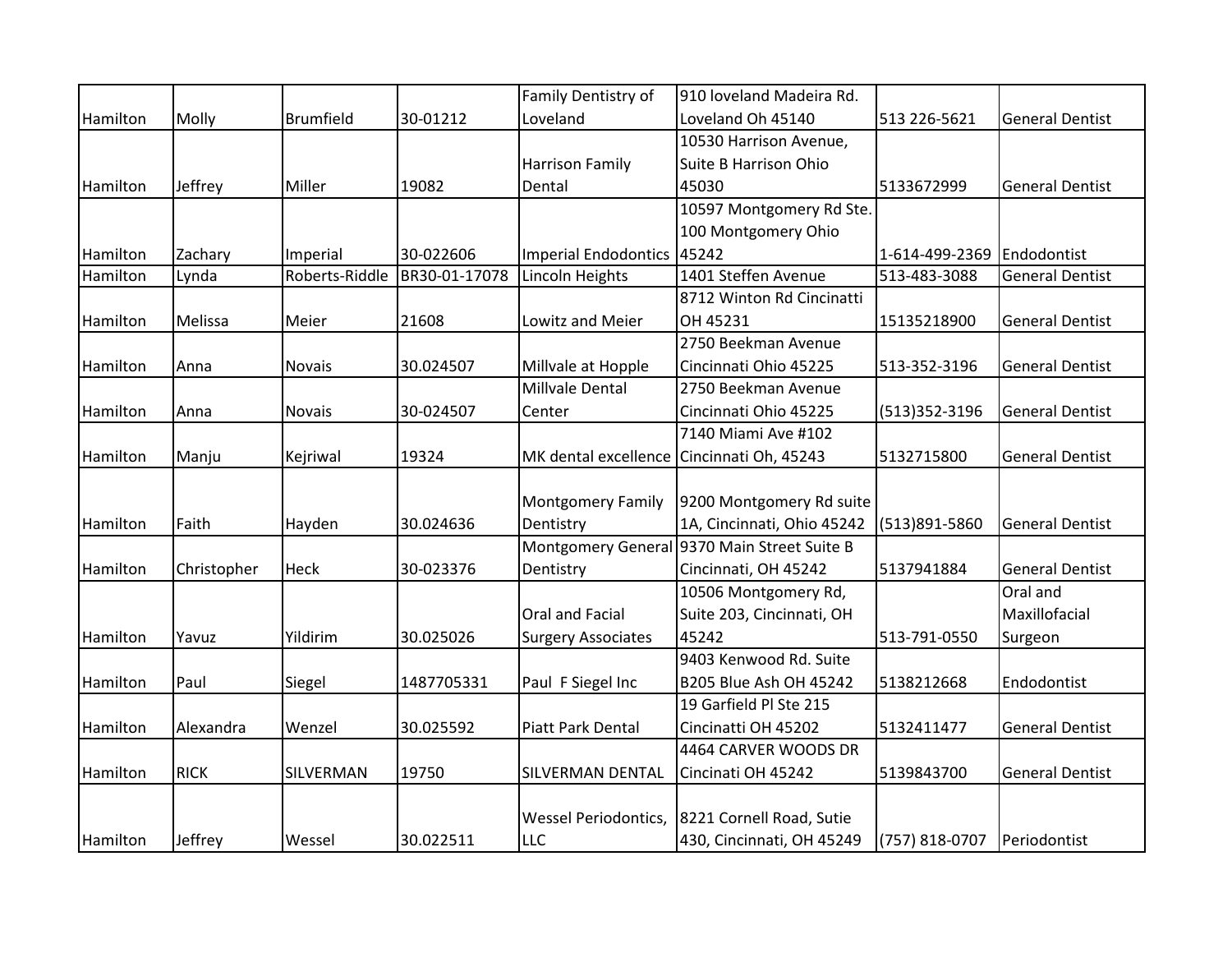|          |             |                  |               | Family Dentistry of                       | 910 loveland Madeira Rd.                    |                |                        |
|----------|-------------|------------------|---------------|-------------------------------------------|---------------------------------------------|----------------|------------------------|
| Hamilton | Molly       | <b>Brumfield</b> | 30-01212      | Loveland                                  | Loveland Oh 45140                           | 513 226-5621   | <b>General Dentist</b> |
|          |             |                  |               |                                           | 10530 Harrison Avenue,                      |                |                        |
|          |             |                  |               | <b>Harrison Family</b>                    | <b>Suite B Harrison Ohio</b>                |                |                        |
| Hamilton | Jeffrey     | Miller           | 19082         | Dental                                    | 45030                                       | 5133672999     | <b>General Dentist</b> |
|          |             |                  |               |                                           | 10597 Montgomery Rd Ste.                    |                |                        |
|          |             |                  |               |                                           | 100 Montgomery Ohio                         |                |                        |
| Hamilton | Zachary     | Imperial         | 30-022606     | Imperial Endodontics 45242                |                                             | 1-614-499-2369 | Endodontist            |
| Hamilton | Lynda       | Roberts-Riddle   | BR30-01-17078 | Lincoln Heights                           | 1401 Steffen Avenue                         | 513-483-3088   | <b>General Dentist</b> |
|          |             |                  |               |                                           | 8712 Winton Rd Cincinatti                   |                |                        |
| Hamilton | Melissa     | Meier            | 21608         | Lowitz and Meier                          | OH 45231                                    | 15135218900    | <b>General Dentist</b> |
|          |             |                  |               |                                           | 2750 Beekman Avenue                         |                |                        |
| Hamilton | Anna        | Novais           | 30.024507     | Millvale at Hopple                        | Cincinnati Ohio 45225                       | 513-352-3196   | <b>General Dentist</b> |
|          |             |                  |               | Millvale Dental                           | 2750 Beekman Avenue                         |                |                        |
| Hamilton | Anna        | Novais           | 30-024507     | Center                                    | Cincinnati Ohio 45225                       | (513)352-3196  | <b>General Dentist</b> |
|          |             |                  |               |                                           | 7140 Miami Ave #102                         |                |                        |
| Hamilton | Manju       | Kejriwal         | 19324         | MK dental excellence Cincinnati Oh, 45243 |                                             | 5132715800     | <b>General Dentist</b> |
|          |             |                  |               |                                           |                                             |                |                        |
|          |             |                  |               | <b>Montgomery Family</b>                  | 9200 Montgomery Rd suite                    |                |                        |
| Hamilton | Faith       | Hayden           | 30.024636     | Dentistry                                 | 1A, Cincinnati, Ohio 45242                  | (513)891-5860  | <b>General Dentist</b> |
|          |             |                  |               |                                           | Montgomery General 9370 Main Street Suite B |                |                        |
| Hamilton | Christopher | Heck             | 30-023376     | Dentistry                                 | Cincinnati, OH 45242                        | 5137941884     | <b>General Dentist</b> |
|          |             |                  |               |                                           | 10506 Montgomery Rd,                        |                | Oral and               |
|          |             |                  |               | Oral and Facial                           | Suite 203, Cincinnati, OH                   |                | Maxillofacial          |
| Hamilton | Yavuz       | Yildirim         | 30.025026     | <b>Surgery Associates</b>                 | 45242                                       | 513-791-0550   | Surgeon                |
|          |             |                  |               |                                           | 9403 Kenwood Rd. Suite                      |                |                        |
| Hamilton | Paul        | Siegel           | 1487705331    | Paul F Siegel Inc                         | <b>B205 Blue Ash OH 45242</b>               | 5138212668     | Endodontist            |
|          |             |                  |               |                                           | 19 Garfield Pl Ste 215                      |                |                        |
| Hamilton | Alexandra   | Wenzel           | 30.025592     | Piatt Park Dental                         | Cincinatti OH 45202                         | 5132411477     | <b>General Dentist</b> |
|          |             |                  |               |                                           | 4464 CARVER WOODS DR                        |                |                        |
| Hamilton | <b>RICK</b> | SILVERMAN        | 19750         | SILVERMAN DENTAL                          | Cincinati OH 45242                          | 5139843700     | <b>General Dentist</b> |
|          |             |                  |               |                                           |                                             |                |                        |
|          |             |                  |               | <b>Wessel Periodontics,</b>               | 8221 Cornell Road, Sutie                    |                |                        |
| Hamilton | Jeffrey     | Wessel           | 30.022511     | <b>LLC</b>                                | 430, Cincinnati, OH 45249                   | (757) 818-0707 | Periodontist           |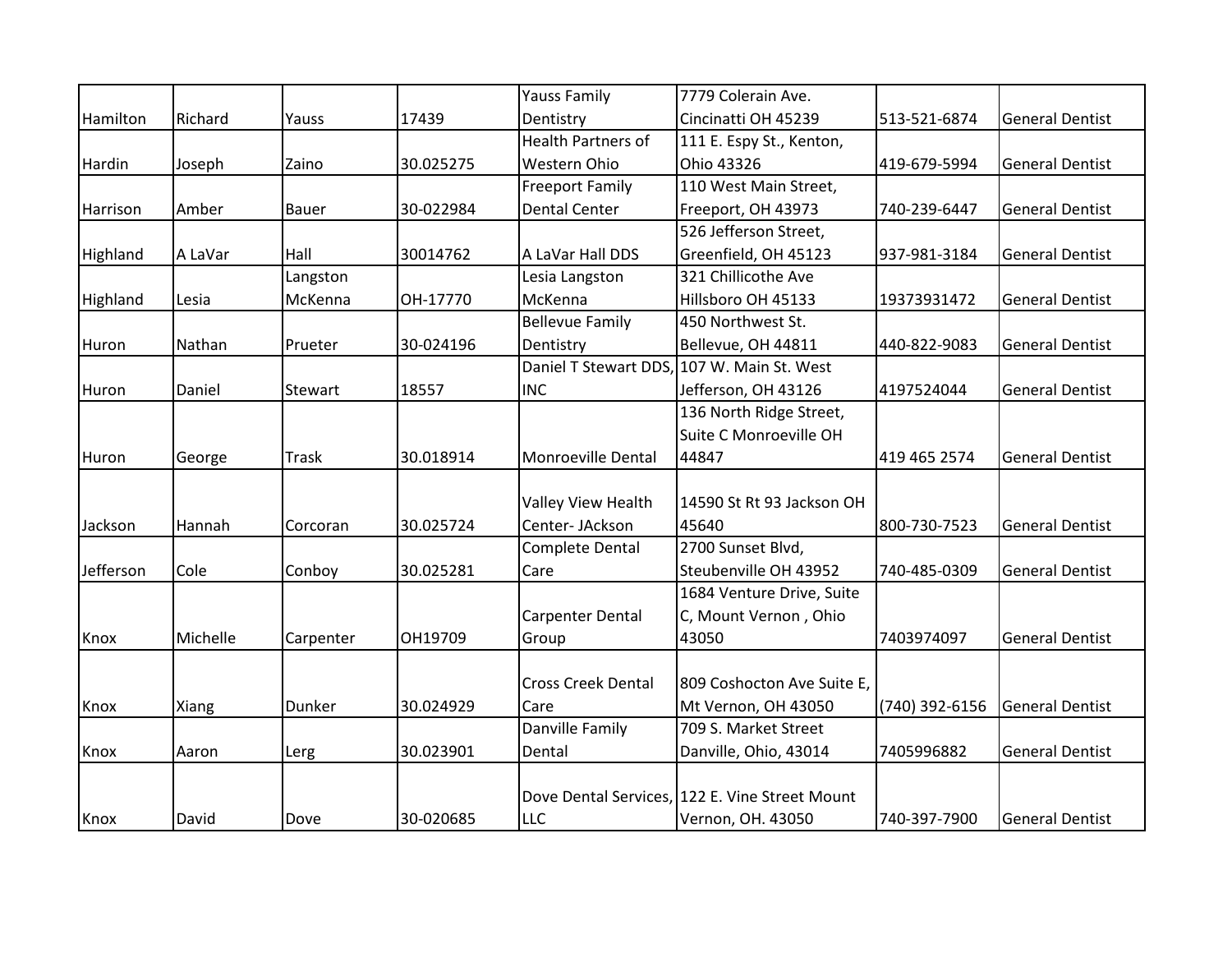|           |          |              |           | <b>Yauss Family</b>       | 7779 Colerain Ave.                             |                |                        |
|-----------|----------|--------------|-----------|---------------------------|------------------------------------------------|----------------|------------------------|
| Hamilton  | Richard  | Yauss        | 17439     | Dentistry                 | Cincinatti OH 45239                            | 513-521-6874   | <b>General Dentist</b> |
|           |          |              |           | <b>Health Partners of</b> | 111 E. Espy St., Kenton,                       |                |                        |
| Hardin    | Joseph   | Zaino        | 30.025275 | Western Ohio              | Ohio 43326                                     | 419-679-5994   | <b>General Dentist</b> |
|           |          |              |           | <b>Freeport Family</b>    | 110 West Main Street,                          |                |                        |
| Harrison  | Amber    | Bauer        | 30-022984 | <b>Dental Center</b>      | Freeport, OH 43973                             | 740-239-6447   | <b>General Dentist</b> |
|           |          |              |           |                           | 526 Jefferson Street,                          |                |                        |
| Highland  | A LaVar  | Hall         | 30014762  | A LaVar Hall DDS          | Greenfield, OH 45123                           | 937-981-3184   | <b>General Dentist</b> |
|           |          | Langston     |           | Lesia Langston            | 321 Chillicothe Ave                            |                |                        |
| Highland  | Lesia    | McKenna      | OH-17770  | McKenna                   | Hillsboro OH 45133                             | 19373931472    | <b>General Dentist</b> |
|           |          |              |           | <b>Bellevue Family</b>    | 450 Northwest St.                              |                |                        |
| Huron     | Nathan   | Prueter      | 30-024196 | Dentistry                 | Bellevue, OH 44811                             | 440-822-9083   | <b>General Dentist</b> |
|           |          |              |           | Daniel T Stewart DDS,     | 107 W. Main St. West                           |                |                        |
| Huron     | Daniel   | Stewart      | 18557     | <b>INC</b>                | Jefferson, OH 43126                            | 4197524044     | <b>General Dentist</b> |
|           |          |              |           |                           | 136 North Ridge Street,                        |                |                        |
|           |          |              |           |                           | Suite C Monroeville OH                         |                |                        |
| Huron     | George   | <b>Trask</b> | 30.018914 | Monroeville Dental        | 44847                                          | 419 465 2574   | <b>General Dentist</b> |
|           |          |              |           |                           |                                                |                |                        |
|           |          |              |           | Valley View Health        | 14590 St Rt 93 Jackson OH                      |                |                        |
| Jackson   | Hannah   | Corcoran     | 30.025724 | Center- JAckson           | 45640                                          | 800-730-7523   | <b>General Dentist</b> |
|           |          |              |           | <b>Complete Dental</b>    | 2700 Sunset Blvd,                              |                |                        |
| Jefferson | Cole     | Conboy       | 30.025281 | Care                      | Steubenville OH 43952                          | 740-485-0309   | <b>General Dentist</b> |
|           |          |              |           |                           | 1684 Venture Drive, Suite                      |                |                        |
|           |          |              |           | <b>Carpenter Dental</b>   | C, Mount Vernon, Ohio                          |                |                        |
| Knox      | Michelle | Carpenter    | OH19709   | Group                     | 43050                                          | 7403974097     | <b>General Dentist</b> |
|           |          |              |           |                           |                                                |                |                        |
|           |          |              |           | <b>Cross Creek Dental</b> | 809 Coshocton Ave Suite E,                     |                |                        |
| Knox      | Xiang    | Dunker       | 30.024929 | Care                      | Mt Vernon, OH 43050                            | (740) 392-6156 | <b>General Dentist</b> |
|           |          |              |           | Danville Family           | 709 S. Market Street                           |                |                        |
| Knox      | Aaron    | Lerg         | 30.023901 | Dental                    | Danville, Ohio, 43014                          | 7405996882     | <b>General Dentist</b> |
|           |          |              |           |                           |                                                |                |                        |
|           |          |              |           |                           | Dove Dental Services, 122 E. Vine Street Mount |                |                        |
| Knox      | David    | Dove         | 30-020685 | <b>LLC</b>                | Vernon, OH. 43050                              | 740-397-7900   | <b>General Dentist</b> |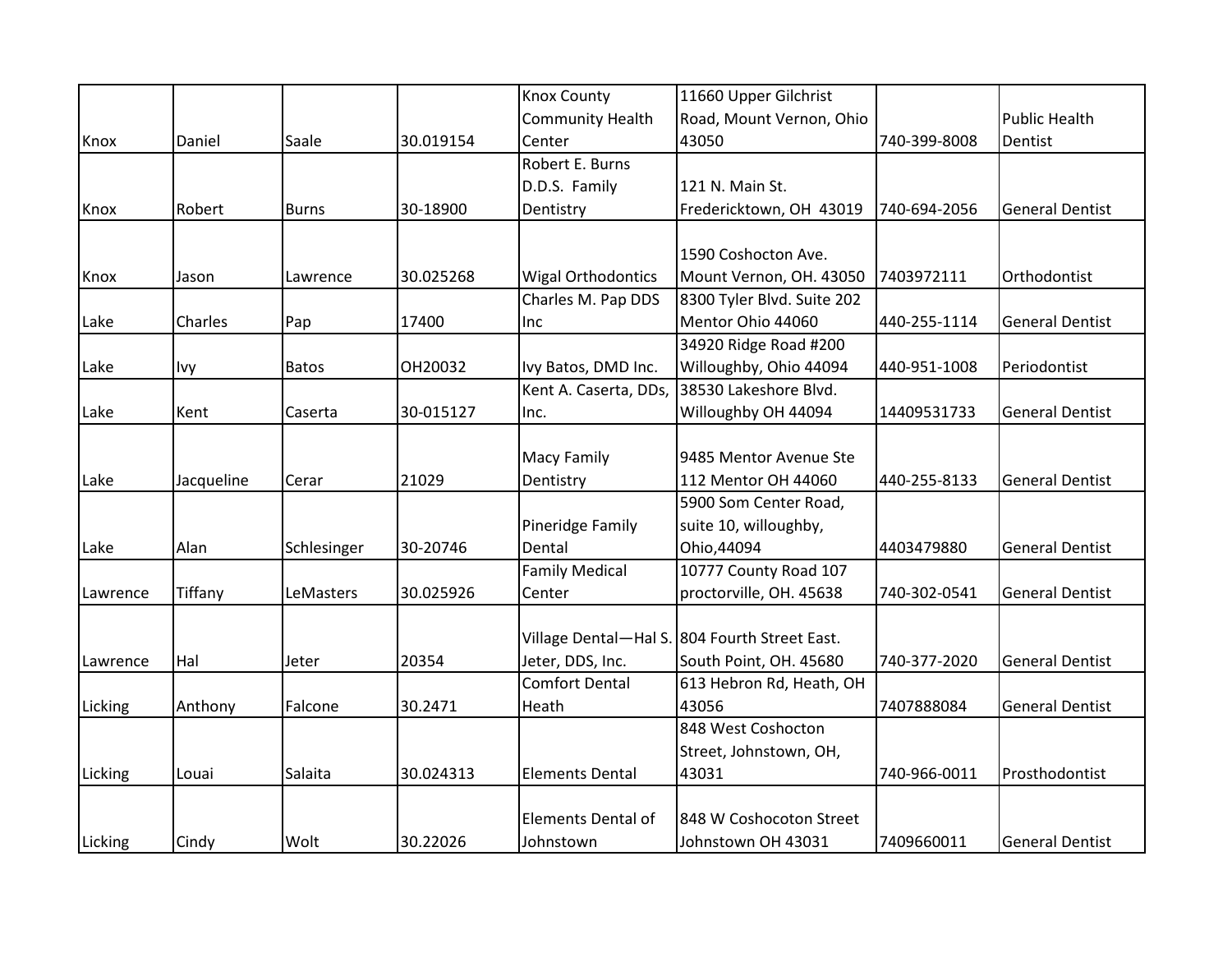|          |            |              |           | <b>Knox County</b>        | 11660 Upper Gilchrist                         |              |                        |
|----------|------------|--------------|-----------|---------------------------|-----------------------------------------------|--------------|------------------------|
|          |            |              |           | <b>Community Health</b>   | Road, Mount Vernon, Ohio                      |              | <b>Public Health</b>   |
| Knox     | Daniel     | Saale        | 30.019154 | Center                    | 43050                                         | 740-399-8008 | Dentist                |
|          |            |              |           | Robert E. Burns           |                                               |              |                        |
|          |            |              |           | D.D.S. Family             | 121 N. Main St.                               |              |                        |
| Knox     | Robert     | <b>Burns</b> | 30-18900  | Dentistry                 | Fredericktown, OH 43019                       | 740-694-2056 | <b>General Dentist</b> |
|          |            |              |           |                           |                                               |              |                        |
|          |            |              |           |                           | 1590 Coshocton Ave.                           |              |                        |
| Knox     | Jason      | Lawrence     | 30.025268 | <b>Wigal Orthodontics</b> | Mount Vernon, OH. 43050                       | 7403972111   | Orthodontist           |
|          |            |              |           | Charles M. Pap DDS        | 8300 Tyler Blvd. Suite 202                    |              |                        |
| Lake     | Charles    | Pap          | 17400     | Inc                       | Mentor Ohio 44060                             | 440-255-1114 | <b>General Dentist</b> |
|          |            |              |           |                           | 34920 Ridge Road #200                         |              |                        |
| Lake     | <b>Ivy</b> | <b>Batos</b> | OH20032   | Ivy Batos, DMD Inc.       | Willoughby, Ohio 44094                        | 440-951-1008 | Periodontist           |
|          |            |              |           | Kent A. Caserta, DDs,     | 38530 Lakeshore Blvd.                         |              |                        |
| Lake     | Kent       | Caserta      | 30-015127 | Inc.                      | Willoughby OH 44094                           | 14409531733  | <b>General Dentist</b> |
|          |            |              |           |                           |                                               |              |                        |
|          |            |              |           | Macy Family               | 9485 Mentor Avenue Ste                        |              |                        |
| Lake     | Jacqueline | Cerar        | 21029     | Dentistry                 | 112 Mentor OH 44060                           | 440-255-8133 | <b>General Dentist</b> |
|          |            |              |           |                           | 5900 Som Center Road,                         |              |                        |
|          |            |              |           | Pineridge Family          | suite 10, willoughby,                         |              |                        |
| Lake     | Alan       | Schlesinger  | 30-20746  | Dental                    | Ohio, 44094                                   | 4403479880   | <b>General Dentist</b> |
|          |            |              |           | <b>Family Medical</b>     | 10777 County Road 107                         |              |                        |
| Lawrence | Tiffany    | LeMasters    | 30.025926 | Center                    | proctorville, OH. 45638                       | 740-302-0541 | <b>General Dentist</b> |
|          |            |              |           |                           |                                               |              |                        |
|          |            |              |           |                           | Village Dental-Hal S. 804 Fourth Street East. |              |                        |
| Lawrence | Hal        | Jeter        | 20354     | Jeter, DDS, Inc.          | South Point, OH. 45680                        | 740-377-2020 | <b>General Dentist</b> |
|          |            |              |           | <b>Comfort Dental</b>     | 613 Hebron Rd, Heath, OH                      |              |                        |
| Licking  | Anthony    | Falcone      | 30.2471   | Heath                     | 43056                                         | 7407888084   | <b>General Dentist</b> |
|          |            |              |           |                           | 848 West Coshocton                            |              |                        |
|          |            |              |           |                           | Street, Johnstown, OH,                        |              |                        |
| Licking  | Louai      | Salaita      | 30.024313 | <b>Elements Dental</b>    | 43031                                         | 740-966-0011 | Prosthodontist         |
|          |            |              |           |                           |                                               |              |                        |
|          |            |              |           | <b>Elements Dental of</b> | 848 W Coshocoton Street                       |              |                        |
| Licking  | Cindy      | Wolt         | 30.22026  | Johnstown                 | Johnstown OH 43031                            | 7409660011   | <b>General Dentist</b> |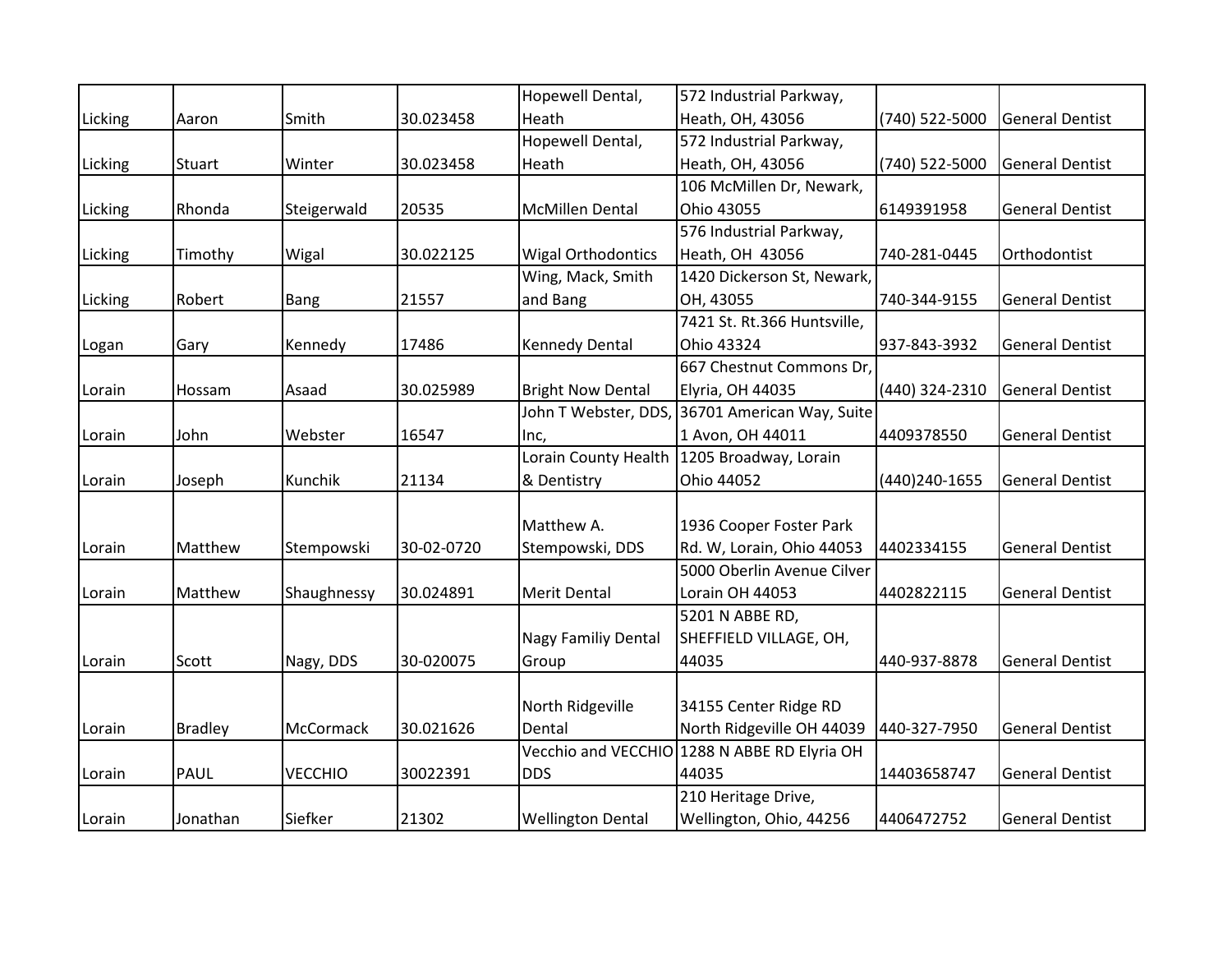|         |                |                |            | Hopewell Dental,            | 572 Industrial Parkway,                        |                |                        |
|---------|----------------|----------------|------------|-----------------------------|------------------------------------------------|----------------|------------------------|
| Licking | Aaron          | Smith          | 30.023458  | Heath                       | Heath, OH, 43056                               | (740) 522-5000 | <b>General Dentist</b> |
|         |                |                |            | Hopewell Dental,            | 572 Industrial Parkway,                        |                |                        |
| Licking | Stuart         | Winter         | 30.023458  | Heath                       | Heath, OH, 43056                               | (740) 522-5000 | <b>General Dentist</b> |
|         |                |                |            |                             | 106 McMillen Dr, Newark,                       |                |                        |
| Licking | Rhonda         | Steigerwald    | 20535      | <b>McMillen Dental</b>      | Ohio 43055                                     | 6149391958     | <b>General Dentist</b> |
|         |                |                |            |                             | 576 Industrial Parkway,                        |                |                        |
| Licking | Timothy        | Wigal          | 30.022125  | <b>Wigal Orthodontics</b>   | Heath, OH 43056                                | 740-281-0445   | Orthodontist           |
|         |                |                |            | Wing, Mack, Smith           | 1420 Dickerson St, Newark,                     |                |                        |
| Licking | Robert         | Bang           | 21557      | and Bang                    | OH, 43055                                      | 740-344-9155   | <b>General Dentist</b> |
|         |                |                |            |                             | 7421 St. Rt.366 Huntsville,                    |                |                        |
| Logan   | Gary           | Kennedy        | 17486      | <b>Kennedy Dental</b>       | Ohio 43324                                     | 937-843-3932   | <b>General Dentist</b> |
|         |                |                |            |                             | 667 Chestnut Commons Dr,                       |                |                        |
| Lorain  | Hossam         | Asaad          | 30.025989  | <b>Bright Now Dental</b>    | Elyria, OH 44035                               | (440) 324-2310 | <b>General Dentist</b> |
|         |                |                |            |                             | John T Webster, DDS, 36701 American Way, Suite |                |                        |
| Lorain  | John           | Webster        | 16547      | Inc,                        | 1 Avon, OH 44011                               | 4409378550     | <b>General Dentist</b> |
|         |                |                |            | <b>Lorain County Health</b> | 1205 Broadway, Lorain                          |                |                        |
| Lorain  | Joseph         | Kunchik        | 21134      | & Dentistry                 | Ohio 44052                                     | (440)240-1655  | <b>General Dentist</b> |
|         |                |                |            |                             |                                                |                |                        |
|         |                |                |            | Matthew A.                  | 1936 Cooper Foster Park                        |                |                        |
| Lorain  | Matthew        | Stempowski     | 30-02-0720 | Stempowski, DDS             | Rd. W, Lorain, Ohio 44053                      | 4402334155     | <b>General Dentist</b> |
|         |                |                |            |                             | 5000 Oberlin Avenue Cilver                     |                |                        |
| Lorain  | Matthew        | Shaughnessy    | 30.024891  | <b>Merit Dental</b>         | Lorain OH 44053                                | 4402822115     | <b>General Dentist</b> |
|         |                |                |            |                             | 5201 N ABBE RD,                                |                |                        |
|         |                |                |            | <b>Nagy Familiy Dental</b>  | SHEFFIELD VILLAGE, OH,                         |                |                        |
| Lorain  | Scott          | Nagy, DDS      | 30-020075  | Group                       | 44035                                          | 440-937-8878   | <b>General Dentist</b> |
|         |                |                |            |                             |                                                |                |                        |
|         |                |                |            | North Ridgeville            | 34155 Center Ridge RD                          |                |                        |
| Lorain  | <b>Bradley</b> | McCormack      | 30.021626  | Dental                      | North Ridgeville OH 44039                      | 440-327-7950   | <b>General Dentist</b> |
|         |                |                |            |                             | Vecchio and VECCHIO 1288 N ABBE RD Elyria OH   |                |                        |
| Lorain  | <b>PAUL</b>    | <b>VECCHIO</b> | 30022391   | <b>DDS</b>                  | 44035                                          | 14403658747    | <b>General Dentist</b> |
|         |                |                |            |                             | 210 Heritage Drive,                            |                |                        |
| Lorain  | Jonathan       | Siefker        | 21302      | <b>Wellington Dental</b>    | Wellington, Ohio, 44256                        | 4406472752     | <b>General Dentist</b> |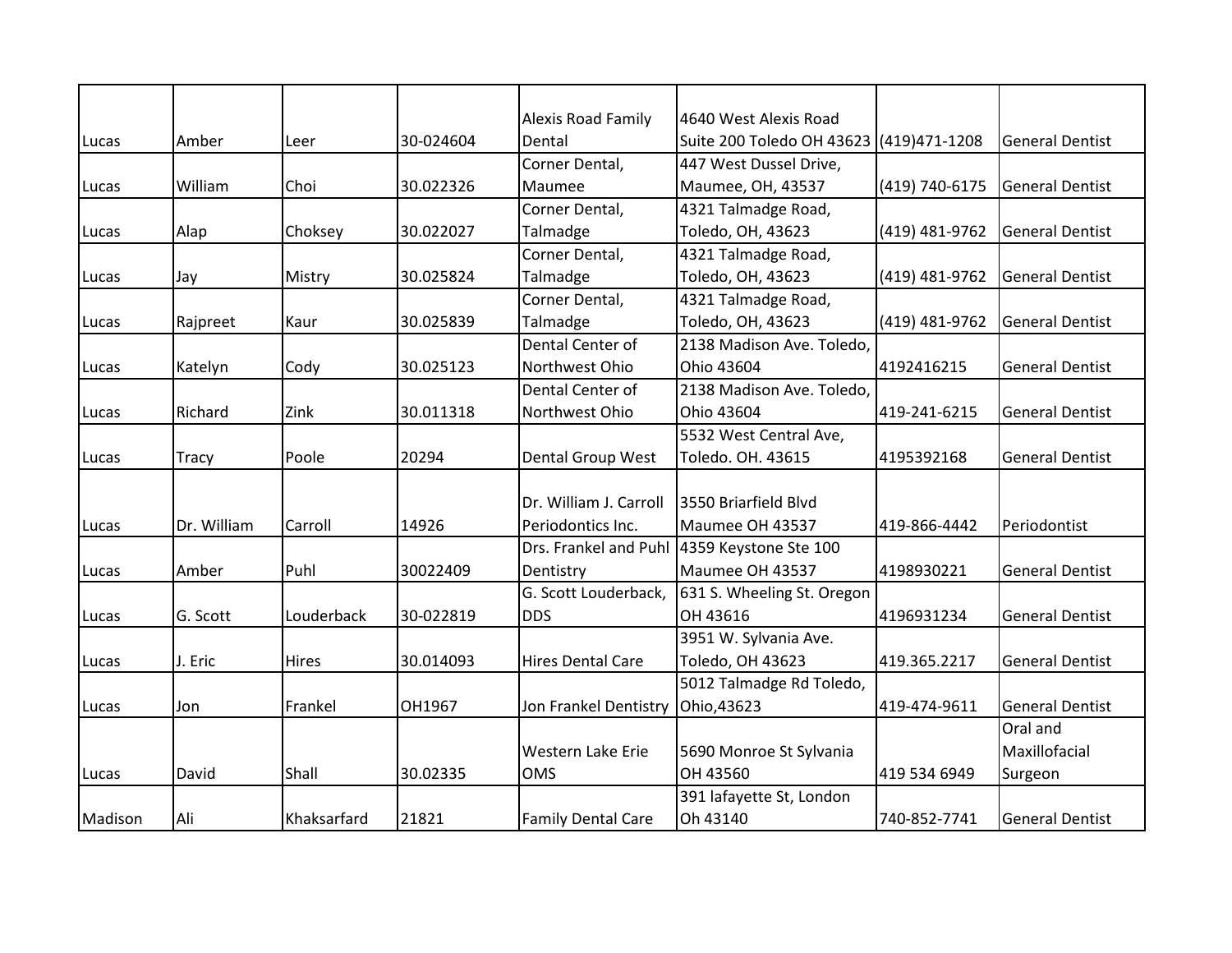|         |              |             |           | <b>Alexis Road Family</b> | 4640 West Alexis Road                       |                |                        |
|---------|--------------|-------------|-----------|---------------------------|---------------------------------------------|----------------|------------------------|
| Lucas   | Amber        | Leer        | 30-024604 | Dental                    | Suite 200 Toledo OH 43623 (419)471-1208     |                | <b>General Dentist</b> |
|         |              |             |           | Corner Dental,            | 447 West Dussel Drive,                      |                |                        |
| Lucas   | William      | Choi        | 30.022326 | Maumee                    | Maumee, OH, 43537                           | (419) 740-6175 | <b>General Dentist</b> |
|         |              |             |           | Corner Dental,            | 4321 Talmadge Road,                         |                |                        |
| Lucas   | Alap         | Choksey     | 30.022027 | Talmadge                  | Toledo, OH, 43623                           | (419) 481-9762 | <b>General Dentist</b> |
|         |              |             |           | Corner Dental,            | 4321 Talmadge Road,                         |                |                        |
| Lucas   | Jay          | Mistry      | 30.025824 | Talmadge                  | Toledo, OH, 43623                           | (419) 481-9762 | <b>General Dentist</b> |
|         |              |             |           | Corner Dental,            | 4321 Talmadge Road,                         |                |                        |
| Lucas   | Rajpreet     | Kaur        | 30.025839 | Talmadge                  | Toledo, OH, 43623                           | (419) 481-9762 | <b>General Dentist</b> |
|         |              |             |           | Dental Center of          | 2138 Madison Ave. Toledo,                   |                |                        |
| Lucas   | Katelyn      | Cody        | 30.025123 | Northwest Ohio            | Ohio 43604                                  | 4192416215     | <b>General Dentist</b> |
|         |              |             |           | Dental Center of          | 2138 Madison Ave. Toledo,                   |                |                        |
| Lucas   | Richard      | Zink        | 30.011318 | Northwest Ohio            | Ohio 43604                                  | 419-241-6215   | <b>General Dentist</b> |
|         |              |             |           |                           | 5532 West Central Ave,                      |                |                        |
| Lucas   | <b>Tracy</b> | Poole       | 20294     | <b>Dental Group West</b>  | Toledo. OH. 43615                           | 4195392168     | <b>General Dentist</b> |
|         |              |             |           |                           |                                             |                |                        |
|         |              |             |           | Dr. William J. Carroll    | 13550 Briarfield Blyd                       |                |                        |
| Lucas   | Dr. William  | Carroll     | 14926     | Periodontics Inc.         | Maumee OH 43537                             | 419-866-4442   | Periodontist           |
|         |              |             |           |                           | Drs. Frankel and Puhl 4359 Keystone Ste 100 |                |                        |
| Lucas   | Amber        | Puhl        | 30022409  | Dentistry                 | Maumee OH 43537                             | 4198930221     | <b>General Dentist</b> |
|         |              |             |           | G. Scott Louderback,      | 631 S. Wheeling St. Oregon                  |                |                        |
| Lucas   | G. Scott     | Louderback  | 30-022819 | <b>DDS</b>                | OH 43616                                    | 4196931234     | <b>General Dentist</b> |
|         |              |             |           |                           | 3951 W. Sylvania Ave.                       |                |                        |
| Lucas   | J. Eric      | Hires       | 30.014093 | <b>Hires Dental Care</b>  | Toledo, OH 43623                            | 419.365.2217   | <b>General Dentist</b> |
|         |              |             |           |                           | 5012 Talmadge Rd Toledo,                    |                |                        |
| Lucas   | Jon          | Frankel     | OH1967    | Jon Frankel Dentistry     | Ohio, 43623                                 | 419-474-9611   | <b>General Dentist</b> |
|         |              |             |           |                           |                                             |                | Oral and               |
|         |              |             |           | Western Lake Erie         | 5690 Monroe St Sylvania                     |                | Maxillofacial          |
| Lucas   | David        | Shall       | 30.02335  | <b>OMS</b>                | OH 43560                                    | 419 534 6949   | Surgeon                |
|         |              |             |           |                           | 391 lafayette St, London                    |                |                        |
| Madison | Ali          | Khaksarfard | 21821     | <b>Family Dental Care</b> | Oh 43140                                    | 740-852-7741   | <b>General Dentist</b> |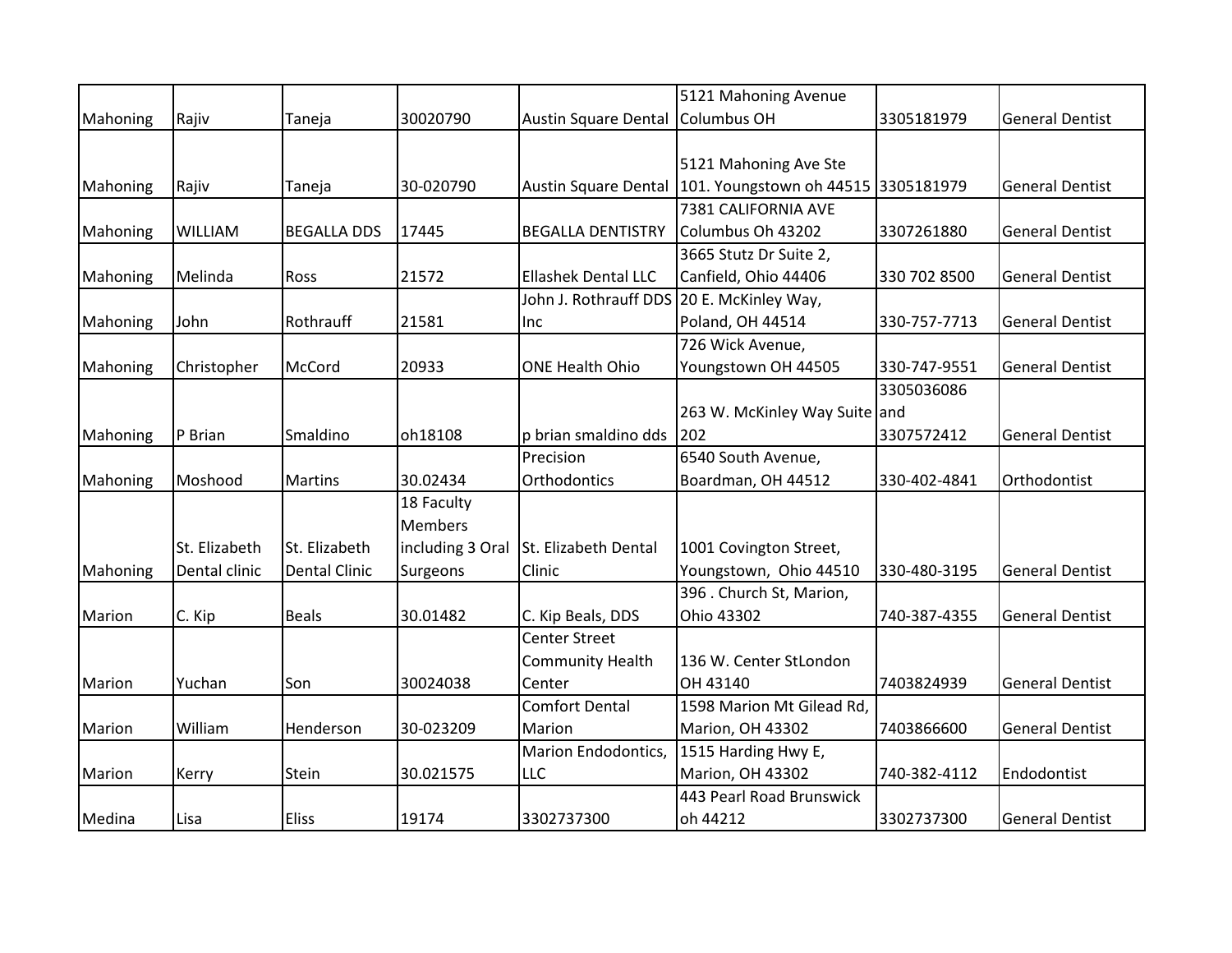|          |               |                      |                  |                                           | 5121 Mahoning Avenue                |              |                        |
|----------|---------------|----------------------|------------------|-------------------------------------------|-------------------------------------|--------------|------------------------|
| Mahoning | Rajiv         | Taneja               | 30020790         | <b>Austin Square Dental</b>               | Columbus OH                         | 3305181979   | <b>General Dentist</b> |
|          |               |                      |                  |                                           |                                     |              |                        |
|          |               |                      |                  |                                           | 5121 Mahoning Ave Ste               |              |                        |
| Mahoning | Rajiv         | Taneja               | 30-020790        | <b>Austin Square Dental</b>               | 101. Youngstown oh 44515 3305181979 |              | <b>General Dentist</b> |
|          |               |                      |                  |                                           | 7381 CALIFORNIA AVE                 |              |                        |
| Mahoning | WILLIAM       | <b>BEGALLA DDS</b>   | 17445            | <b>BEGALLA DENTISTRY</b>                  | Columbus Oh 43202                   | 3307261880   | <b>General Dentist</b> |
|          |               |                      |                  |                                           | 3665 Stutz Dr Suite 2,              |              |                        |
| Mahoning | Melinda       | Ross                 | 21572            | Ellashek Dental LLC                       | Canfield, Ohio 44406                | 330 702 8500 | <b>General Dentist</b> |
|          |               |                      |                  | John J. Rothrauff DDS 20 E. McKinley Way, |                                     |              |                        |
| Mahoning | John          | Rothrauff            | 21581            | Inc                                       | Poland, OH 44514                    | 330-757-7713 | <b>General Dentist</b> |
|          |               |                      |                  |                                           | 726 Wick Avenue,                    |              |                        |
| Mahoning | Christopher   | McCord               | 20933            | <b>ONE Health Ohio</b>                    | Youngstown OH 44505                 | 330-747-9551 | <b>General Dentist</b> |
|          |               |                      |                  |                                           |                                     | 3305036086   |                        |
|          |               |                      |                  |                                           | 263 W. McKinley Way Suite and       |              |                        |
| Mahoning | P Brian       | Smaldino             | oh18108          | p brian smaldino dds                      | 202                                 | 3307572412   | <b>General Dentist</b> |
|          |               |                      |                  | Precision                                 | 6540 South Avenue,                  |              |                        |
| Mahoning | Moshood       | Martins              | 30.02434         | Orthodontics                              | Boardman, OH 44512                  | 330-402-4841 | Orthodontist           |
|          |               |                      | 18 Faculty       |                                           |                                     |              |                        |
|          |               |                      | Members          |                                           |                                     |              |                        |
|          | St. Elizabeth | St. Elizabeth        | including 3 Oral | St. Elizabeth Dental                      | 1001 Covington Street,              |              |                        |
| Mahoning | Dental clinic | <b>Dental Clinic</b> | Surgeons         | Clinic                                    | Youngstown, Ohio 44510              | 330-480-3195 | <b>General Dentist</b> |
|          |               |                      |                  |                                           | 396 . Church St, Marion,            |              |                        |
| Marion   | C. Kip        | <b>Beals</b>         | 30.01482         | C. Kip Beals, DDS                         | Ohio 43302                          | 740-387-4355 | <b>General Dentist</b> |
|          |               |                      |                  | <b>Center Street</b>                      |                                     |              |                        |
|          |               |                      |                  | <b>Community Health</b>                   | 136 W. Center StLondon              |              |                        |
| Marion   | Yuchan        | Son                  | 30024038         | Center                                    | OH 43140                            | 7403824939   | <b>General Dentist</b> |
|          |               |                      |                  | <b>Comfort Dental</b>                     | 1598 Marion Mt Gilead Rd,           |              |                        |
| Marion   | William       | Henderson            | 30-023209        | Marion                                    | Marion, OH 43302                    | 7403866600   | <b>General Dentist</b> |
|          |               |                      |                  | Marion Endodontics,                       | 1515 Harding Hwy E,                 |              |                        |
| Marion   | Kerry         | Stein                | 30.021575        | LLC                                       | Marion, OH 43302                    | 740-382-4112 | Endodontist            |
|          |               |                      |                  |                                           | 443 Pearl Road Brunswick            |              |                        |
| Medina   | Lisa          | <b>Eliss</b>         | 19174            | 3302737300                                | oh 44212                            | 3302737300   | <b>General Dentist</b> |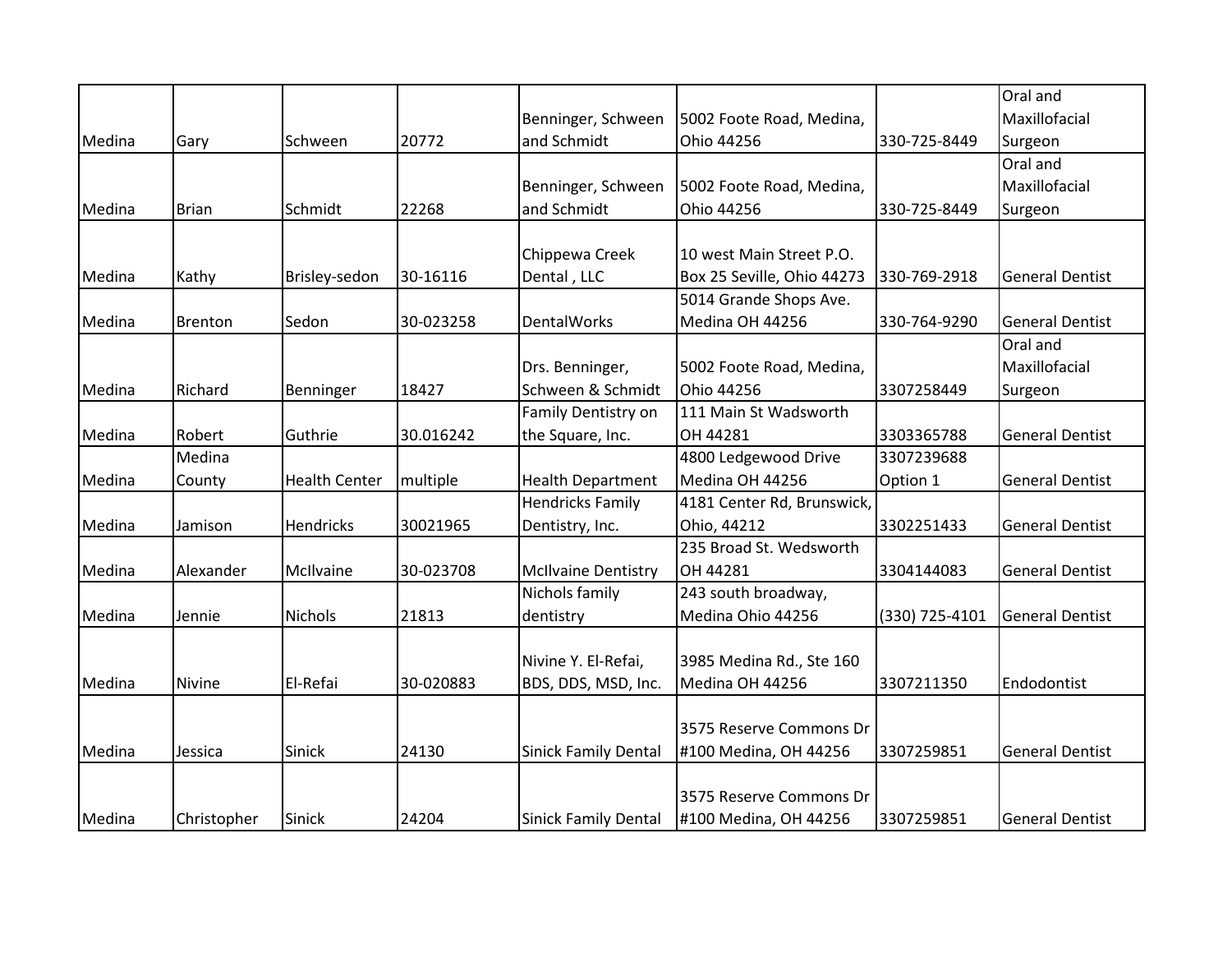|        |                |                      |           |                             |                            |                | Oral and               |
|--------|----------------|----------------------|-----------|-----------------------------|----------------------------|----------------|------------------------|
|        |                |                      |           | Benninger, Schween          | 5002 Foote Road, Medina,   |                | Maxillofacial          |
| Medina | Gary           | Schween              | 20772     | and Schmidt                 | Ohio 44256                 | 330-725-8449   | Surgeon                |
|        |                |                      |           |                             |                            |                | Oral and               |
|        |                |                      |           | Benninger, Schween          | 5002 Foote Road, Medina,   |                | Maxillofacial          |
| Medina | <b>Brian</b>   | Schmidt              | 22268     | and Schmidt                 | Ohio 44256                 | 330-725-8449   | Surgeon                |
|        |                |                      |           |                             |                            |                |                        |
|        |                |                      |           | Chippewa Creek              | 10 west Main Street P.O.   |                |                        |
| Medina | Kathy          | Brisley-sedon        | 30-16116  | Dental, LLC                 | Box 25 Seville, Ohio 44273 | 330-769-2918   | <b>General Dentist</b> |
|        |                |                      |           |                             | 5014 Grande Shops Ave.     |                |                        |
| Medina | <b>Brenton</b> | Sedon                | 30-023258 | <b>DentalWorks</b>          | Medina OH 44256            | 330-764-9290   | <b>General Dentist</b> |
|        |                |                      |           |                             |                            |                | Oral and               |
|        |                |                      |           | Drs. Benninger,             | 5002 Foote Road, Medina,   |                | Maxillofacial          |
| Medina | Richard        | Benninger            | 18427     | Schween & Schmidt           | Ohio 44256                 | 3307258449     | Surgeon                |
|        |                |                      |           | Family Dentistry on         | 111 Main St Wadsworth      |                |                        |
| Medina | Robert         | Guthrie              | 30.016242 | the Square, Inc.            | OH 44281                   | 3303365788     | <b>General Dentist</b> |
|        | Medina         |                      |           |                             | 4800 Ledgewood Drive       | 3307239688     |                        |
| Medina | County         | <b>Health Center</b> | multiple  | <b>Health Department</b>    | Medina OH 44256            | Option 1       | <b>General Dentist</b> |
|        |                |                      |           | <b>Hendricks Family</b>     | 4181 Center Rd, Brunswick, |                |                        |
| Medina | Jamison        | Hendricks            | 30021965  | Dentistry, Inc.             | Ohio, 44212                | 3302251433     | <b>General Dentist</b> |
|        |                |                      |           |                             | 235 Broad St. Wedsworth    |                |                        |
| Medina | Alexander      | McIlvaine            | 30-023708 | <b>McIlvaine Dentistry</b>  | OH 44281                   | 3304144083     | <b>General Dentist</b> |
|        |                |                      |           | Nichols family              | 243 south broadway,        |                |                        |
| Medina | Jennie         | Nichols              | 21813     | dentistry                   | Medina Ohio 44256          | (330) 725-4101 | <b>General Dentist</b> |
|        |                |                      |           |                             |                            |                |                        |
|        |                |                      |           | Nivine Y. El-Refai,         | 3985 Medina Rd., Ste 160   |                |                        |
| Medina | Nivine         | El-Refai             | 30-020883 | BDS, DDS, MSD, Inc.         | Medina OH 44256            | 3307211350     | Endodontist            |
|        |                |                      |           |                             |                            |                |                        |
|        |                |                      |           |                             | 3575 Reserve Commons Dr    |                |                        |
| Medina | Jessica        | Sinick               | 24130     | <b>Sinick Family Dental</b> | #100 Medina, OH 44256      | 3307259851     | <b>General Dentist</b> |
|        |                |                      |           |                             |                            |                |                        |
|        |                |                      |           |                             | 3575 Reserve Commons Dr    |                |                        |
| Medina | Christopher    | Sinick               | 24204     | <b>Sinick Family Dental</b> | #100 Medina, OH 44256      | 3307259851     | <b>General Dentist</b> |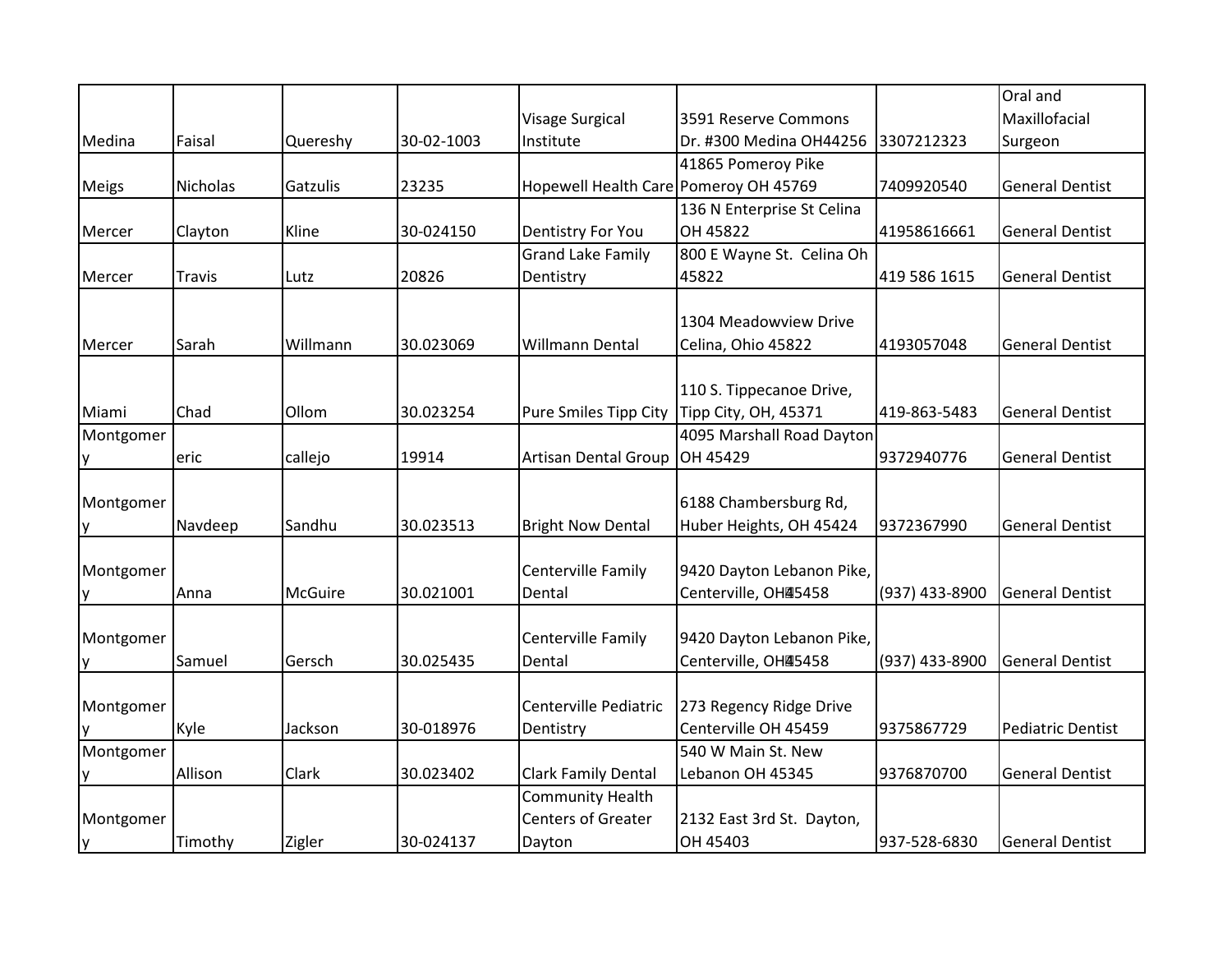|              |               |          |            |                                              |                            |                | Oral and                 |
|--------------|---------------|----------|------------|----------------------------------------------|----------------------------|----------------|--------------------------|
|              |               |          |            | Visage Surgical                              | 3591 Reserve Commons       |                | Maxillofacial            |
| Medina       | Faisal        | Quereshy | 30-02-1003 | Institute                                    | Dr. #300 Medina OH44256    | 3307212323     | Surgeon                  |
|              |               |          |            |                                              | 41865 Pomeroy Pike         |                |                          |
| <b>Meigs</b> | Nicholas      | Gatzulis | 23235      | Hopewell Health Care Pomeroy OH 45769        |                            | 7409920540     | <b>General Dentist</b>   |
|              |               |          |            |                                              | 136 N Enterprise St Celina |                |                          |
| Mercer       | Clayton       | Kline    | 30-024150  | Dentistry For You                            | OH 45822                   | 41958616661    | <b>General Dentist</b>   |
|              |               |          |            | <b>Grand Lake Family</b>                     | 800 E Wayne St. Celina Oh  |                |                          |
| Mercer       | <b>Travis</b> | Lutz     | 20826      | Dentistry                                    | 45822                      | 419 586 1615   | <b>General Dentist</b>   |
|              |               |          |            |                                              |                            |                |                          |
|              |               |          |            |                                              | 1304 Meadowview Drive      |                |                          |
| Mercer       | Sarah         | Willmann | 30.023069  | Willmann Dental                              | Celina, Ohio 45822         | 4193057048     | <b>General Dentist</b>   |
|              |               |          |            |                                              |                            |                |                          |
|              |               |          |            |                                              | 110 S. Tippecanoe Drive,   |                |                          |
| Miami        | Chad          | Ollom    | 30.023254  | Pure Smiles Tipp City   Tipp City, OH, 45371 |                            | 419-863-5483   | <b>General Dentist</b>   |
| Montgomer    |               |          |            |                                              | 4095 Marshall Road Dayton  |                |                          |
| у            | eric          | callejo  | 19914      | <b>Artisan Dental Group</b>                  | OH 45429                   | 9372940776     | <b>General Dentist</b>   |
|              |               |          |            |                                              |                            |                |                          |
| Montgomer    |               |          |            |                                              | 6188 Chambersburg Rd,      |                |                          |
| у            | Navdeep       | Sandhu   | 30.023513  | <b>Bright Now Dental</b>                     | Huber Heights, OH 45424    | 9372367990     | <b>General Dentist</b>   |
|              |               |          |            |                                              |                            |                |                          |
| Montgomer    |               |          |            | Centerville Family                           | 9420 Dayton Lebanon Pike,  |                |                          |
| у            | Anna          | McGuire  | 30.021001  | Dental                                       | Centerville, OHA5458       | (937) 433-8900 | <b>General Dentist</b>   |
|              |               |          |            |                                              |                            |                |                          |
| Montgomer    |               |          |            | Centerville Family                           | 9420 Dayton Lebanon Pike,  |                |                          |
| у            | Samuel        | Gersch   | 30.025435  | Dental                                       | Centerville, OHA5458       | (937) 433-8900 | <b>General Dentist</b>   |
|              |               |          |            |                                              |                            |                |                          |
| Montgomer    |               |          |            | Centerville Pediatric                        | 273 Regency Ridge Drive    |                |                          |
| y            | Kyle          | Jackson  | 30-018976  | Dentistry                                    | Centerville OH 45459       | 9375867729     | <b>Pediatric Dentist</b> |
| Montgomer    |               |          |            |                                              | 540 W Main St. New         |                |                          |
| у            | Allison       | Clark    | 30.023402  | Clark Family Dental                          | Lebanon OH 45345           | 9376870700     | <b>General Dentist</b>   |
|              |               |          |            | <b>Community Health</b>                      |                            |                |                          |
| Montgomer    |               |          |            | <b>Centers of Greater</b>                    | 2132 East 3rd St. Dayton,  |                |                          |
| y            | Timothy       | Zigler   | 30-024137  | Dayton                                       | OH 45403                   | 937-528-6830   | <b>General Dentist</b>   |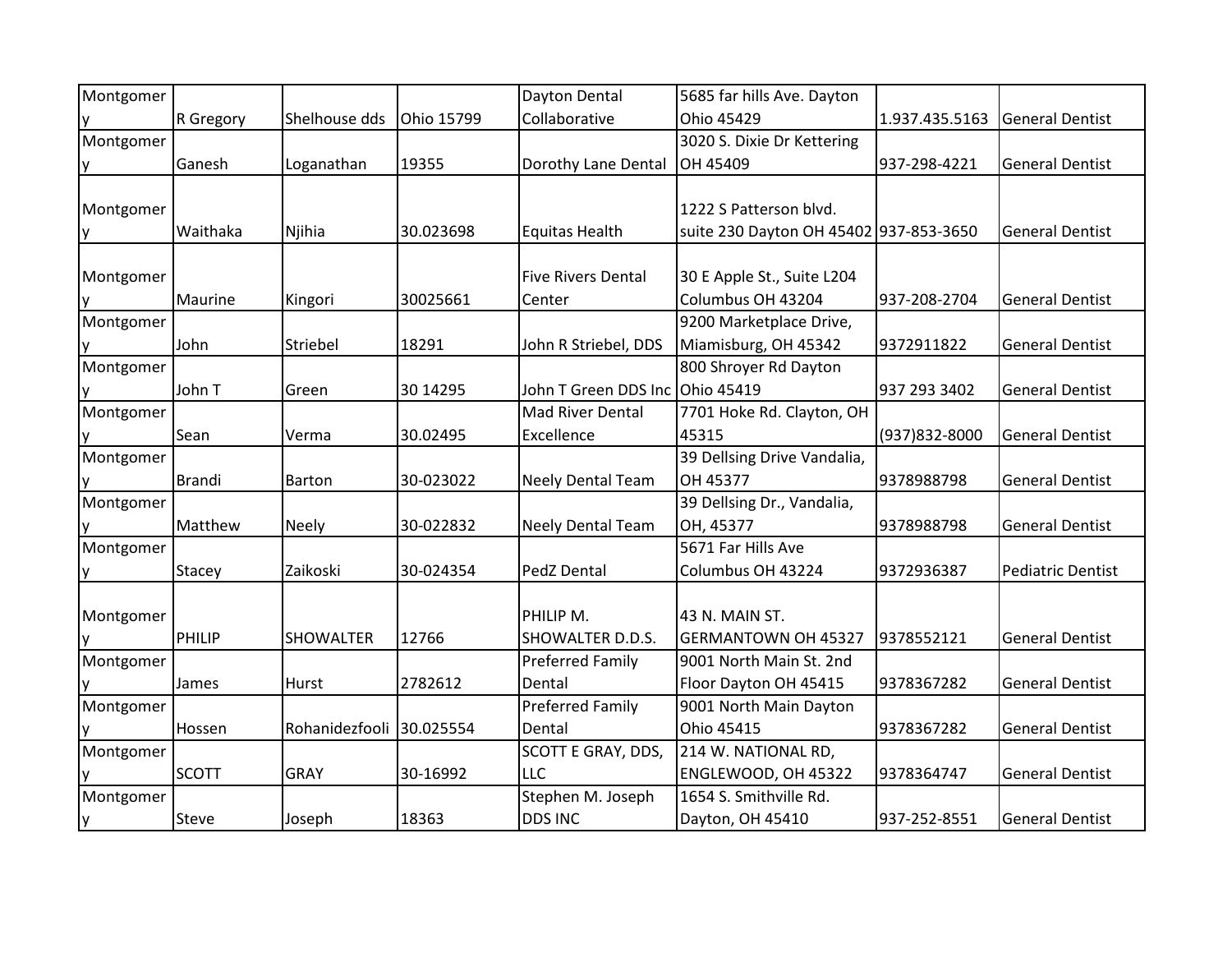| Montgomer |               |                  |            | Dayton Dental                   | 5685 far hills Ave. Dayton             |                |                          |
|-----------|---------------|------------------|------------|---------------------------------|----------------------------------------|----------------|--------------------------|
|           | R Gregory     | Shelhouse dds    | Ohio 15799 | Collaborative                   | Ohio 45429                             | 1.937.435.5163 | <b>General Dentist</b>   |
| Montgomer |               |                  |            |                                 | 3020 S. Dixie Dr Kettering             |                |                          |
| ۷         | Ganesh        | Loganathan       | 19355      | Dorothy Lane Dental             | OH 45409                               | 937-298-4221   | <b>General Dentist</b>   |
|           |               |                  |            |                                 |                                        |                |                          |
| Montgomer |               |                  |            |                                 | 1222 S Patterson blvd.                 |                |                          |
| у         | Waithaka      | Njihia           | 30.023698  | <b>Equitas Health</b>           | suite 230 Dayton OH 45402 937-853-3650 |                | <b>General Dentist</b>   |
|           |               |                  |            |                                 |                                        |                |                          |
| Montgomer |               |                  |            | <b>Five Rivers Dental</b>       | 30 E Apple St., Suite L204             |                |                          |
|           | Maurine       | Kingori          | 30025661   | Center                          | Columbus OH 43204                      | 937-208-2704   | <b>General Dentist</b>   |
| Montgomer |               |                  |            |                                 | 9200 Marketplace Drive,                |                |                          |
| у         | John          | Striebel         | 18291      | John R Striebel, DDS            | Miamisburg, OH 45342                   | 9372911822     | <b>General Dentist</b>   |
| Montgomer |               |                  |            |                                 | 800 Shroyer Rd Dayton                  |                |                          |
| y         | John T        | Green            | 30 14 29 5 | John T Green DDS Inc Ohio 45419 |                                        | 937 293 3402   | <b>General Dentist</b>   |
| Montgomer |               |                  |            | Mad River Dental                | 7701 Hoke Rd. Clayton, OH              |                |                          |
|           | Sean          | Verma            | 30.02495   | Excellence                      | 45315                                  | (937) 832-8000 | <b>General Dentist</b>   |
| Montgomer |               |                  |            |                                 | 39 Dellsing Drive Vandalia,            |                |                          |
|           | <b>Brandi</b> | Barton           | 30-023022  | <b>Neely Dental Team</b>        | OH 45377                               | 9378988798     | <b>General Dentist</b>   |
| Montgomer |               |                  |            |                                 | 39 Dellsing Dr., Vandalia,             |                |                          |
| ۷         | Matthew       | <b>Neely</b>     | 30-022832  | <b>Neely Dental Team</b>        | OH, 45377                              | 9378988798     | <b>General Dentist</b>   |
| Montgomer |               |                  |            |                                 | 5671 Far Hills Ave                     |                |                          |
| ۷         | Stacey        | Zaikoski         | 30-024354  | PedZ Dental                     | Columbus OH 43224                      | 9372936387     | <b>Pediatric Dentist</b> |
|           |               |                  |            |                                 |                                        |                |                          |
| Montgomer |               |                  |            | PHILIP M.                       | 43 N. MAIN ST.                         |                |                          |
|           | PHILIP        | <b>SHOWALTER</b> | 12766      | SHOWALTER D.D.S.                | <b>GERMANTOWN OH 45327</b>             | 9378552121     | <b>General Dentist</b>   |
| Montgomer |               |                  |            | <b>Preferred Family</b>         | 9001 North Main St. 2nd                |                |                          |
| ۷         | James         | Hurst            | 2782612    | Dental                          | Floor Dayton OH 45415                  | 9378367282     | <b>General Dentist</b>   |
| Montgomer |               |                  |            | <b>Preferred Family</b>         | 9001 North Main Dayton                 |                |                          |
| V         | Hossen        | Rohanidezfooli   | 30.025554  | Dental                          | Ohio 45415                             | 9378367282     | <b>General Dentist</b>   |
| Montgomer |               |                  |            | SCOTT E GRAY, DDS,              | 214 W. NATIONAL RD,                    |                |                          |
|           | <b>SCOTT</b>  | <b>GRAY</b>      | 30-16992   | <b>LLC</b>                      | ENGLEWOOD, OH 45322                    | 9378364747     | <b>General Dentist</b>   |
| Montgomer |               |                  |            | Stephen M. Joseph               | 1654 S. Smithville Rd.                 |                |                          |
| y         | <b>Steve</b>  | Joseph           | 18363      | <b>DDS INC</b>                  | Dayton, OH 45410                       | 937-252-8551   | <b>General Dentist</b>   |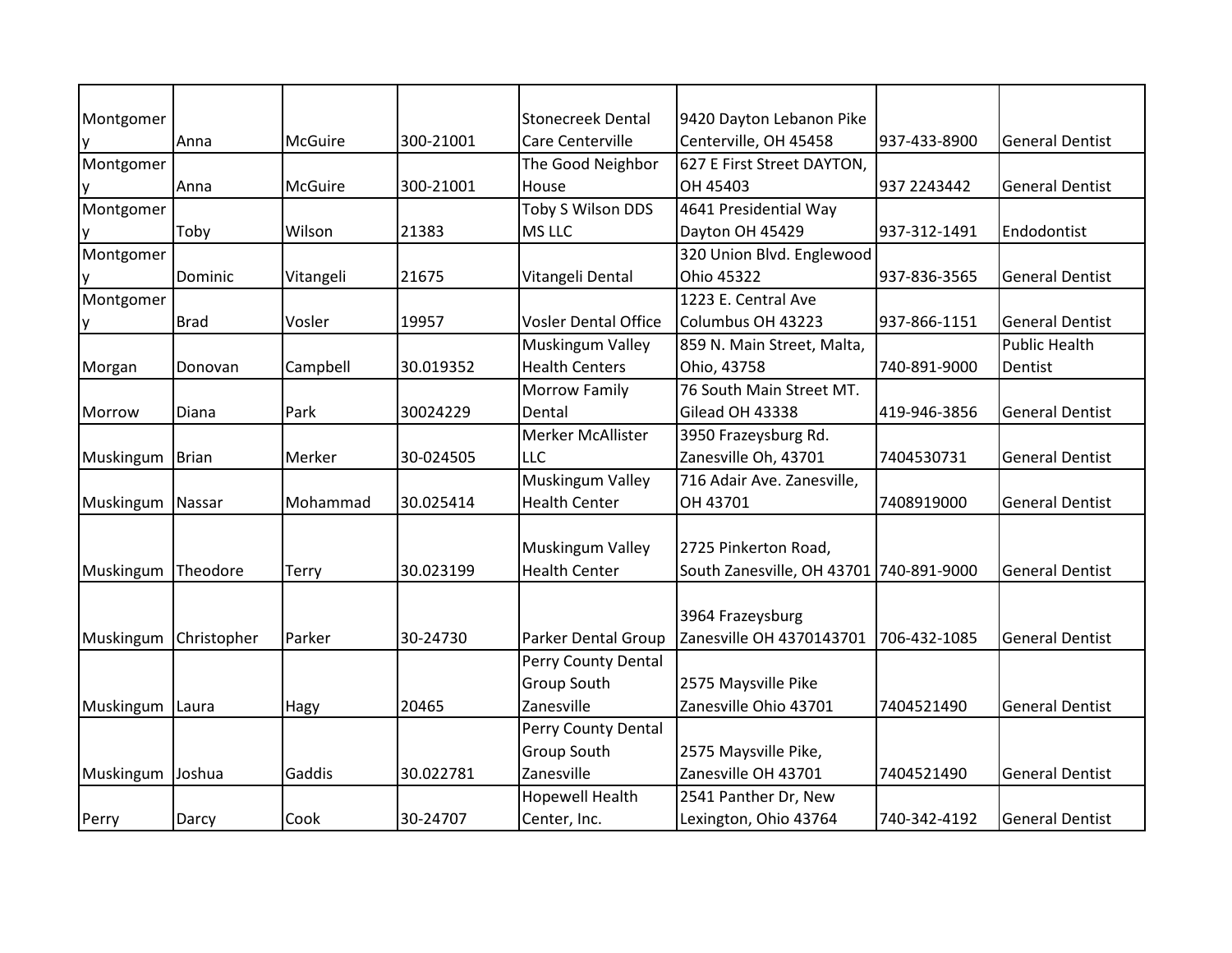| Montgomer |              |           |           | <b>Stonecreek Dental</b>    | 9420 Dayton Lebanon Pike                |              |                        |
|-----------|--------------|-----------|-----------|-----------------------------|-----------------------------------------|--------------|------------------------|
| у         | Anna         | McGuire   | 300-21001 | Care Centerville            | Centerville, OH 45458                   | 937-433-8900 | <b>General Dentist</b> |
| Montgomer |              |           |           | The Good Neighbor           | 627 E First Street DAYTON,              |              |                        |
| y         | Anna         | McGuire   | 300-21001 | House                       | OH 45403                                | 937 2243442  | <b>General Dentist</b> |
| Montgomer |              |           |           | <b>Toby S Wilson DDS</b>    | 4641 Presidential Way                   |              |                        |
| y         | Toby         | Wilson    | 21383     | MS LLC                      | Dayton OH 45429                         | 937-312-1491 | Endodontist            |
| Montgomer |              |           |           |                             | 320 Union Blvd. Englewood               |              |                        |
| ٧         | Dominic      | Vitangeli | 21675     | Vitangeli Dental            | Ohio 45322                              | 937-836-3565 | <b>General Dentist</b> |
| Montgomer |              |           |           |                             | 1223 E. Central Ave                     |              |                        |
| у         | <b>Brad</b>  | Vosler    | 19957     | <b>Vosler Dental Office</b> | Columbus OH 43223                       | 937-866-1151 | <b>General Dentist</b> |
|           |              |           |           | Muskingum Valley            | 859 N. Main Street, Malta,              |              | <b>Public Health</b>   |
| Morgan    | Donovan      | Campbell  | 30.019352 | <b>Health Centers</b>       | Ohio, 43758                             | 740-891-9000 | Dentist                |
|           |              |           |           | <b>Morrow Family</b>        | 76 South Main Street MT.                |              |                        |
| Morrow    | Diana        | Park      | 30024229  | Dental                      | Gilead OH 43338                         | 419-946-3856 | <b>General Dentist</b> |
|           |              |           |           | Merker McAllister           | 3950 Frazeysburg Rd.                    |              |                        |
| Muskingum | <b>Brian</b> | Merker    | 30-024505 | <b>LLC</b>                  | Zanesville Oh, 43701                    | 7404530731   | <b>General Dentist</b> |
|           |              |           |           | Muskingum Valley            | 716 Adair Ave. Zanesville,              |              |                        |
| Muskingum | Nassar       | Mohammad  | 30.025414 | <b>Health Center</b>        | OH 43701                                | 7408919000   | <b>General Dentist</b> |
|           |              |           |           |                             |                                         |              |                        |
|           |              |           |           | <b>Muskingum Valley</b>     | 2725 Pinkerton Road,                    |              |                        |
| Muskingum | Theodore     | Terry     | 30.023199 | <b>Health Center</b>        | South Zanesville, OH 43701 740-891-9000 |              | <b>General Dentist</b> |
|           |              |           |           |                             |                                         |              |                        |
|           |              |           |           |                             | 3964 Frazeysburg                        |              |                        |
| Muskingum | Christopher  | Parker    | 30-24730  | <b>Parker Dental Group</b>  | Zanesville OH 4370143701                | 706-432-1085 | <b>General Dentist</b> |
|           |              |           |           | Perry County Dental         |                                         |              |                        |
|           |              |           |           | Group South                 | 2575 Maysville Pike                     |              |                        |
| Muskingum | Laura        | Hagy      | 20465     | Zanesville                  | Zanesville Ohio 43701                   | 7404521490   | <b>General Dentist</b> |
|           |              |           |           | Perry County Dental         |                                         |              |                        |
|           |              |           |           | Group South                 | 2575 Maysville Pike,                    |              |                        |
| Muskingum | Joshua       | Gaddis    | 30.022781 | Zanesville                  | Zanesville OH 43701                     | 7404521490   | <b>General Dentist</b> |
|           |              |           |           | <b>Hopewell Health</b>      | 2541 Panther Dr, New                    |              |                        |
| Perry     | Darcy        | Cook      | 30-24707  | Center, Inc.                | Lexington, Ohio 43764                   | 740-342-4192 | <b>General Dentist</b> |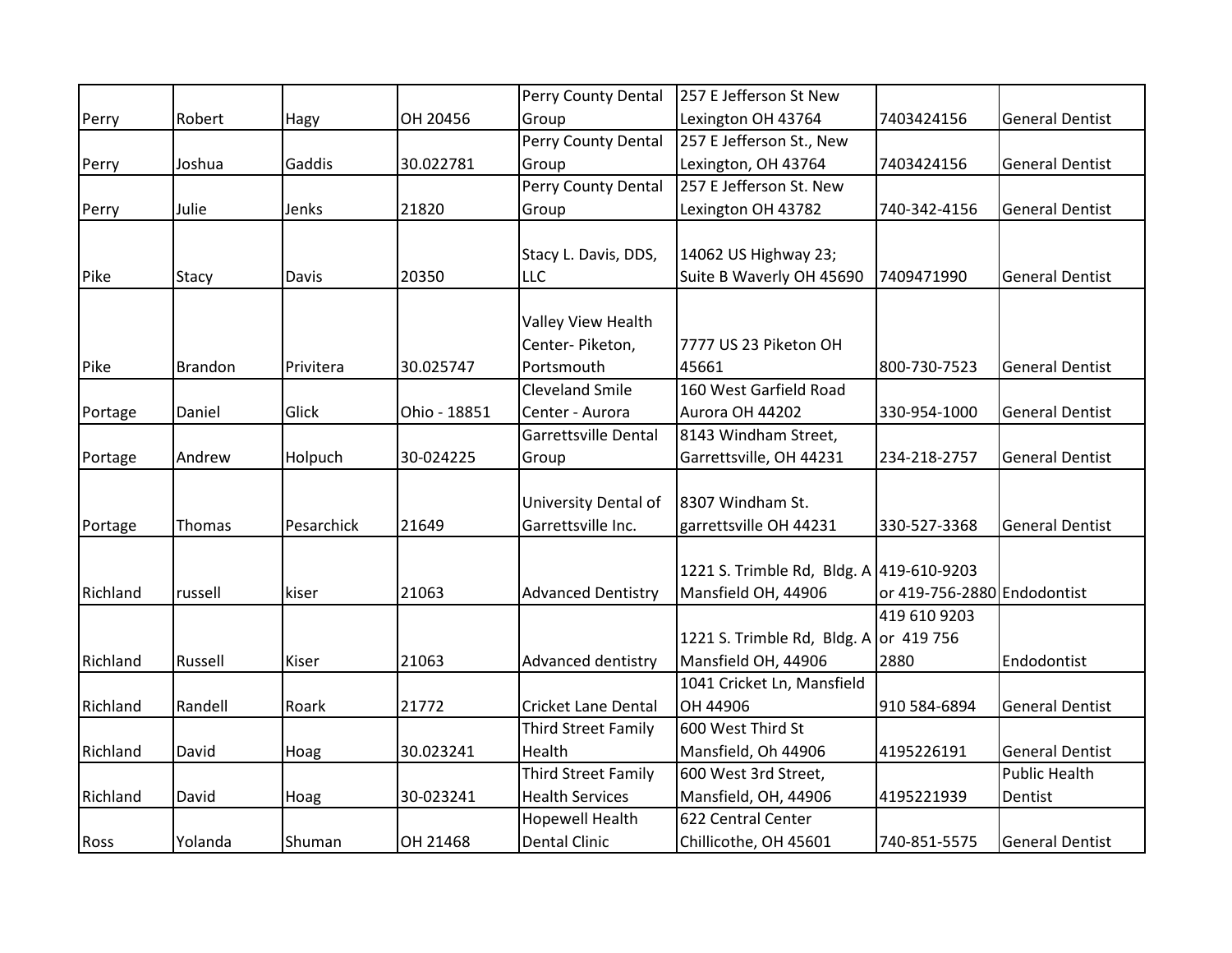|          |                |            |              | Perry County Dental        | 257 E Jefferson St New                   |                             |                        |
|----------|----------------|------------|--------------|----------------------------|------------------------------------------|-----------------------------|------------------------|
| Perry    | Robert         | Hagy       | OH 20456     | Group                      | Lexington OH 43764                       | 7403424156                  | <b>General Dentist</b> |
|          |                |            |              | Perry County Dental        | 257 E Jefferson St., New                 |                             |                        |
| Perry    | Joshua         | Gaddis     | 30.022781    | Group                      | Lexington, OH 43764                      | 7403424156                  | <b>General Dentist</b> |
|          |                |            |              | Perry County Dental        | 257 E Jefferson St. New                  |                             |                        |
| Perry    | Julie          | Jenks      | 21820        | Group                      | Lexington OH 43782                       | 740-342-4156                | <b>General Dentist</b> |
|          |                |            |              |                            |                                          |                             |                        |
|          |                |            |              | Stacy L. Davis, DDS,       | 14062 US Highway 23;                     |                             |                        |
| Pike     | Stacy          | Davis      | 20350        | LLC                        | Suite B Waverly OH 45690                 | 7409471990                  | <b>General Dentist</b> |
|          |                |            |              |                            |                                          |                             |                        |
|          |                |            |              | Valley View Health         |                                          |                             |                        |
|          |                |            |              | Center-Piketon,            | 7777 US 23 Piketon OH                    |                             |                        |
| Pike     | <b>Brandon</b> | Privitera  | 30.025747    | Portsmouth                 | 45661                                    | 800-730-7523                | <b>General Dentist</b> |
|          |                |            |              | <b>Cleveland Smile</b>     | 160 West Garfield Road                   |                             |                        |
| Portage  | Daniel         | Glick      | Ohio - 18851 | Center - Aurora            | Aurora OH 44202                          | 330-954-1000                | <b>General Dentist</b> |
|          |                |            |              | Garrettsville Dental       | 8143 Windham Street,                     |                             |                        |
| Portage  | Andrew         | Holpuch    | 30-024225    | Group                      | Garrettsville, OH 44231                  | 234-218-2757                | <b>General Dentist</b> |
|          |                |            |              |                            |                                          |                             |                        |
|          |                |            |              | University Dental of       | 8307 Windham St.                         |                             |                        |
| Portage  | Thomas         | Pesarchick | 21649        | Garrettsville Inc.         | garrettsville OH 44231                   | 330-527-3368                | <b>General Dentist</b> |
|          |                |            |              |                            |                                          |                             |                        |
|          |                |            |              |                            | 1221 S. Trimble Rd, Bldg. A 419-610-9203 |                             |                        |
| Richland | russell        | kiser      | 21063        | <b>Advanced Dentistry</b>  | Mansfield OH, 44906                      | or 419-756-2880 Endodontist |                        |
|          |                |            |              |                            |                                          | 419 610 9203                |                        |
|          |                |            |              |                            | 1221 S. Trimble Rd, Bldg. A or 419 756   |                             |                        |
| Richland | Russell        | Kiser      | 21063        | Advanced dentistry         | Mansfield OH, 44906                      | 2880                        | Endodontist            |
|          |                |            |              |                            | 1041 Cricket Ln, Mansfield               |                             |                        |
| Richland | Randell        | Roark      | 21772        | <b>Cricket Lane Dental</b> | OH 44906                                 | 910 584-6894                | <b>General Dentist</b> |
|          |                |            |              | <b>Third Street Family</b> | 600 West Third St                        |                             |                        |
| Richland | David          | Hoag       | 30.023241    | Health                     | Mansfield, Oh 44906                      | 4195226191                  | <b>General Dentist</b> |
|          |                |            |              | <b>Third Street Family</b> | 600 West 3rd Street,                     |                             | <b>Public Health</b>   |
| Richland | David          | Hoag       | 30-023241    | <b>Health Services</b>     | Mansfield, OH, 44906                     | 4195221939                  | Dentist                |
|          |                |            |              | <b>Hopewell Health</b>     | 622 Central Center                       |                             |                        |
| Ross     | Yolanda        | Shuman     | OH 21468     | <b>Dental Clinic</b>       | Chillicothe, OH 45601                    | 740-851-5575                | <b>General Dentist</b> |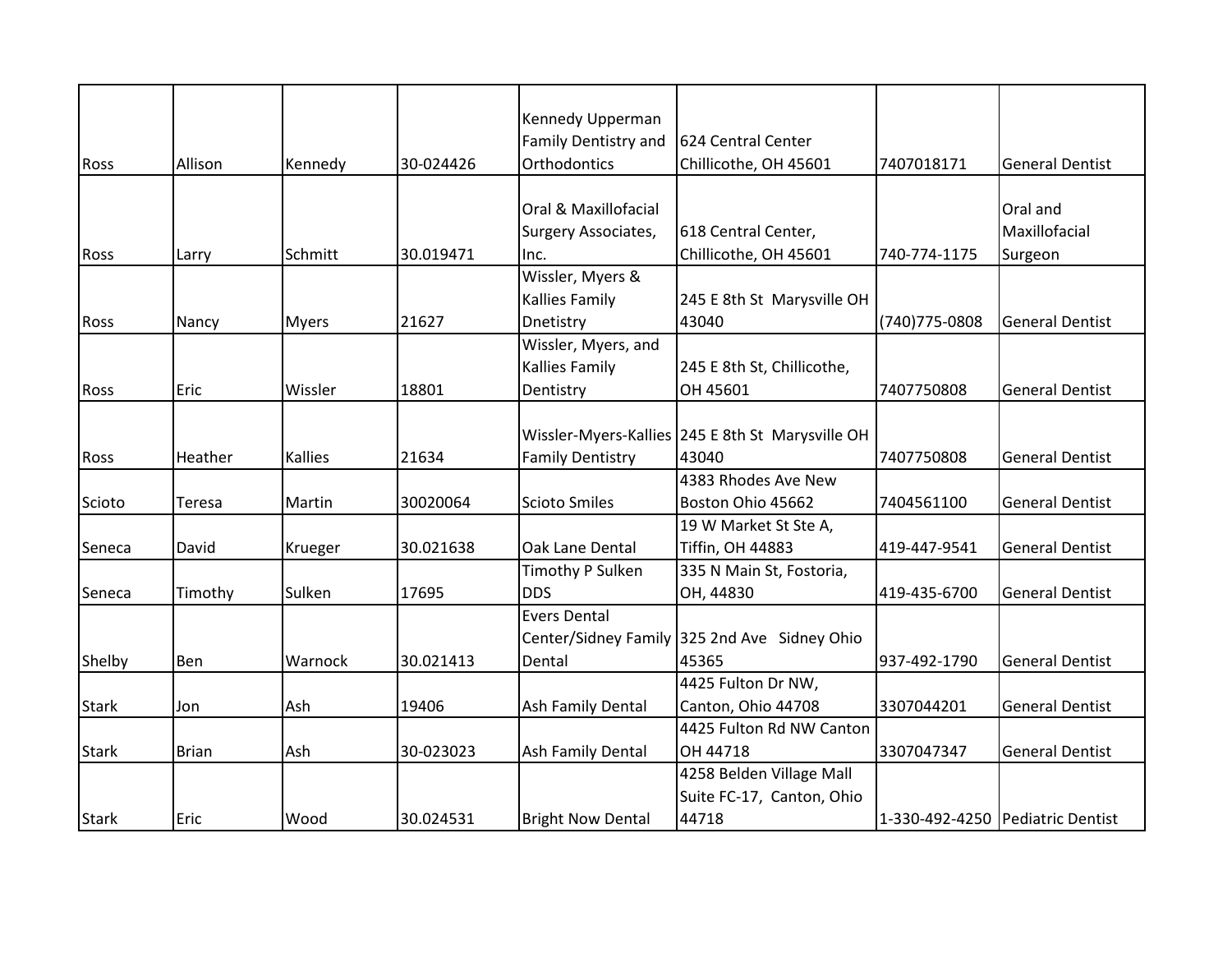|              |              |                |           | Kennedy Upperman         |                                                    |                |                                  |
|--------------|--------------|----------------|-----------|--------------------------|----------------------------------------------------|----------------|----------------------------------|
|              |              |                |           | Family Dentistry and     | 624 Central Center                                 |                |                                  |
| Ross         | Allison      | Kennedy        | 30-024426 | Orthodontics             | Chillicothe, OH 45601                              | 7407018171     | <b>General Dentist</b>           |
|              |              |                |           |                          |                                                    |                |                                  |
|              |              |                |           | Oral & Maxillofacial     |                                                    |                | Oral and                         |
|              |              |                |           | Surgery Associates,      | 618 Central Center,                                |                | Maxillofacial                    |
| Ross         | Larry        | Schmitt        | 30.019471 | Inc.                     | Chillicothe, OH 45601                              | 740-774-1175   | Surgeon                          |
|              |              |                |           | Wissler, Myers &         |                                                    |                |                                  |
|              |              |                |           | Kallies Family           | 245 E 8th St Marysville OH                         |                |                                  |
| <b>Ross</b>  | Nancy        | <b>Myers</b>   | 21627     | Dnetistry                | 43040                                              | (740) 775-0808 | <b>General Dentist</b>           |
|              |              |                |           | Wissler, Myers, and      |                                                    |                |                                  |
|              |              |                |           | Kallies Family           | 245 E 8th St, Chillicothe,                         |                |                                  |
| Ross         | Eric         | Wissler        | 18801     | Dentistry                | OH 45601                                           | 7407750808     | <b>General Dentist</b>           |
|              |              |                |           |                          |                                                    |                |                                  |
|              |              |                |           |                          | Wissler-Myers-Kallies   245 E 8th St Marysville OH |                |                                  |
| Ross         | Heather      | <b>Kallies</b> | 21634     | <b>Family Dentistry</b>  | 43040                                              | 7407750808     | <b>General Dentist</b>           |
|              |              |                |           |                          | 4383 Rhodes Ave New                                |                |                                  |
| Scioto       | Teresa       | Martin         | 30020064  | <b>Scioto Smiles</b>     | Boston Ohio 45662                                  | 7404561100     | <b>General Dentist</b>           |
|              |              |                |           |                          | 19 W Market St Ste A,                              |                |                                  |
| Seneca       | David        | Krueger        | 30.021638 | Oak Lane Dental          | <b>Tiffin, OH 44883</b>                            | 419-447-9541   | <b>General Dentist</b>           |
|              |              |                |           | Timothy P Sulken         | 335 N Main St, Fostoria,                           |                |                                  |
| Seneca       | Timothy      | Sulken         | 17695     | <b>DDS</b>               | OH, 44830                                          | 419-435-6700   | <b>General Dentist</b>           |
|              |              |                |           | <b>Evers Dental</b>      |                                                    |                |                                  |
|              |              |                |           |                          | Center/Sidney Family 325 2nd Ave Sidney Ohio       |                |                                  |
| Shelby       | Ben          | Warnock        | 30.021413 | Dental                   | 45365                                              | 937-492-1790   | <b>General Dentist</b>           |
|              |              |                |           |                          | 4425 Fulton Dr NW,                                 |                |                                  |
| Stark        | Jon          | Ash            | 19406     | Ash Family Dental        | Canton, Ohio 44708                                 | 3307044201     | <b>General Dentist</b>           |
|              |              |                |           |                          | 4425 Fulton Rd NW Canton                           |                |                                  |
| <b>Stark</b> | <b>Brian</b> | Ash            | 30-023023 | Ash Family Dental        | OH 44718                                           | 3307047347     | <b>General Dentist</b>           |
|              |              |                |           |                          | 4258 Belden Village Mall                           |                |                                  |
|              |              |                |           |                          | Suite FC-17, Canton, Ohio                          |                |                                  |
| <b>Stark</b> | Eric         | Wood           | 30.024531 | <b>Bright Now Dental</b> | 44718                                              |                | 1-330-492-4250 Pediatric Dentist |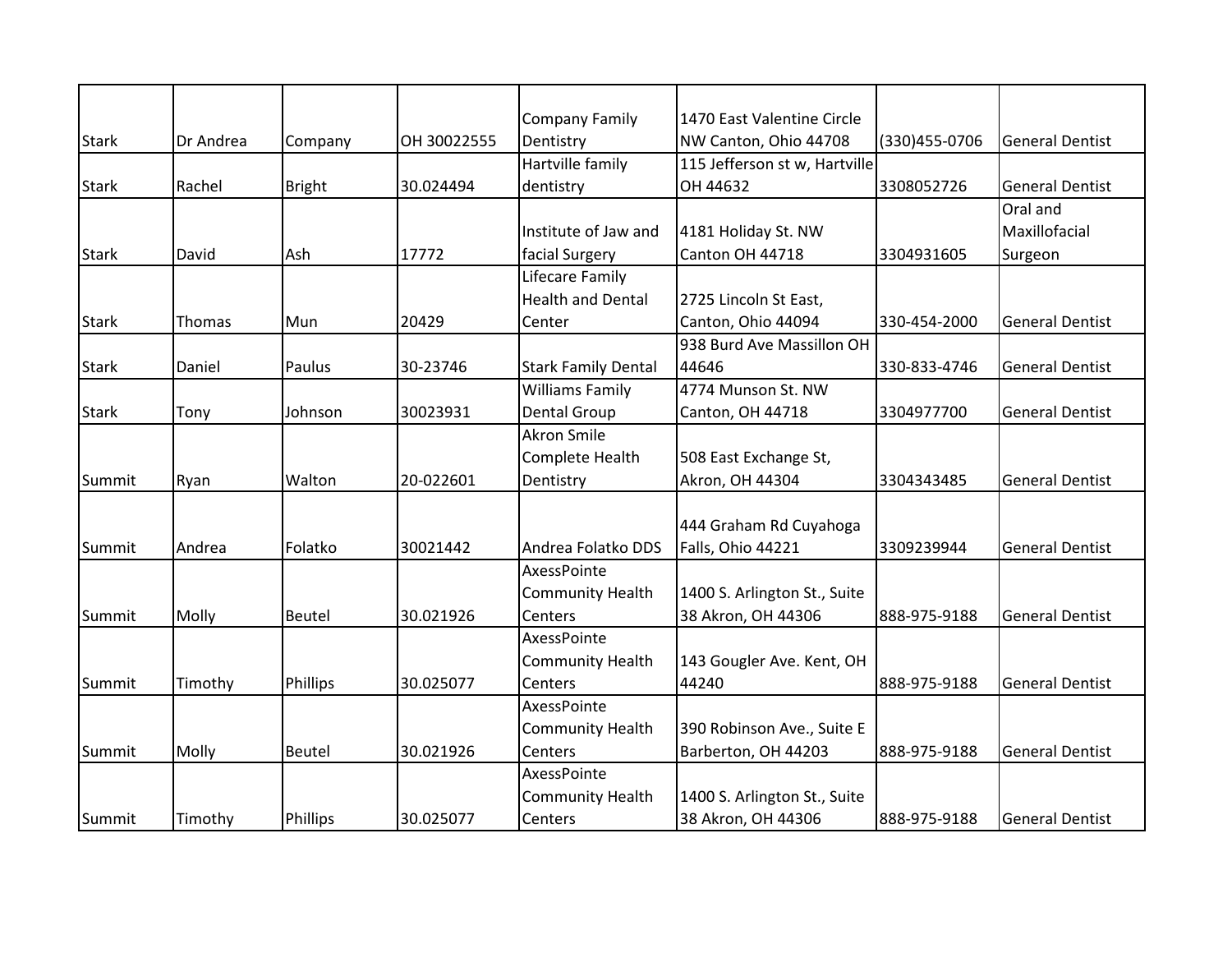|              |           |               |             | <b>Company Family</b>      | 1470 East Valentine Circle    |                |                        |
|--------------|-----------|---------------|-------------|----------------------------|-------------------------------|----------------|------------------------|
| <b>Stark</b> | Dr Andrea | Company       | OH 30022555 | Dentistry                  | NW Canton, Ohio 44708         | (330) 455-0706 | <b>General Dentist</b> |
|              |           |               |             | Hartville family           | 115 Jefferson st w, Hartville |                |                        |
| <b>Stark</b> | Rachel    | <b>Bright</b> | 30.024494   | dentistry                  | OH 44632                      | 3308052726     | <b>General Dentist</b> |
|              |           |               |             |                            |                               |                | Oral and               |
|              |           |               |             | Institute of Jaw and       | 4181 Holiday St. NW           |                | Maxillofacial          |
| <b>Stark</b> | David     | Ash           | 17772       | facial Surgery             | Canton OH 44718               | 3304931605     | Surgeon                |
|              |           |               |             | Lifecare Family            |                               |                |                        |
|              |           |               |             | <b>Health and Dental</b>   | 2725 Lincoln St East,         |                |                        |
| <b>Stark</b> | Thomas    | Mun           | 20429       | Center                     | Canton, Ohio 44094            | 330-454-2000   | <b>General Dentist</b> |
|              |           |               |             |                            | 938 Burd Ave Massillon OH     |                |                        |
| <b>Stark</b> | Daniel    | Paulus        | 30-23746    | <b>Stark Family Dental</b> | 44646                         | 330-833-4746   | <b>General Dentist</b> |
|              |           |               |             | <b>Williams Family</b>     | 4774 Munson St. NW            |                |                        |
| <b>Stark</b> | Tony      | Johnson       | 30023931    | Dental Group               | Canton, OH 44718              | 3304977700     | <b>General Dentist</b> |
|              |           |               |             | <b>Akron Smile</b>         |                               |                |                        |
|              |           |               |             | Complete Health            | 508 East Exchange St,         |                |                        |
| Summit       | Ryan      | Walton        | 20-022601   | Dentistry                  | Akron, OH 44304               | 3304343485     | <b>General Dentist</b> |
|              |           |               |             |                            |                               |                |                        |
|              |           |               |             |                            | 444 Graham Rd Cuyahoga        |                |                        |
| Summit       | Andrea    | Folatko       | 30021442    | Andrea Folatko DDS         | Falls, Ohio 44221             | 3309239944     | <b>General Dentist</b> |
|              |           |               |             | AxessPointe                |                               |                |                        |
|              |           |               |             | <b>Community Health</b>    | 1400 S. Arlington St., Suite  |                |                        |
| Summit       | Molly     | <b>Beutel</b> | 30.021926   | Centers                    | 38 Akron, OH 44306            | 888-975-9188   | <b>General Dentist</b> |
|              |           |               |             | AxessPointe                |                               |                |                        |
|              |           |               |             | <b>Community Health</b>    | 143 Gougler Ave. Kent, OH     |                |                        |
| Summit       | Timothy   | Phillips      | 30.025077   | Centers                    | 44240                         | 888-975-9188   | <b>General Dentist</b> |
|              |           |               |             | AxessPointe                |                               |                |                        |
|              |           |               |             | <b>Community Health</b>    | 390 Robinson Ave., Suite E    |                |                        |
| Summit       | Molly     | <b>Beutel</b> | 30.021926   | Centers                    | Barberton, OH 44203           | 888-975-9188   | <b>General Dentist</b> |
|              |           |               |             | AxessPointe                |                               |                |                        |
|              |           |               |             | <b>Community Health</b>    | 1400 S. Arlington St., Suite  |                |                        |
| Summit       | Timothy   | Phillips      | 30.025077   | Centers                    | 38 Akron, OH 44306            | 888-975-9188   | <b>General Dentist</b> |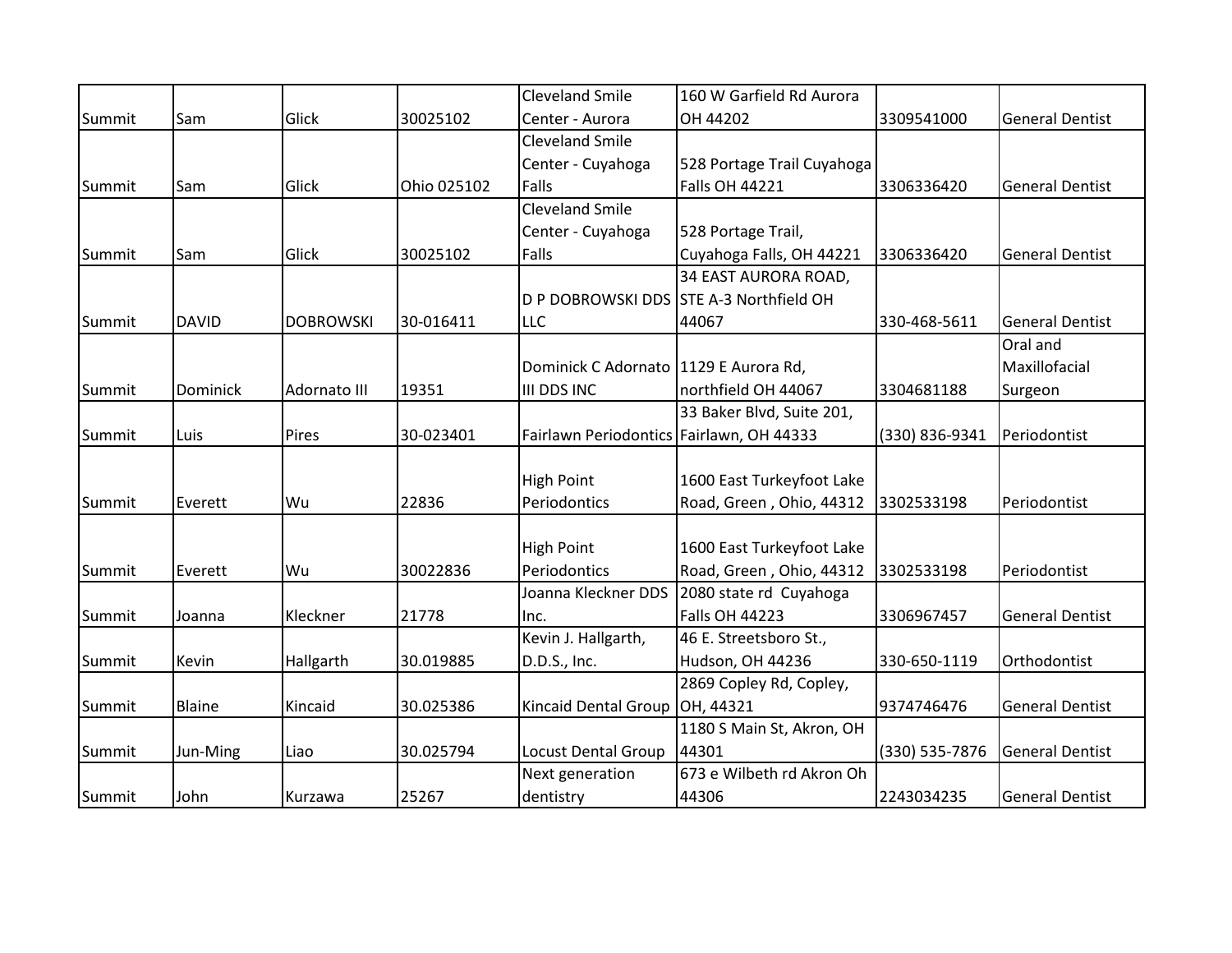|        |               |                  |             | <b>Cleveland Smile</b>                   | 160 W Garfield Rd Aurora                |                |                        |
|--------|---------------|------------------|-------------|------------------------------------------|-----------------------------------------|----------------|------------------------|
| Summit | Sam           | Glick            | 30025102    | Center - Aurora                          | OH 44202                                | 3309541000     | <b>General Dentist</b> |
|        |               |                  |             | <b>Cleveland Smile</b>                   |                                         |                |                        |
|        |               |                  |             | Center - Cuyahoga                        | 528 Portage Trail Cuyahoga              |                |                        |
| Summit | Sam           | Glick            | Ohio 025102 | Falls                                    | <b>Falls OH 44221</b>                   | 3306336420     | <b>General Dentist</b> |
|        |               |                  |             | <b>Cleveland Smile</b>                   |                                         |                |                        |
|        |               |                  |             | Center - Cuyahoga                        | 528 Portage Trail,                      |                |                        |
| Summit | Sam           | Glick            | 30025102    | Falls                                    | Cuyahoga Falls, OH 44221                | 3306336420     | <b>General Dentist</b> |
|        |               |                  |             |                                          | 34 EAST AURORA ROAD,                    |                |                        |
|        |               |                  |             |                                          | D P DOBROWSKI DDS STE A-3 Northfield OH |                |                        |
| Summit | <b>DAVID</b>  | <b>DOBROWSKI</b> | 30-016411   | <b>LLC</b>                               | 44067                                   | 330-468-5611   | <b>General Dentist</b> |
|        |               |                  |             |                                          |                                         |                | Oral and               |
|        |               |                  |             | Dominick C Adornato   1129 E Aurora Rd,  |                                         |                | Maxillofacial          |
| Summit | Dominick      | Adornato III     | 19351       | III DDS INC                              | northfield OH 44067                     | 3304681188     | Surgeon                |
|        |               |                  |             |                                          | 33 Baker Blvd, Suite 201,               |                |                        |
| Summit | Luis          | Pires            | 30-023401   | Fairlawn Periodontics Fairlawn, OH 44333 |                                         | (330) 836-9341 | Periodontist           |
|        |               |                  |             |                                          |                                         |                |                        |
|        |               |                  |             | <b>High Point</b>                        | 1600 East Turkeyfoot Lake               |                |                        |
| Summit | Everett       | Wu               | 22836       | Periodontics                             | Road, Green, Ohio, 44312                | 3302533198     | Periodontist           |
|        |               |                  |             |                                          |                                         |                |                        |
|        |               |                  |             | <b>High Point</b>                        | 1600 East Turkeyfoot Lake               |                |                        |
| Summit | Everett       | Wu               | 30022836    | Periodontics                             | Road, Green, Ohio, 44312                | 3302533198     | Periodontist           |
|        |               |                  |             | Joanna Kleckner DDS                      | 2080 state rd Cuyahoga                  |                |                        |
| Summit | Joanna        | Kleckner         | 21778       | Inc.                                     | <b>Falls OH 44223</b>                   | 3306967457     | <b>General Dentist</b> |
|        |               |                  |             | Kevin J. Hallgarth,                      | 46 E. Streetsboro St.,                  |                |                        |
| Summit | Kevin         | Hallgarth        | 30.019885   | D.D.S., Inc.                             | Hudson, OH 44236                        | 330-650-1119   | Orthodontist           |
|        |               |                  |             |                                          | 2869 Copley Rd, Copley,                 |                |                        |
| Summit | <b>Blaine</b> | Kincaid          | 30.025386   | Kincaid Dental Group OH, 44321           |                                         | 9374746476     | <b>General Dentist</b> |
|        |               |                  |             |                                          | 1180 S Main St, Akron, OH               |                |                        |
| Summit | Jun-Ming      | Liao             | 30.025794   | <b>Locust Dental Group</b>               | 44301                                   | (330) 535-7876 | <b>General Dentist</b> |
|        |               |                  |             | Next generation                          | 673 e Wilbeth rd Akron Oh               |                |                        |
| Summit | John          | Kurzawa          | 25267       | dentistry                                | 44306                                   | 2243034235     | <b>General Dentist</b> |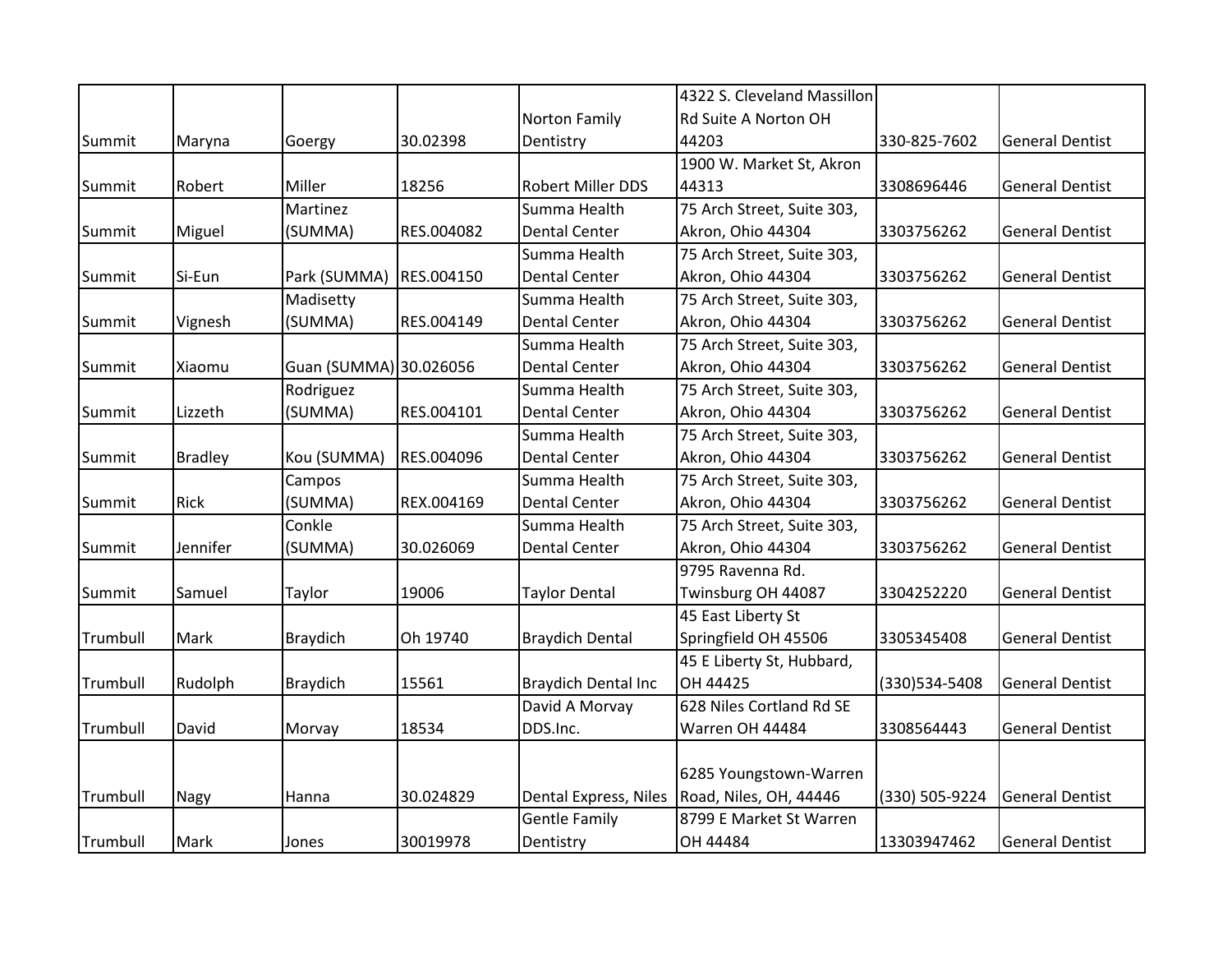|          |                |                        |            |                            | 4322 S. Cleveland Massillon |                |                        |
|----------|----------------|------------------------|------------|----------------------------|-----------------------------|----------------|------------------------|
|          |                |                        |            | Norton Family              | Rd Suite A Norton OH        |                |                        |
| Summit   | Maryna         | Goergy                 | 30.02398   | Dentistry                  | 44203                       | 330-825-7602   | <b>General Dentist</b> |
|          |                |                        |            |                            | 1900 W. Market St, Akron    |                |                        |
| Summit   | Robert         | Miller                 | 18256      | Robert Miller DDS          | 44313                       | 3308696446     | <b>General Dentist</b> |
|          |                | Martinez               |            | Summa Health               | 75 Arch Street, Suite 303,  |                |                        |
| Summit   | Miguel         | (SUMMA)                | RES.004082 | <b>Dental Center</b>       | Akron, Ohio 44304           | 3303756262     | <b>General Dentist</b> |
|          |                |                        |            | Summa Health               | 75 Arch Street, Suite 303,  |                |                        |
| Summit   | Si-Eun         | Park (SUMMA)           | RES.004150 | <b>Dental Center</b>       | Akron, Ohio 44304           | 3303756262     | <b>General Dentist</b> |
|          |                | Madisetty              |            | Summa Health               | 75 Arch Street, Suite 303,  |                |                        |
| Summit   | Vignesh        | (SUMMA)                | RES.004149 | <b>Dental Center</b>       | Akron, Ohio 44304           | 3303756262     | <b>General Dentist</b> |
|          |                |                        |            | Summa Health               | 75 Arch Street, Suite 303,  |                |                        |
| Summit   | Xiaomu         | Guan (SUMMA) 30.026056 |            | <b>Dental Center</b>       | Akron, Ohio 44304           | 3303756262     | <b>General Dentist</b> |
|          |                | Rodriguez              |            | Summa Health               | 75 Arch Street, Suite 303,  |                |                        |
| Summit   | Lizzeth        | (SUMMA)                | RES.004101 | <b>Dental Center</b>       | Akron, Ohio 44304           | 3303756262     | <b>General Dentist</b> |
|          |                |                        |            | Summa Health               | 75 Arch Street, Suite 303,  |                |                        |
| Summit   | <b>Bradley</b> | Kou (SUMMA)            | RES.004096 | <b>Dental Center</b>       | Akron, Ohio 44304           | 3303756262     | <b>General Dentist</b> |
|          |                | Campos                 |            | Summa Health               | 75 Arch Street, Suite 303,  |                |                        |
| Summit   | Rick           | (SUMMA)                | REX.004169 | <b>Dental Center</b>       | Akron, Ohio 44304           | 3303756262     | <b>General Dentist</b> |
|          |                | Conkle                 |            | Summa Health               | 75 Arch Street, Suite 303,  |                |                        |
| Summit   | Jennifer       | (SUMMA)                | 30.026069  | <b>Dental Center</b>       | Akron, Ohio 44304           | 3303756262     | <b>General Dentist</b> |
|          |                |                        |            |                            | 9795 Ravenna Rd.            |                |                        |
| Summit   | Samuel         | Taylor                 | 19006      | <b>Taylor Dental</b>       | Twinsburg OH 44087          | 3304252220     | <b>General Dentist</b> |
|          |                |                        |            |                            | 45 East Liberty St          |                |                        |
| Trumbull | Mark           | <b>Braydich</b>        | Oh 19740   | <b>Braydich Dental</b>     | Springfield OH 45506        | 3305345408     | <b>General Dentist</b> |
|          |                |                        |            |                            | 45 E Liberty St, Hubbard,   |                |                        |
| Trumbull | Rudolph        | <b>Braydich</b>        | 15561      | <b>Braydich Dental Inc</b> | OH 44425                    | (330) 534-5408 | <b>General Dentist</b> |
|          |                |                        |            | David A Morvay             | 628 Niles Cortland Rd SE    |                |                        |
| Trumbull | David          | Morvay                 | 18534      | DDS.Inc.                   | Warren OH 44484             | 3308564443     | <b>General Dentist</b> |
|          |                |                        |            |                            |                             |                |                        |
|          |                |                        |            |                            | 6285 Youngstown-Warren      |                |                        |
| Trumbull | Nagy           | Hanna                  | 30.024829  | Dental Express, Niles      | Road, Niles, OH, 44446      | (330) 505-9224 | <b>General Dentist</b> |
|          |                |                        |            | <b>Gentle Family</b>       | 8799 E Market St Warren     |                |                        |
| Trumbull | Mark           | Jones                  | 30019978   | Dentistry                  | OH 44484                    | 13303947462    | <b>General Dentist</b> |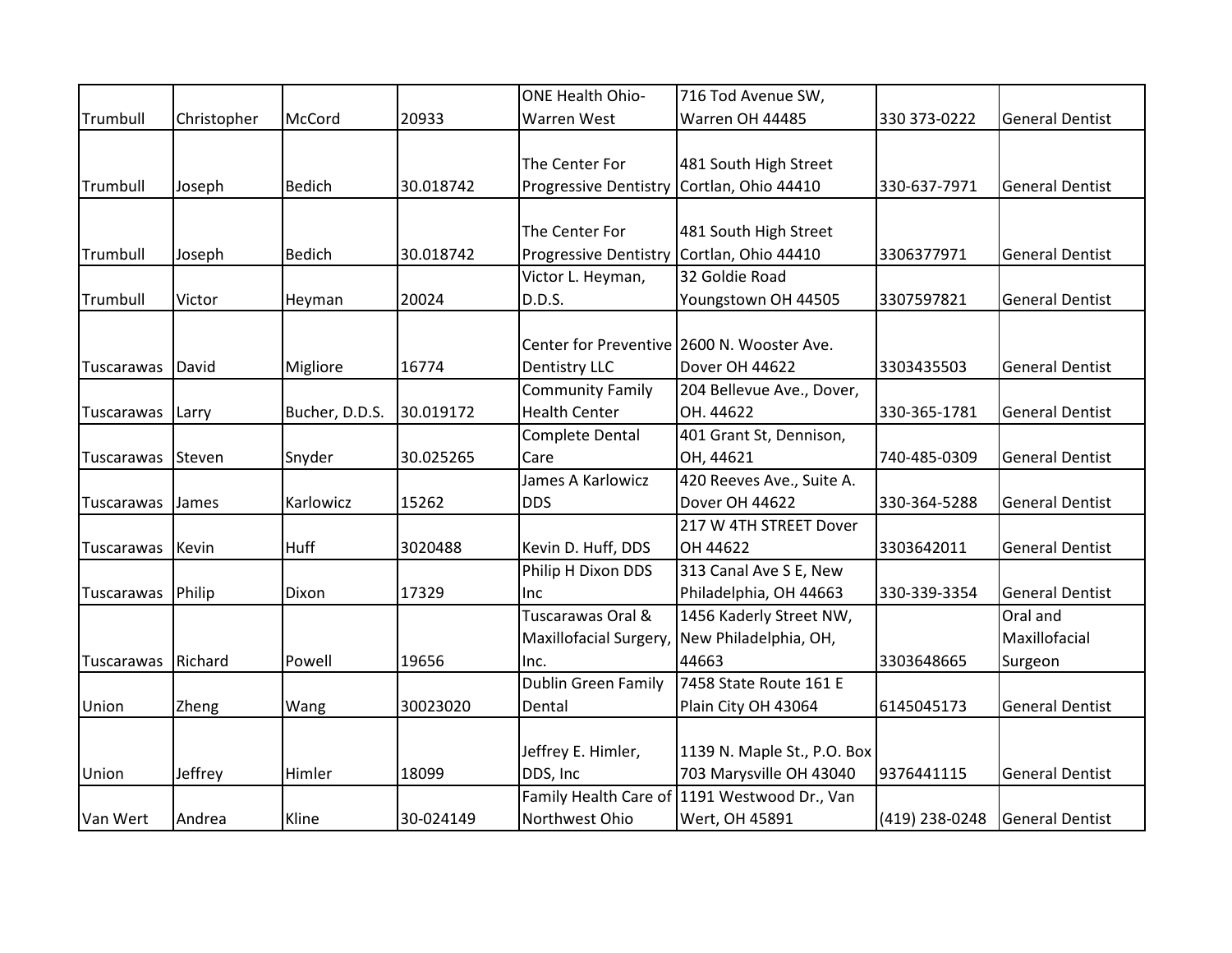|            |             |                |           | <b>ONE Health Ohio-</b>                   | 716 Tod Avenue SW,                           |                |                        |
|------------|-------------|----------------|-----------|-------------------------------------------|----------------------------------------------|----------------|------------------------|
| Trumbull   | Christopher | McCord         | 20933     | Warren West                               | Warren OH 44485                              | 330 373-0222   | <b>General Dentist</b> |
|            |             |                |           |                                           |                                              |                |                        |
|            |             |                |           | The Center For                            | 481 South High Street                        |                |                        |
| Trumbull   | Joseph      | <b>Bedich</b>  | 30.018742 | <b>Progressive Dentistry</b>              | Cortlan, Ohio 44410                          | 330-637-7971   | <b>General Dentist</b> |
|            |             |                |           |                                           |                                              |                |                        |
|            |             |                |           | The Center For                            | 481 South High Street                        |                |                        |
| Trumbull   | Joseph      | <b>Bedich</b>  | 30.018742 | Progressive Dentistry Cortlan, Ohio 44410 |                                              | 3306377971     | <b>General Dentist</b> |
|            |             |                |           | Victor L. Heyman,                         | 32 Goldie Road                               |                |                        |
| Trumbull   | Victor      | Heyman         | 20024     | D.D.S.                                    | Youngstown OH 44505                          | 3307597821     | <b>General Dentist</b> |
|            |             |                |           |                                           |                                              |                |                        |
|            |             |                |           |                                           | Center for Preventive 2600 N. Wooster Ave.   |                |                        |
| Tuscarawas | David       | Migliore       | 16774     | <b>Dentistry LLC</b>                      | Dover OH 44622                               | 3303435503     | <b>General Dentist</b> |
|            |             |                |           | <b>Community Family</b>                   | 204 Bellevue Ave., Dover,                    |                |                        |
| Tuscarawas | Larry       | Bucher, D.D.S. | 30.019172 | <b>Health Center</b>                      | OH. 44622                                    | 330-365-1781   | <b>General Dentist</b> |
|            |             |                |           | <b>Complete Dental</b>                    | 401 Grant St, Dennison,                      |                |                        |
| Tuscarawas | Steven      | Snyder         | 30.025265 | Care                                      | OH, 44621                                    | 740-485-0309   | <b>General Dentist</b> |
|            |             |                |           | James A Karlowicz                         | 420 Reeves Ave., Suite A.                    |                |                        |
| Tuscarawas | James       | Karlowicz      | 15262     | <b>DDS</b>                                | Dover OH 44622                               | 330-364-5288   | <b>General Dentist</b> |
|            |             |                |           |                                           | 217 W 4TH STREET Dover                       |                |                        |
| Tuscarawas | Kevin       | <b>Huff</b>    | 3020488   | Kevin D. Huff, DDS                        | OH 44622                                     | 3303642011     | <b>General Dentist</b> |
|            |             |                |           | Philip H Dixon DDS                        | 313 Canal Ave S E, New                       |                |                        |
| Tuscarawas | Philip      | Dixon          | 17329     | Inc                                       | Philadelphia, OH 44663                       | 330-339-3354   | <b>General Dentist</b> |
|            |             |                |           | Tuscarawas Oral &                         | 1456 Kaderly Street NW,                      |                | Oral and               |
|            |             |                |           | Maxillofacial Surgery,                    | New Philadelphia, OH,                        |                | Maxillofacial          |
| Tuscarawas | Richard     | Powell         | 19656     | Inc.                                      | 44663                                        | 3303648665     | Surgeon                |
|            |             |                |           | <b>Dublin Green Family</b>                | 7458 State Route 161 E                       |                |                        |
| Union      | Zheng       | Wang           | 30023020  | Dental                                    | Plain City OH 43064                          | 6145045173     | <b>General Dentist</b> |
|            |             |                |           |                                           |                                              |                |                        |
|            |             |                |           | Jeffrey E. Himler,                        | 1139 N. Maple St., P.O. Box                  |                |                        |
| Union      | Jeffrey     | Himler         | 18099     | DDS, Inc                                  | 703 Marysville OH 43040                      | 9376441115     | <b>General Dentist</b> |
|            |             |                |           |                                           | Family Health Care of 1191 Westwood Dr., Van |                |                        |
| Van Wert   | Andrea      | Kline          | 30-024149 | Northwest Ohio                            | Wert, OH 45891                               | (419) 238-0248 | <b>General Dentist</b> |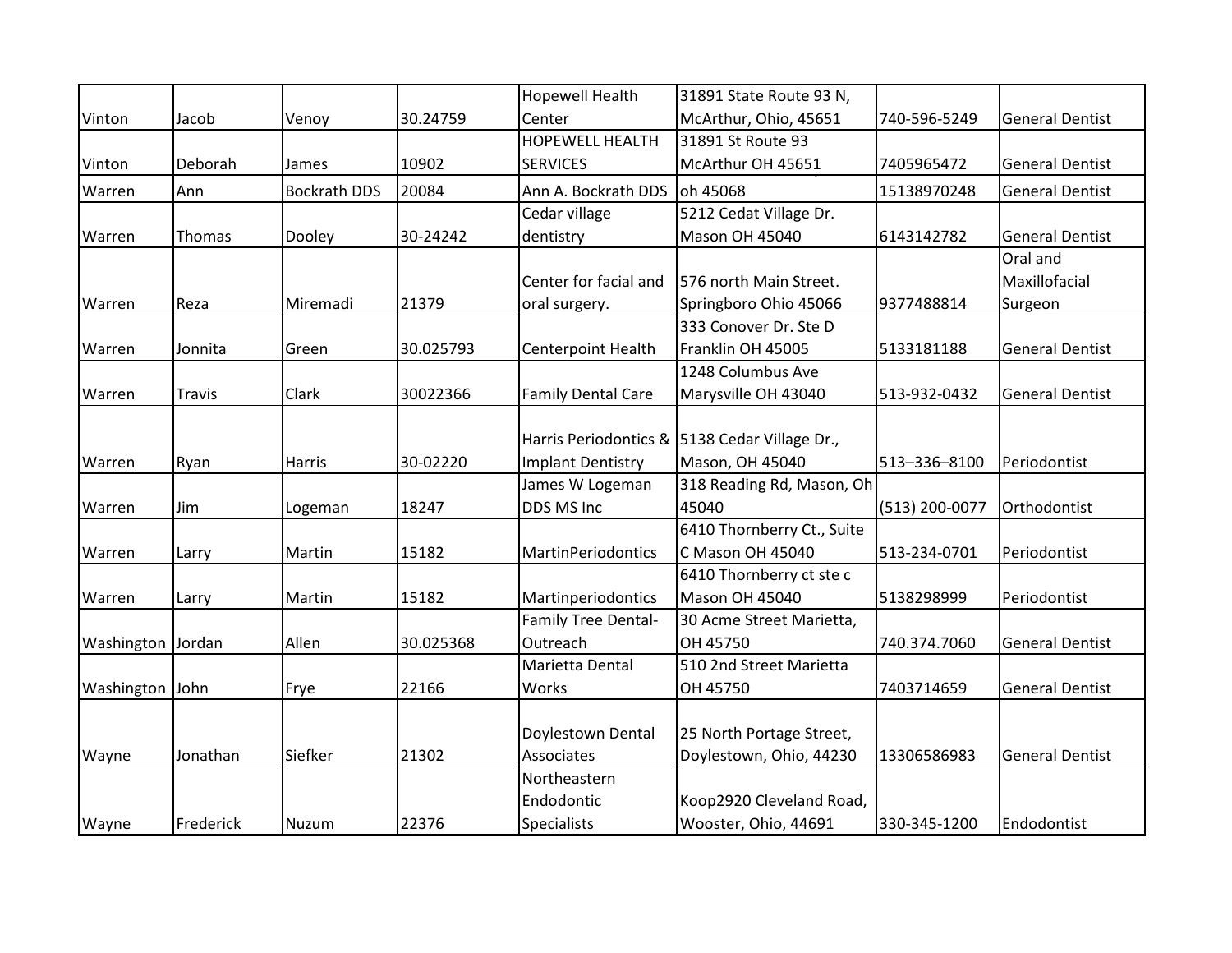|                   |           |                     |           | <b>Hopewell Health</b>    | 31891 State Route 93 N,                       |                |                        |
|-------------------|-----------|---------------------|-----------|---------------------------|-----------------------------------------------|----------------|------------------------|
| Vinton            | Jacob     | Venoy               | 30.24759  | Center                    | McArthur, Ohio, 45651                         | 740-596-5249   | <b>General Dentist</b> |
|                   |           |                     |           | <b>HOPEWELL HEALTH</b>    | 31891 St Route 93                             |                |                        |
| Vinton            | Deborah   | James               | 10902     | <b>SERVICES</b>           | McArthur OH 45651                             | 7405965472     | <b>General Dentist</b> |
| Warren            | Ann       | <b>Bockrath DDS</b> | 20084     | Ann A. Bockrath DDS       | oh 45068                                      | 15138970248    | <b>General Dentist</b> |
|                   |           |                     |           | Cedar village             | 5212 Cedat Village Dr.                        |                |                        |
| Warren            | Thomas    | Dooley              | 30-24242  | dentistry                 | <b>Mason OH 45040</b>                         | 6143142782     | <b>General Dentist</b> |
|                   |           |                     |           |                           |                                               |                | Oral and               |
|                   |           |                     |           | Center for facial and     | 576 north Main Street.                        |                | Maxillofacial          |
| Warren            | Reza      | Miremadi            | 21379     | oral surgery.             | Springboro Ohio 45066                         | 9377488814     | Surgeon                |
|                   |           |                     |           |                           | 333 Conover Dr. Ste D                         |                |                        |
| Warren            | Jonnita   | Green               | 30.025793 | Centerpoint Health        | Franklin OH 45005                             | 5133181188     | <b>General Dentist</b> |
|                   |           |                     |           |                           | 1248 Columbus Ave                             |                |                        |
| Warren            | Travis    | Clark               | 30022366  | <b>Family Dental Care</b> | Marysville OH 43040                           | 513-932-0432   | <b>General Dentist</b> |
|                   |           |                     |           |                           |                                               |                |                        |
|                   |           |                     |           |                           | Harris Periodontics & 5138 Cedar Village Dr., |                |                        |
| Warren            | Ryan      | <b>Harris</b>       | 30-02220  | <b>Implant Dentistry</b>  | Mason, OH 45040                               | 513-336-8100   | Periodontist           |
|                   |           |                     |           | James W Logeman           | 318 Reading Rd, Mason, Oh                     |                |                        |
| Warren            | Jim       | Logeman             | 18247     | DDS MS Inc                | 45040                                         | (513) 200-0077 | Orthodontist           |
|                   |           |                     |           |                           | 6410 Thornberry Ct., Suite                    |                |                        |
| Warren            | Larry     | Martin              | 15182     | <b>MartinPeriodontics</b> | C Mason OH 45040                              | 513-234-0701   | Periodontist           |
|                   |           |                     |           |                           | 6410 Thornberry ct ste c                      |                |                        |
| Warren            | Larry     | Martin              | 15182     | Martinperiodontics        | <b>Mason OH 45040</b>                         | 5138298999     | Periodontist           |
|                   |           |                     |           | Family Tree Dental-       | 30 Acme Street Marietta,                      |                |                        |
| Washington Jordan |           | Allen               | 30.025368 | Outreach                  | OH 45750                                      | 740.374.7060   | <b>General Dentist</b> |
|                   |           |                     |           | Marietta Dental           | 510 2nd Street Marietta                       |                |                        |
| Washington John   |           | Frye                | 22166     | Works                     | OH 45750                                      | 7403714659     | <b>General Dentist</b> |
|                   |           |                     |           |                           |                                               |                |                        |
|                   |           |                     |           | Doylestown Dental         | 25 North Portage Street,                      |                |                        |
| Wayne             | Jonathan  | Siefker             | 21302     | Associates                | Doylestown, Ohio, 44230                       | 13306586983    | <b>General Dentist</b> |
|                   |           |                     |           | Northeastern              |                                               |                |                        |
|                   |           |                     |           | Endodontic                | Koop2920 Cleveland Road,                      |                |                        |
| Wayne             | Frederick | Nuzum               | 22376     | Specialists               | Wooster, Ohio, 44691                          | 330-345-1200   | Endodontist            |